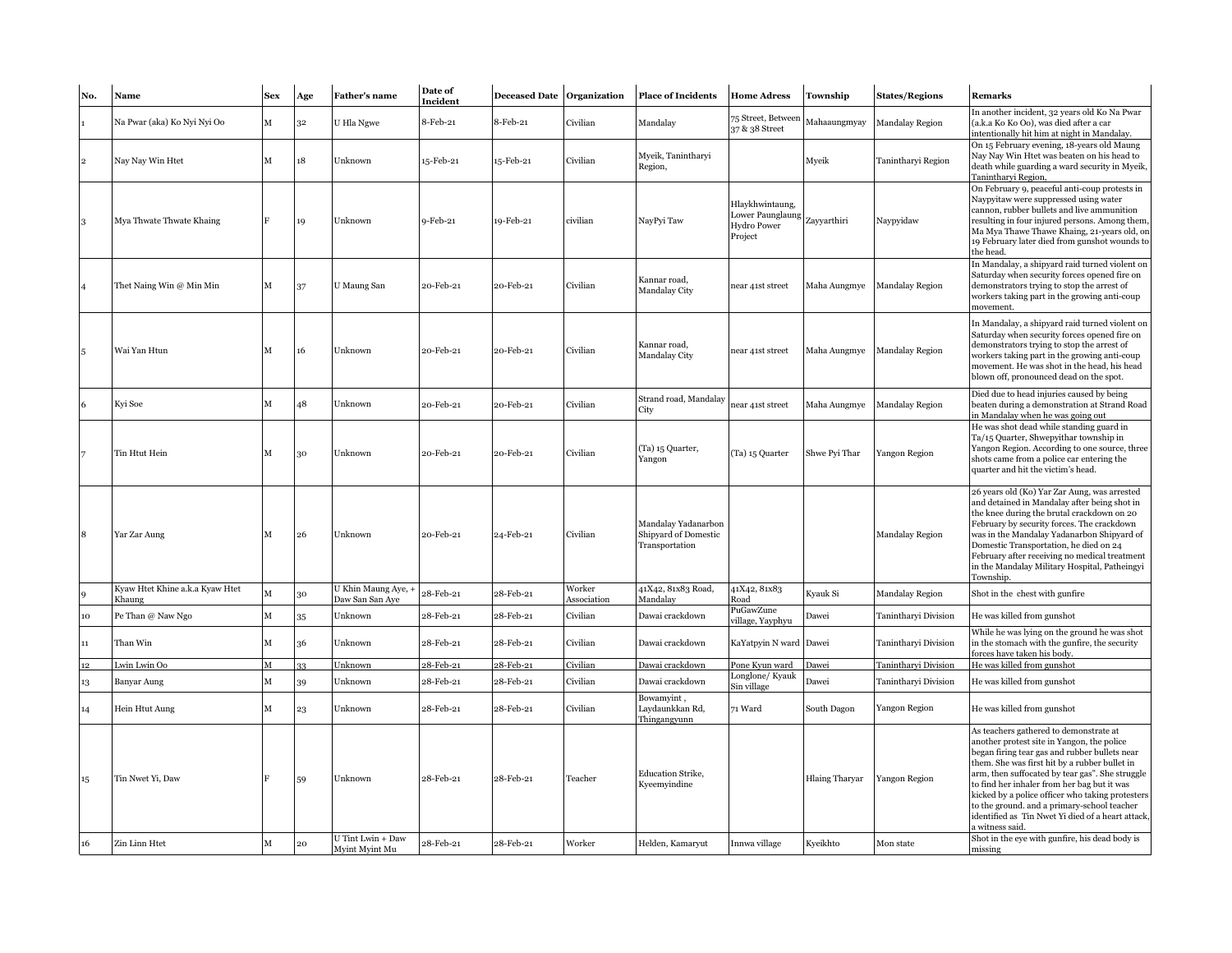| No.          | Name                                      | Sex          | Age | <b>Father's name</b>                 | Date of<br>Incident | <b>Deceased Date Organization</b> |                       | <b>Place of Incidents</b>                                     | <b>Home Adress</b>                                            | Township              | <b>States/Regions</b>  | <b>Remarks</b>                                                                                                                                                                                                                                                                                                                                                                                                                                                      |
|--------------|-------------------------------------------|--------------|-----|--------------------------------------|---------------------|-----------------------------------|-----------------------|---------------------------------------------------------------|---------------------------------------------------------------|-----------------------|------------------------|---------------------------------------------------------------------------------------------------------------------------------------------------------------------------------------------------------------------------------------------------------------------------------------------------------------------------------------------------------------------------------------------------------------------------------------------------------------------|
|              | Na Pwar (aka) Ko Nyi Nyi Oo               | м            | 32  | U Hla Ngwe                           | 8-Feb-21            | 8-Feb-21                          | Civilian              | Mandalay                                                      | 75 Street, Betweer<br>37 & 38 Street                          | Mahaaungmyay          | Mandalay Region        | In another incident, 32 years old Ko Na Pwar<br>(a.k.a Ko Ko Oo), was died after a car<br>intentionally hit him at night in Mandalay.                                                                                                                                                                                                                                                                                                                               |
| $\mathbf{2}$ | Nay Nay Win Htet                          | M            | 18  | Unknown                              | 15-Feb-21           | 15-Feb-21                         | Civilian              | Myeik, Tanintharyi<br>Region,                                 |                                                               | Myeik                 | Tanintharyi Region     | On 15 February evening, 18-years old Maung<br>Nay Nay Win Htet was beaten on his head to<br>death while guarding a ward security in Myeik,<br>Tanintharyi Region,                                                                                                                                                                                                                                                                                                   |
| 3            | Mya Thwate Thwate Khaing                  | F            | 1Q  | Unknown                              | 9-Feb-21            | 19-Feb-21                         | civilian              | NayPyi Taw                                                    | Hlaykhwintaung,<br>Lower Paunglaung<br>Hydro Power<br>Project | Zayyarthiri           | Naypyidaw              | On February 9, peaceful anti-coup protests in<br>Naypyitaw were suppressed using water<br>cannon, rubber bullets and live ammunition<br>resulting in four injured persons. Among them,<br>Ma Mya Thawe Thawe Khaing, 21-years old, on<br>19 February later died from gunshot wounds to<br>the head.                                                                                                                                                                 |
|              | Thet Naing Win @ Min Min                  | M            | 37  | U Maung San                          | 20-Feb-21           | 20-Feb-21                         | Civilian              | Kannar road,<br>Mandalay City                                 | near 41st street                                              | Maha Aungmye          | Mandalay Region        | In Mandalay, a shipyard raid turned violent on<br>Saturday when security forces opened fire on<br>demonstrators trying to stop the arrest of<br>workers taking part in the growing anti-coup<br>movement.                                                                                                                                                                                                                                                           |
|              | Wai Yan Htun                              | M            | 16  | Unknown                              | 20-Feb-21           | 20-Feb-21                         | Civilian              | Kannar road,<br>Mandalay City                                 | near 41st street                                              | Maha Aungmye          | <b>Mandalay Region</b> | In Mandalay, a shipyard raid turned violent on<br>Saturday when security forces opened fire on<br>demonstrators trying to stop the arrest of<br>workers taking part in the growing anti-coup<br>movement. He was shot in the head, his head<br>blown off, pronounced dead on the spot.                                                                                                                                                                              |
|              | Kyi Soe                                   | M            | 48  | Unknown                              | 20-Feb-21           | 20-Feb-21                         | Civilian              | Strand road, Mandalay<br>City                                 | near 41st street                                              | Maha Aungmye          | Mandalay Region        | Died due to head injuries caused by being<br>beaten during a demonstration at Strand Road<br>in Mandalay when he was going out                                                                                                                                                                                                                                                                                                                                      |
|              | Tin Htut Hein                             | M            | 30  | Unknown                              | 20-Feb-21           | 20-Feb-21                         | Civilian              | (Ta) 15 Quarter,<br>Yangon                                    | (Ta) 15 Quarter                                               | Shwe Pyi Thar         | Yangon Region          | He was shot dead while standing guard in<br>Ta/15 Quarter, Shwepyithar township in<br>Yangon Region. According to one source, three<br>shots came from a police car entering the<br>quarter and hit the victim's head.                                                                                                                                                                                                                                              |
|              | Yar Zar Aung                              | М            | 26  | Unknown                              | 20-Feb-21           | 24-Feb-21                         | Civilian              | Mandalay Yadanarbon<br>Shipyard of Domestic<br>Transportation |                                                               |                       | Mandalay Region        | 26 years old (Ko) Yar Zar Aung, was arrested<br>and detained in Mandalay after being shot in<br>the knee during the brutal crackdown on 20<br>February by security forces. The crackdown<br>was in the Mandalay Yadanarbon Shipyard of<br>Domestic Transportation, he died on 24<br>February after receiving no medical treatment<br>in the Mandalay Military Hospital, Patheingyi<br>Township.                                                                     |
|              | Kyaw Htet Khine a.k.a Kyaw Htet<br>Khaung |              | 30  | U Khin Maung Aye,<br>Daw San San Aye | 28-Feb-21           | 28-Feb-21                         | Worker<br>Association | 41X42, 81x83 Road,<br>Mandalay                                | 41X42, 81x83<br>Road                                          | Kyauk Si              | Mandalay Region        | Shot in the chest with gunfire                                                                                                                                                                                                                                                                                                                                                                                                                                      |
| 10           | Pe Than @ Naw Ngo                         | $\mathbf M$  | 35  | Unknown                              | 28-Feb-21           | 28-Feb-21                         | Civilian              | Dawai crackdown                                               | PuGawZune<br>village, Yayphyu                                 | Dawei                 | Tanintharyi Division   | He was killed from gunshot                                                                                                                                                                                                                                                                                                                                                                                                                                          |
| $11\,$       | Than Win                                  | M            | 36  | Unknown                              | 28-Feb-21           | 28-Feb-21                         | Civilian              | Dawai crackdown                                               | KaYatpyin N ward Dawei                                        |                       | Tanintharyi Division   | While he was lying on the ground he was shot<br>in the stomach with the gunfire, the security<br>orces have taken his body.                                                                                                                                                                                                                                                                                                                                         |
| 12           | Lwin Lwin Oo                              | $\mathbf{M}$ |     | Unknown                              | 28-Feb-21           | 28-Feb-21                         | Civilian              | Dawai crackdown                                               | Pone Kyun ward                                                | Dawei                 | Tanintharyi Division   | He was killed from gunshot                                                                                                                                                                                                                                                                                                                                                                                                                                          |
| 13           | Banyar Aung                               | M            | 39  | Unknown                              | 28-Feb-21           | 28-Feb-21                         | Civilian              | Dawai crackdown                                               | Longlone/Kyauk<br>Sin village                                 | Dawei                 | Tanintharyi Division   | He was killed from gunshot                                                                                                                                                                                                                                                                                                                                                                                                                                          |
| 14           | Hein Htut Aung                            | М            | 23  | Unknown                              | 28-Feb-21           | 28-Feb-21                         | Civilian              | Bowamyint,<br>Laydaunkkan Rd,<br>Thingangyunn                 | 71 Ward                                                       | South Dagon           | Yangon Region          | He was killed from gunshot                                                                                                                                                                                                                                                                                                                                                                                                                                          |
| 15           | Tin Nwet Yi, Daw                          |              | 59  | Unknown                              | 28-Feb-21           | 28-Feb-21                         | Teacher               | Education Strike,<br>Kyeemyindine                             |                                                               | <b>Hlaing Tharyar</b> | Yangon Region          | As teachers gathered to demonstrate at<br>another protest site in Yangon, the police<br>began firing tear gas and rubber bullets near<br>them. She was first hit by a rubber bullet in<br>arm, then suffocated by tear gas". She struggle<br>to find her inhaler from her bag but it was<br>kicked by a police officer who taking protesters<br>to the ground. and a primary-school teacher<br>identified as Tin Nwet Yi died of a heart attack,<br>a witness said. |
| 16           | Zin Linn Htet                             | м            | 20  | U Tint Lwin + Daw<br>Myint Myint Mu  | 28-Feb-21           | 28-Feb-21                         | Worker                | Helden, Kamaryut                                              | Innwa village                                                 | Kyeikhto              | Mon state              | Shot in the eye with gunfire, his dead body is<br>missing                                                                                                                                                                                                                                                                                                                                                                                                           |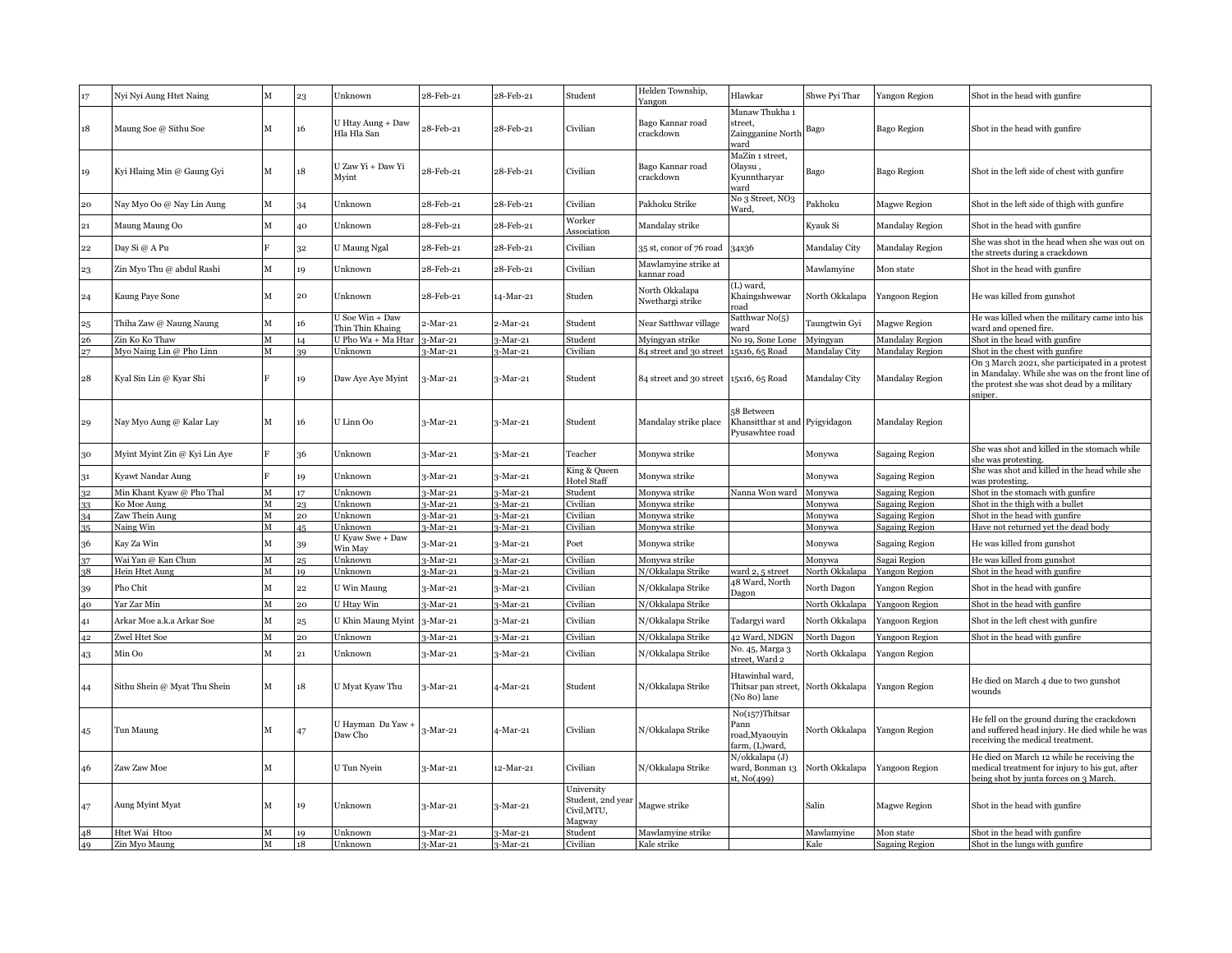| 17 | Nyi Nyi Aung Htet Naing       | M            | 23      | Unknown                             | 28-Feb-21  | 28-Feb-21  | Student                                                  | Helden Township,<br>Yangon             | Hlawkar                                                        | Shwe Pyi Thar  | Yangon Region         | Shot in the head with gunfire                                                                                                                               |
|----|-------------------------------|--------------|---------|-------------------------------------|------------|------------|----------------------------------------------------------|----------------------------------------|----------------------------------------------------------------|----------------|-----------------------|-------------------------------------------------------------------------------------------------------------------------------------------------------------|
| 18 | Maung Soe @ Sithu Soe         | $\mathbf{M}$ | 16      | U Htay Aung + Daw<br>Hla Hla San    | 28-Feb-21  | 28-Feb-21  | Civilian                                                 | Bago Kannar road<br>crackdown          | Manaw Thukha 1<br>street,<br>Zaingganine North<br>ward         | Bago           | Bago Region           | Shot in the head with gunfire                                                                                                                               |
| 19 | Kyi Hlaing Min @ Gaung Gyi    | м            | 18      | U Zaw Yi + Daw Yi<br>Myint          | 28-Feb-21  | 28-Feb-21  | Civilian                                                 | Bago Kannar road<br>crackdown          | MaZin 1 street,<br>Olaysu ,<br>Kyunntharyar<br>ward            | Bago           | Bago Region           | Shot in the left side of chest with gunfire                                                                                                                 |
| 20 | Nay Myo Oo @ Nay Lin Aung     | $\mathbf M$  | 34      | Unknown                             | 28-Feb-21  | 28-Feb-21  | Civilian                                                 | Pakhoku Strike                         | No 3 Street, NO3<br>Ward,                                      | Pakhoku        | <b>Magwe Region</b>   | Shot in the left side of thigh with gunfire                                                                                                                 |
| 21 | Maung Maung Oo                | M            | $^{40}$ | Unknown                             | 28-Feb-21  | 28-Feb-21  | Worker<br>Association                                    | Mandalay strike                        |                                                                | Kyauk Si       | Mandalay Region       | Shot in the head with gunfire                                                                                                                               |
| 22 | Day Si @ A Pu                 |              | 32      | U Maung Ngal                        | 28-Feb-21  | 28-Feb-21  | Civilian                                                 | 35 st, conor of 76 road                | 34x36                                                          | Mandalay City  | Mandalay Region       | She was shot in the head when she was out on<br>the streets during a crackdown                                                                              |
| 23 | Zin Myo Thu @ abdul Rashi     | $_{\rm M}$   | ιg      | Unknown                             | 28-Feb-21  | 28-Feb-21  | Civilian                                                 | Mawlamyine strike at<br>kannar road    |                                                                | Mawlamyine     | Mon state             | Shot in the head with gunfire                                                                                                                               |
| 24 | Kaung Paye Sone               | $\mathbf{M}$ | 20      | Unknown                             | 28-Feb-21  | 14-Mar-21  | Studen                                                   | North Okkalapa<br>Nwethargi strike     | (L) ward,<br>Khaingshwewar<br>oad                              | North Okkalapa | Yangoon Region        | He was killed from gunshot                                                                                                                                  |
| 25 | Thiha Zaw @ Naung Naung       | M            | 16      | U Soe Win + Daw<br>Thin Thin Khaing | 2-Mar-21   | 2-Mar-21   | Student                                                  | Near Satthwar village                  | Satthwar No(5)<br>vard                                         | Taungtwin Gyi  | Magwe Region          | He was killed when the military came into his<br>vard and opened fire.                                                                                      |
| 26 | Zin Ko Ko Thaw                | M            | 14      | U Pho Wa + Ma Htar                  | $-Mar-21$  | $3-Mar-21$ | <b>Student</b>                                           | Myingyan strike                        | Vo 19, Sone Lone                                               | Myingyan       | Mandalay Region       | Shot in the head with gunfire                                                                                                                               |
| 27 | Myo Naing Lin @ Pho Linn      | м            | 39      | Unknown                             | -Mar-21    | $3-Mar-21$ | Civilian                                                 | 84 street and 30 street                | 15x16, 65 Road                                                 | Mandalay City  | Mandalay Region       | Shot in the chest with gunfire                                                                                                                              |
| 28 | Kyal Sin Lin @ Kyar Shi       |              | 19      | Daw Aye Aye Myint                   | 3-Mar-21   | $3-Mar-21$ | Student                                                  | 84 street and 30 street 15x16, 65 Road |                                                                | Mandalay City  | Mandalay Region       | On 3 March 2021, she participated in a protest<br>in Mandalay. While she was on the front line of<br>the protest she was shot dead by a military<br>sniper. |
| 29 | Nay Myo Aung @ Kalar Lay      | M            | 16      | U Linn Oo                           | $3-Mar-21$ | $3-Mar-21$ | Student                                                  | Mandalay strike place                  | 8 Between<br>Khansitthar st and Pyigyidagon<br>Pyusawhtee road |                | Mandalay Region       |                                                                                                                                                             |
| 30 | Myint Myint Zin @ Kyi Lin Aye |              | 36      | Unknown                             | 3-Mar-21   | $3-Mar-21$ | Teacher                                                  | Monywa strike                          |                                                                | Monywa         | Sagaing Region        | She was shot and killed in the stomach while<br>she was protesting.                                                                                         |
| 31 | Kyawt Nandar Aung             |              | 19      | Unknown                             | 3-Mar-21   | $3-Mar-21$ | King & Queen<br><b>Hotel Staff</b>                       | Monywa strike                          |                                                                | Monywa         | Sagaing Region        | She was shot and killed in the head while she<br>vas protesting                                                                                             |
| 32 | Min Khant Kyaw @ Pho Thal     | M            | 17      | Unknown                             | $-Mar-21$  | $3-Mar-21$ | Student                                                  | Monywa strike                          | Nanna Won ward                                                 | Monywa         | Sagaing Region        | Shot in the stomach with gunfire                                                                                                                            |
| 33 | Ko Moe Aung                   | м            | 23      | Unknown                             | $-Mar-21$  | $3-Mar-21$ | Civilian                                                 | Monywa strike                          |                                                                | Monywa         | <b>Sagaing Region</b> | Shot in the thigh with a bullet                                                                                                                             |
| 34 | Zaw Thein Aung                | м            | 20      | Unknown                             | $-Mar-21$  | $3-Mar-21$ | Civilian                                                 | Monvwa strike                          |                                                                | Monywa         | Sagaing Region        | Shot in the head with gunfire                                                                                                                               |
| 35 | Naing Win                     | м            | 45      | Unknown                             | $-Mar-21$  | $3-Mar-21$ | Civilian                                                 | Monywa strike                          |                                                                | Monywa         | Sagaing Region        | Have not returned yet the dead body                                                                                                                         |
| 36 | Kay Za Win                    | M            | 39      | U Kyaw Swe + Daw<br>Win May         | 3-Mar-21   | 3-Mar-21   | Poet                                                     | Monywa strike                          |                                                                | Monywa         | Sagaing Region        | He was killed from gunshot                                                                                                                                  |
| 37 | Wai Yan @ Kan Chun            | M            | 25      | Unknown                             | $-Mar-21$  | $3-Mar-21$ | Civilian                                                 | Monywa strike                          |                                                                | Monywa         | Sagai Region          | He was killed from gunshot                                                                                                                                  |
| 38 | Hein Htet Aung                | М            | 19      | Unknown                             | $-Mar-21$  | $3-Mar-21$ | Civilian                                                 | N/Okkalapa Strike                      | ward 2, 5 street                                               | North Okkalapa | Yangon Region         | Shot in the head with gunfire                                                                                                                               |
| 39 | Pho Chit                      | M            | 22      | U Win Maung                         | 3-Mar-21   | 3-Mar-21   | Civilian                                                 | N/Okkalapa Strike                      | 48 Ward, North<br>Dagon                                        | North Dagon    | Yangon Region         | Shot in the head with gunfire                                                                                                                               |
| 40 | Yar Zar Min                   | M            | 20      | U Htay Win                          | $-Mar-21$  | 3-Mar-21   | Civilian                                                 | N/Okkalapa Strike                      |                                                                | North Okkalapa | Yangoon Region        | Shot in the head with gunfire                                                                                                                               |
| 41 | Arkar Moe a.k.a Arkar Soe     | $\mathbf M$  | 25      | U Khin Maung Myint                  | 3-Mar-21   | 3-Mar-21   | Civilian                                                 | N/Okkalapa Strike                      | Fadargyi ward                                                  | North Okkalapa | Yangoon Region        | Shot in the left chest with gunfire                                                                                                                         |
| 42 | Zwel Htet Soe                 | M            | 20      | Unknown                             | $-Mar-21$  | $3-Mar-21$ | Civilian                                                 | N/Okkalapa Strike                      | <sup>12</sup> Ward, NDGN                                       | North Dagon    | Yangoon Region        | Shot in the head with gunfire                                                                                                                               |
| 43 | Min Oo                        | $_{\rm M}$   | $_{21}$ | Unknown                             | 3-Mar-21   | 3-Mar-21   | Civilian                                                 | N/Okkalapa Strike                      | No. 45, Marga 3<br>street, Ward 2                              | North Okkalapa | Yangon Region         |                                                                                                                                                             |
| 44 | Sithu Shein @ Myat Thu Shein  | М            | 18      | U Myat Kyaw Thu                     | 3-Mar-21   | 4-Mar-21   | Student                                                  | N/Okkalapa Strike                      | Htawinbal ward,<br>Thitsar pan street,<br>(No 80) lane         | North Okkalapa | Yangon Region         | He died on March 4 due to two gunshot<br>wounds                                                                                                             |
| 45 | Tun Maung                     | м            | 47      | U Hayman Da Yaw -<br>Daw Cho        | 3-Mar-21   | 4-Mar-21   | Civilian                                                 | N/Okkalapa Strike                      | No(157)Thitsar<br>Pann<br>oad,Myaouyin<br>farm, (L)ward,       | North Okkalapa | Yangon Region         | He fell on the ground during the crackdown<br>and suffered head injury. He died while he was<br>receiving the medical treatment.                            |
| 46 | Zaw Zaw Moe                   | м            |         | U Tun Nyein                         | $3-Mar-21$ | 12-Mar-21  | Civilian                                                 | N/Okkalapa Strike                      | N/okkalapa (J)<br>ward, Bonman 13<br>st, No(499)               | North Okkalapa | Yangoon Region        | He died on March 12 while he receiving the<br>medical treatment for injury to his gut, after<br>being shot by junta forces on 3 March.                      |
| 47 | Aung Myint Myat               | м            | 19      | Unknown                             | 3-Mar-21   | $3-Mar-21$ | University<br>Student, 2nd year<br>Civil, MTU,<br>Magway | Magwe strike                           |                                                                | Salin          | <b>Magwe Region</b>   | Shot in the head with gunfire                                                                                                                               |
| 48 | Htet Wai Htoo                 | M            | 19      | Unknown                             | $-Mar-21$  | $3-Mar-21$ | Student                                                  | Mawlamyine strike                      |                                                                | Mawlamyine     | Mon state             | Shot in the head with gunfire                                                                                                                               |
| 49 | Zin Myo Maung                 | $\mathbf M$  | 18      | Unknown                             | $3-Mar-21$ | $3-Mar-21$ | Civilian                                                 | Kale strike                            |                                                                | Kale           | <b>Sagaing Region</b> | Shot in the lungs with gunfire                                                                                                                              |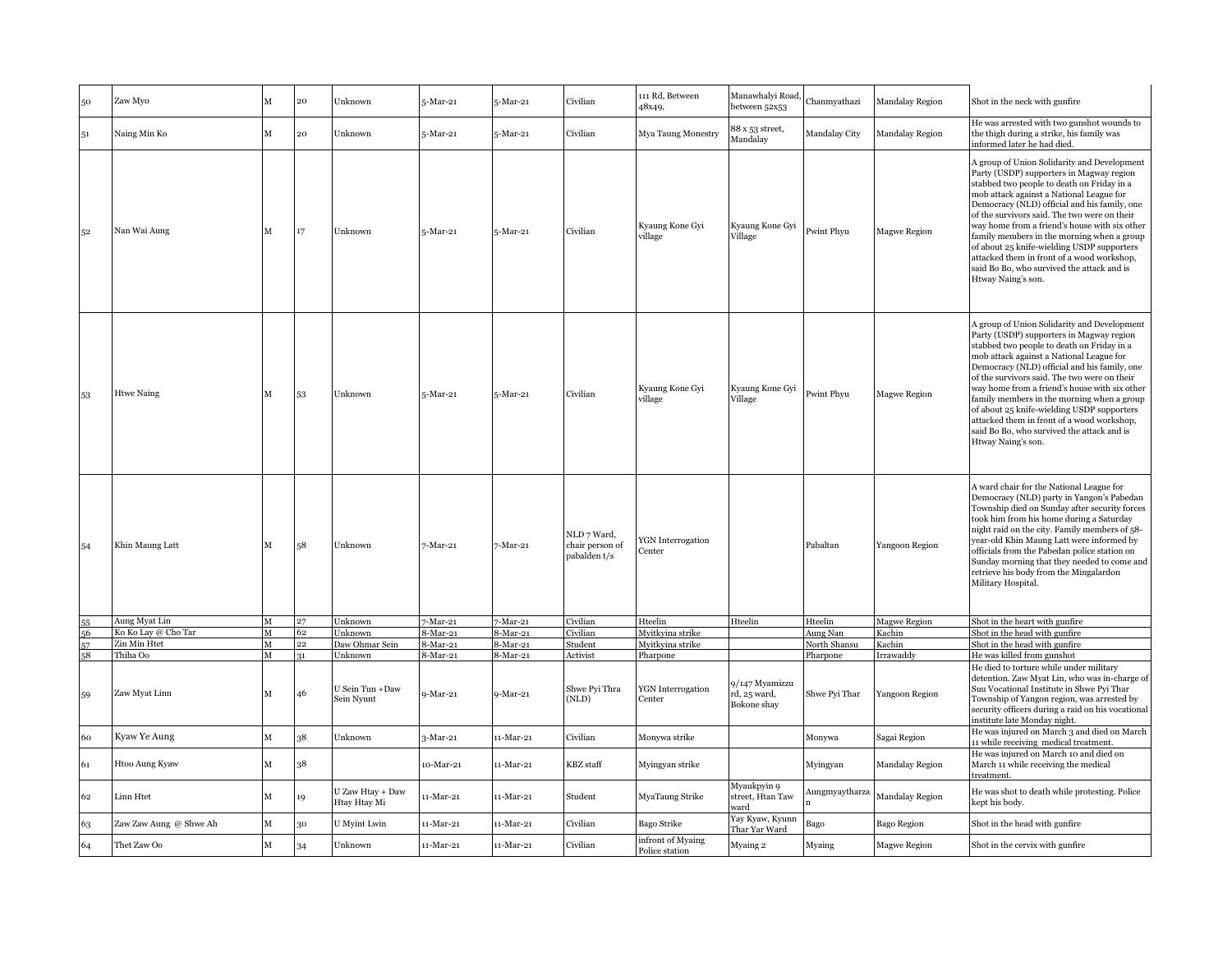| 50 | Zaw Myo                             | М            | 20           | Unknown                          | 5-Mar-21             | 5-Mar-21                 | Civilian                                       | 111 Rd, Between<br>48x49,            | Manawhalyi Road<br>between 52x53              | Chanmyathazi             | Mandalay Region     | Shot in the neck with gunfire                                                                                                                                                                                                                                                                                                                                                                                                                                                                                                                    |
|----|-------------------------------------|--------------|--------------|----------------------------------|----------------------|--------------------------|------------------------------------------------|--------------------------------------|-----------------------------------------------|--------------------------|---------------------|--------------------------------------------------------------------------------------------------------------------------------------------------------------------------------------------------------------------------------------------------------------------------------------------------------------------------------------------------------------------------------------------------------------------------------------------------------------------------------------------------------------------------------------------------|
| 51 | Naing Min Ko                        | M            | 20           | Unknown                          | 5-Mar-21             | 5-Mar-21                 | Civilian                                       | <b>Mya Taung Monestry</b>            | 88 x 53 street,<br>Mandalay                   | Mandalay City            | Mandalay Region     | He was arrested with two gunshot wounds to<br>the thigh during a strike, his family was<br>informed later he had died.                                                                                                                                                                                                                                                                                                                                                                                                                           |
| 52 | Nan Wai Aung                        | M            | 17           | Unknown                          | 5-Mar-21             | 5-Mar-21                 | Civilian                                       | Kyaung Kone Gyi<br>village           | Kyaung Kone Gyi<br>Village                    | Pwint Phyu               | <b>Magwe Region</b> | A group of Union Solidarity and Development<br>Party (USDP) supporters in Magway region<br>stabbed two people to death on Friday in a<br>mob attack against a National League for<br>Democracy (NLD) official and his family, one<br>of the survivors said. The two were on their<br>way home from a friend's house with six other<br>family members in the morning when a group<br>of about 25 knife-wielding USDP supporters<br>attacked them in front of a wood workshop,<br>said Bo Bo, who survived the attack and is<br>Htway Naing's son. |
| 53 | <b>Htwe Naing</b>                   | $\mathbf M$  | 53           | Unknown                          | 5-Mar-21             | 5-Mar-21                 | Civilian                                       | Kyaung Kone Gyi<br>village           | Kyaung Kone Gyi<br>Village                    | Pwint Phyu               | <b>Magwe Region</b> | A group of Union Solidarity and Development<br>Party (USDP) supporters in Magway region<br>stabbed two people to death on Friday in a<br>mob attack against a National League for<br>Democracy (NLD) official and his family, one<br>of the survivors said. The two were on their<br>way home from a friend's house with six other<br>family members in the morning when a group<br>of about 25 knife-wielding USDP supporters<br>attacked them in front of a wood workshop,<br>said Bo Bo, who survived the attack and is<br>Htway Naing's son. |
| 54 | Khin Maung Latt                     | м            | 58           | Unknown                          | 7-Mar-21             | 7-Mar-21                 | NLD 7 Ward,<br>chair person of<br>pabalden t/s | YGN Interrogation<br>Center          |                                               | Pabaltan                 | Yangoon Region      | A ward chair for the National League for<br>Democracy (NLD) party in Yangon's Pabedan<br>Township died on Sunday after security forces<br>took him from his home during a Saturday<br>night raid on the city. Family members of 58-<br>year-old Khin Maung Latt were informed by<br>officials from the Pabedan police station on<br>Sunday morning that they needed to come and<br>retrieve his body from the Mingalardon<br>Military Hospital.                                                                                                  |
|    | Aung Myat Lin                       | M            | 27           | Unknown                          | 7-Mar-21             | 7-Mar-21                 | Civilian                                       | Hteelin                              | Hteelin                                       | Hteelin                  | <b>Magwe Region</b> | Shot in the heart with gunfire                                                                                                                                                                                                                                                                                                                                                                                                                                                                                                                   |
| 56 | Ko Ko Lay @ Cho Tar<br>Zin Min Htet | M<br>M       | 62<br>$22\,$ | Jnknown<br>Daw Ohmar Sein        | 8-Mar-21<br>8-Mar-21 | $8-Mar-21$<br>$8-Mar-21$ | Civilian<br>Student                            | Myitkyina strike<br>Myitkyina strike |                                               | Aung Nan<br>North Shansu | Kachin<br>Kachin    | Shot in the head with gunfire<br>Shot in the head with gunfire                                                                                                                                                                                                                                                                                                                                                                                                                                                                                   |
| 58 | Thiha Oo                            | M            | 31           | Unknown                          | 8-Mar-21             | 8-Mar-21                 | Activist                                       | Pharpone                             |                                               | Pharpone                 | Irrawaddy           | He was killed from gunshot                                                                                                                                                                                                                                                                                                                                                                                                                                                                                                                       |
| 59 | Zaw Myat Linn                       | $\mathbf M$  | 46           | U Sein Tun +Daw<br>Sein Nyunt    | 9-Mar-21             | 9-Mar-21                 | Shwe Pyi Thra<br>(NLD)                         | YGN Interrogation<br>Center          | 9/147 Myamizzu<br>rd, 25 ward,<br>Bokone shay | Shwe Pyi Thar            | Yangoon Region      | He died to torture while under military<br>detention. Zaw Myat Lin, who was in-charge of<br>Suu Vocational Institute in Shwe Pyi Thar<br>Township of Yangon region, was arrested by<br>security officers during a raid on his vocational<br>institute late Monday night.                                                                                                                                                                                                                                                                         |
| 60 | Kyaw Ye Aung                        | $\mathbf{M}$ | 38           | Unknown                          | $-Mar-21$            | 11-Mar-21                | Civilian                                       | Monywa strike                        |                                               | Monywa                   | Sagai Region        | He was injured on March 3 and died on March<br>11 while receiving medical treatment.                                                                                                                                                                                                                                                                                                                                                                                                                                                             |
| 61 | Htoo Aung Kyaw                      | M            | 38           |                                  | 10-Mar-21            | 11-Mar-21                | KBZ staff                                      | Myingyan strike                      |                                               | Myingyan                 | Mandalay Region     | He was injured on March 10 and died on<br>March 11 while receiving the medical<br>treatment.                                                                                                                                                                                                                                                                                                                                                                                                                                                     |
| 62 | Linn Htet                           | $\mathbf M$  | 19           | U Zaw Htay + Daw<br>Htay Htay Mi | 11-Mar-21            | 11-Mar-21                | Student                                        | MyaTaung Strike                      | Myaukpyin 9<br>street, Htan Taw<br>vard       | Aungmyaytharza           | Mandalay Region     | He was shot to death while protesting. Police<br>tept his body.                                                                                                                                                                                                                                                                                                                                                                                                                                                                                  |
| 63 | Zaw Zaw Aung @ Shwe Ah              | M            | 30           | U Myint Lwin                     | 11-Mar-21            | 11-Mar-21                | Civilian                                       | Bago Strike                          | Yay Kyaw, Kyunn<br>Thar Yar Ward              | Bago                     | Bago Region         | Shot in the head with gunfire                                                                                                                                                                                                                                                                                                                                                                                                                                                                                                                    |
| 64 | Thet Zaw Oo                         | $\mathbf M$  | 34           | Unknown                          | 11-Mar-21            | 11-Mar-21                | Civilian                                       | infront of Myaing<br>Police station  | Myaing 2                                      | Myaing                   | <b>Magwe Region</b> | Shot in the cervix with gunfire                                                                                                                                                                                                                                                                                                                                                                                                                                                                                                                  |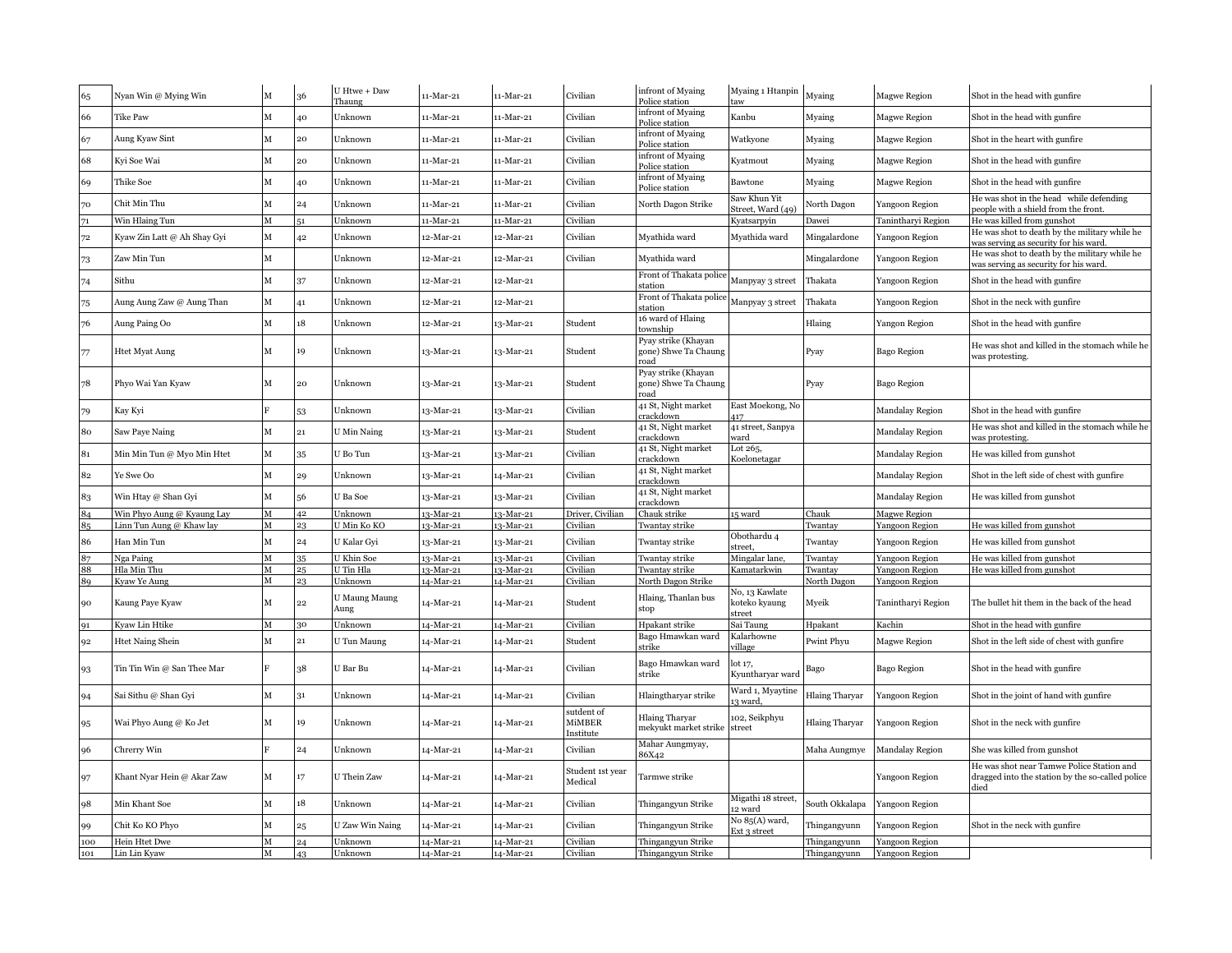|           | Nyan Win @ Mying Win        | М            | 36      | U Htwe + Daw<br>Thaung | 11-Mar-21  | 11-Mar-21 | Civilian                          | infront of Myaing<br>Police station                 | Myaing 1 Htanpin<br>taw                   | Myaing                | <b>Magwe Region</b>    | Shot in the head with gunfire                                                                         |
|-----------|-----------------------------|--------------|---------|------------------------|------------|-----------|-----------------------------------|-----------------------------------------------------|-------------------------------------------|-----------------------|------------------------|-------------------------------------------------------------------------------------------------------|
| 66        | Tike Paw                    | M            | 40      | Unknown                | 11-Mar-21  | 11-Mar-21 | Civilian                          | infront of Myaing<br>Police station                 | Kanbu                                     | Myaing                | Magwe Region           | Shot in the head with gunfire                                                                         |
|           | Aung Kyaw Sint              | $\mathbf M$  | 20      | Unknown                | 11-Mar-21  | 11-Mar-21 | Civilian                          | nfront of Myaing<br>Police station                  | Watkyone                                  | Myaing                | Magwe Region           | Shot in the heart with gunfire                                                                        |
| 68        | Kyi Soe Wai                 | $\mathbf M$  | 20      | Unknown                | 11-Mar-21  | 11-Mar-21 | Civilian                          | infront of Myaing<br>olice station?                 | Kyatmout                                  | Myaing                | Magwe Region           | Shot in the head with gunfire                                                                         |
|           | Thike Soe                   | М            | 4O      | Unknown                | 11-Mar-21  | 11-Mar-21 | Civilian                          | infront of Myaing<br>Police station                 | Bawtone                                   | Myaing                | <b>Magwe Region</b>    | Shot in the head with gunfire                                                                         |
| 70        | Chit Min Thu                | M            | 24      | Unknown                | 11-Mar-21  | 11-Mar-21 | Civilian                          | North Dagon Strike                                  | Saw Khun Yit<br>Street, Ward (49)         | North Dagon           | Yangoon Region         | He was shot in the head while defending<br>people with a shield from the front.                       |
| 71        | Win Hlaing Tun              | M            | 51      | Unknown                | 11-Mar-21  | 11-Mar-21 | Civilian                          |                                                     | Kyatsarpyin                               | Dawei                 | Tanintharyi Region     | He was killed from gunshot                                                                            |
| 72        | Kyaw Zin Latt @ Ah Shay Gyi | M            | 42      | Unknown                | 12-Mar-21  | 12-Mar-21 | Civilian                          | Myathida ward                                       | Myathida ward                             | Mingalardone          | Yangoon Region         | He was shot to death by the military while he<br>was serving as security for his ward.                |
|           | Zaw Min Tun                 | M            |         | Unknown                | 12-Mar-21  | 12-Mar-21 | Civilian                          | Myathida ward                                       |                                           | Mingalardone          | Yangoon Region         | He was shot to death by the military while he<br>was serving as security for his ward                 |
|           | Sithu                       | $\mathbf M$  | 37      | Unknown                | 12-Mar-21  | 12-Mar-21 |                                   | Front of Thakata police<br>station                  | Manpyay 3 street                          | Thakata               | Yangoon Region         | Shot in the head with gunfire                                                                         |
| 75        | Aung Aung Zaw @ Aung Than   | $\mathbf M$  | $^{11}$ | Unknown                | 12-Mar-21  | 12-Mar-21 |                                   | Front of Thakata police<br>station                  | Manpyay 3 street                          | Thakata               | Yangoon Region         | Shot in the neck with gunfire                                                                         |
| 76        | Aung Paing Oo               | М            | 18      | Unknown                | 12-Mar-21  | 13-Mar-21 | Student                           | 16 ward of Hlaing<br>township                       |                                           | Hlaing                | Yangon Region          | Shot in the head with gunfire                                                                         |
| 77        | <b>Htet Myat Aung</b>       | M            | 19      | Unknown                | 13-Mar-21  | 13-Mar-21 | Student                           | Pyay strike (Khayan<br>gone) Shwe Ta Chaung<br>oad: |                                           | Pyay                  | Bago Region            | He was shot and killed in the stomach while he<br>was protesting.                                     |
| 78        | Phyo Wai Yan Kyaw           | $\mathbf{M}$ | 20      | Unknown                | 13-Mar-21  | 13-Mar-21 | Student                           | Pyay strike (Khayan<br>gone) Shwe Ta Chaung<br>road |                                           | Pyay                  | <b>Bago Region</b>     |                                                                                                       |
|           | Kay Kyi                     |              | 53      | Unknown                | 13-Mar-21  | 13-Mar-21 | Civilian                          | 41 St, Night market<br>crackdown                    | East Moekong, No                          |                       | Mandalay Region        | Shot in the head with gunfire                                                                         |
| 80        | Saw Paye Naing              | M            | 21      | U Min Naing            | 13-Mar-21  | 13-Mar-21 | Student                           | 41 St, Night market<br>rackdown                     | 41 street, Sanpya<br>ward                 |                       | Mandalay Region        | He was shot and killed in the stomach while he<br>was protesting.                                     |
| 81        | Min Min Tun @ Myo Min Htet  | м            | 35      | $\,$ U Bo Tun $\,$     | 13-Mar-21  | 13-Mar-21 | Civilian                          | 41 St, Night market<br>rackdown                     | Lot 265,<br>Koelonetagar                  |                       | Mandalay Region        | He was killed from gunshot                                                                            |
| 82        | Ye Swe Oo                   | $\mathbf{M}$ | 29      | Unknown                | 13-Mar-21  | 14-Mar-21 | Civilian                          | 41 St, Night market<br>rackdown                     |                                           |                       | Mandalay Region        | Shot in the left side of chest with gunfire                                                           |
| 83        | Win Htay @ Shan Gyi         | $\mathbf{M}$ | 56      | U Ba Soe               | 13-Mar-21  | 13-Mar-21 | Civilian                          | 41 St, Night market<br>:rackdown                    |                                           |                       | Mandalay Region        | He was killed from gunshot                                                                            |
|           | Win Phyo Aung @ Kyaung Lay  | $\mathbf{M}$ | 42      | Unknown                | $3-Mar-21$ | 13-Mar-21 | Driver, Civilian                  | Chauk strike                                        | 15 ward                                   | Chauk                 | Magwe Region           |                                                                                                       |
| 85        | Linn Tun Aung @ Khaw lay    | $\mathbf{M}$ | 23      | U Min Ko KO            | 13-Mar-21  | 13-Mar-21 | Civilian                          | Twantay strike                                      |                                           | Twantay               | Yangoon Region         | He was killed from gunshot                                                                            |
| 86        | Han Min Tun                 | М            | 24      | U Kalar Gyi            | 13-Mar-21  | 13-Mar-21 | Civilian                          | Twantay strike                                      | Obothardu 4<br>street.                    | Twantay               | Yangoon Region         | He was killed from gunshot                                                                            |
|           | Nga Paing                   | M            | 35      | U Khin Soe             | 13-Mar-21  | 13-Mar-21 | Civilian                          | Twantay strike                                      | Mingalar lane,                            | Twantay               | Yangoon Region         | He was killed from gunshot                                                                            |
| 88        | Hla Min Thu                 | $\mathbf M$  | 25      | U Tin Hla              | 13-Mar-21  | 13-Mar-21 | Civilian                          | Twantay strike                                      | Kamatarkwin                               | Twantay               | Yangoon Region         | He was killed from gunshot                                                                            |
| 89        | Kyaw Ye Aung                | M            | 23      | Unknown                | 14-Mar-21  | 14-Mar-21 | Civilian                          | North Dagon Strike                                  |                                           | North Dagon           | Yangoon Region         |                                                                                                       |
| 90        | Kaung Paye Kyaw             | М            | 22      | U Maung Maung<br>Aung  | 14-Mar-21  | 14-Mar-21 | Student                           | Hlaing, Thanlan bus<br>stop                         | No, 13 Kawlate<br>koteko kyaung<br>street | Myeik                 | Tanintharyi Region     | The bullet hit them in the back of the head                                                           |
| 91        | Kyaw Lin Htike              | м            | 30      | Unknown                | 14-Mar-21  | 14-Mar-21 | Civilian                          | Hpakant strike                                      | Sai Taung                                 | Hpakant               | Kachin                 | Shot in the head with gunfire                                                                         |
| 92        | Htet Naing Shein            | $\mathbf M$  | 21      | U Tun Maung            | 14-Mar-21  | 14-Mar-21 | Student                           | Bago Hmawkan ward                                   | Kalarhowne                                | Pwint Phyu            | <b>Magwe Region</b>    | Shot in the left side of chest with gunfire                                                           |
| 93        | Tin Tin Win @ San Thee Mar  |              | 38      | U Bar Bu               | 14-Mar-21  | 14-Mar-21 | Civilian                          | strike<br>Bago Hmawkan ward<br>strike               | village<br>lot 17,<br>Kyuntharyar ward    | Bago                  | Bago Region            | Shot in the head with gunfire                                                                         |
| 94        | Sai Sithu @ Shan Gyi        | M            | 31      | Unknown                | 14-Mar-21  | 14-Mar-21 | Civilian                          | Hlaingtharyar strike                                | Ward 1, Myaytine<br>3 ward                | <b>Hlaing Tharvar</b> | Yangoon Region         | Shot in the joint of hand with gunfire                                                                |
| 95        | Wai Phyo Aung @ Ko Jet      | М            | 19      | Unknown                | 14-Mar-21  | 14-Mar-21 | sutdent of<br>MiMBER<br>Institute | Hlaing Tharyar<br>nekyukt market strike             | 102, Seikphyu<br>street                   | <b>Hlaing Tharyar</b> | Yangoon Region         | Shot in the neck with gunfire                                                                         |
| 96        | Chrerry Win                 |              | 24      | Unknown                | 14-Mar-21  | 4-Mar-21  | Civilian                          | Mahar Aungmyay,<br>86X42                            |                                           | Maha Aungmye          | <b>Mandalay Region</b> | She was killed from gunshot                                                                           |
| 97        | Khant Nyar Hein @ Akar Zaw  | М            | 17      | U Thein Zaw            | 14-Mar-21  | 14-Mar-21 | Student 1st year<br>Medical       | Tarmwe strike                                       |                                           |                       | Yangoon Region         | He was shot near Tamwe Police Station and<br>dragged into the station by the so-called police<br>died |
| 98        | Min Khant Soe               | $\mathbf{M}$ | 18      | Unknown                | 14-Mar-21  | 14-Mar-21 | Civilian                          | Thingangyun Strike                                  | Migathi 18 street,<br>12 ward             | South Okkalapa        | Yangoon Region         |                                                                                                       |
| <b>QQ</b> | Chit Ko KO Phyo             | M            | 25      | <b>U Zaw Win Naing</b> | 14-Mar-21  | 14-Mar-21 | Civilian                          | Thingangyun Strike                                  | No 85(A) ward,<br>Ext 3 street            | Thingangyunn          | Yangoon Region         | Shot in the neck with gunfire                                                                         |
| 100       | Hein Htet Dwe               | $\mathbf{M}$ | 24      | Unknown                | 4-Mar-21   | 14-Mar-21 | Civilian                          | Thingangyun Strike                                  |                                           | Thingangyunn          | Yangoon Region         |                                                                                                       |
| 101       | Lin Lin Kyaw                | $\mathbf M$  | 43      | Unknown                | 14-Mar-21  | 14-Mar-21 | Civilian                          | Thingangyun Strike                                  |                                           | Thingangyunn          | Yangoon Region         |                                                                                                       |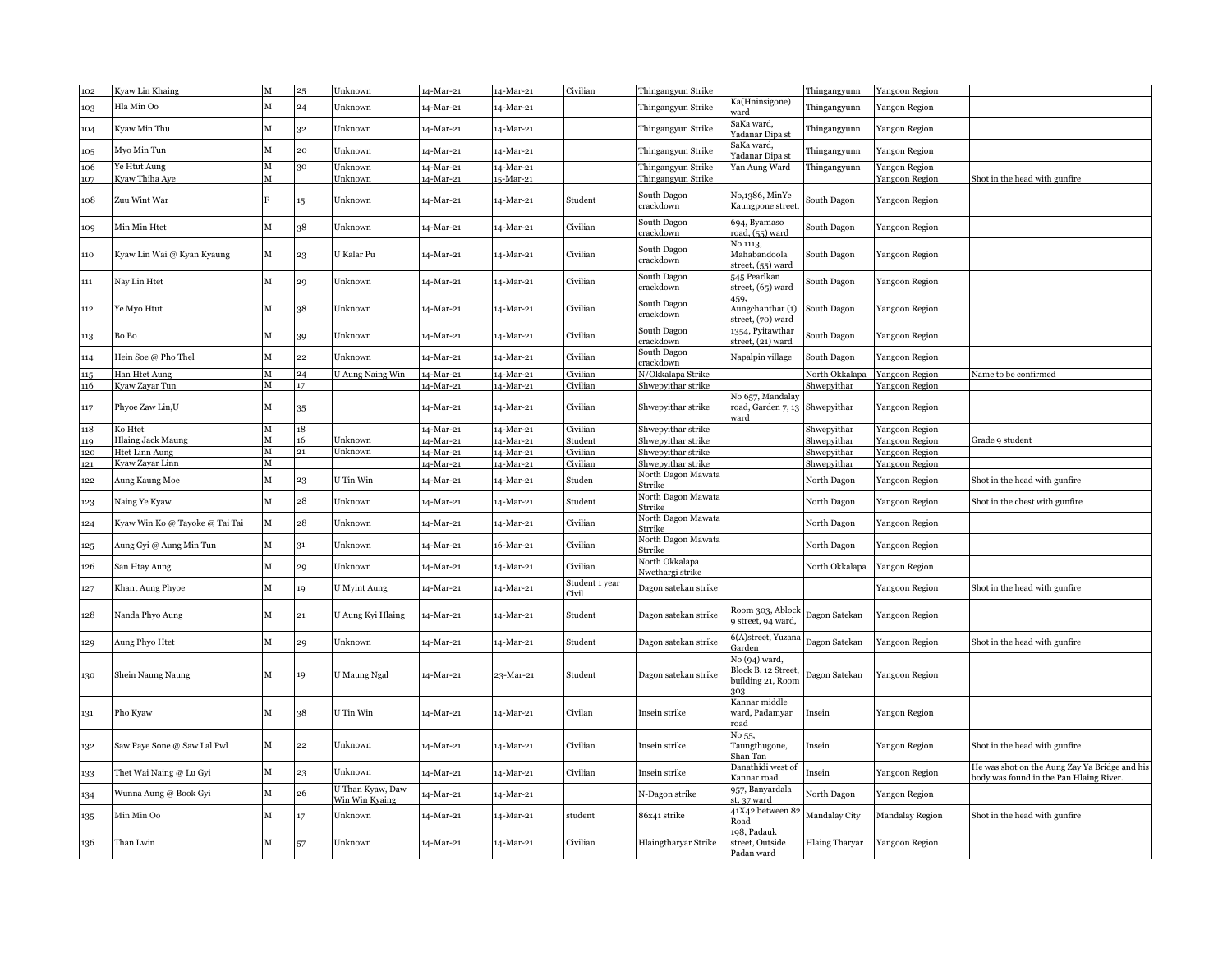| 102 | Kyaw Lin Khaing                | M            | 25        | Unknown                            | 14-Mar-21  | 14-Mar-21 | Civilian                | Thingangyun Strike                 |                                                                  | Thingangyunn          | Yangoon Region  |                                                                                          |
|-----|--------------------------------|--------------|-----------|------------------------------------|------------|-----------|-------------------------|------------------------------------|------------------------------------------------------------------|-----------------------|-----------------|------------------------------------------------------------------------------------------|
| 103 | Hla Min Oo                     | M            | 24        | Unknown                            | 14-Mar-21  | 14-Mar-21 |                         | Thingangyun Strike                 | Ka(Hninsigone)<br>vard                                           | Thingangyunn          | Yangon Region   |                                                                                          |
| 104 | Kyaw Min Thu                   | $\mathbf M$  | 32        | Unknown                            | 14-Mar-21  | 14-Mar-21 |                         | Thingangyun Strike                 | SaKa ward,<br>adanar Dipa st                                     | Thingangyunn          | Yangon Region   |                                                                                          |
| 105 | Myo Min Tun                    | М            | 20        | Unknown                            | 14-Mar-21  | 14-Mar-21 |                         | Thingangyun Strike                 | SaKa ward,<br>Yadanar Dipa st                                    | Thingangyunn          | Yangon Region   |                                                                                          |
| 106 | Ye Htut Aung                   |              | 30        | Unknown                            | 4-Mar-21   | 14-Mar-21 |                         | Thingangyun Strike                 | Yan Aung Ward                                                    | Thingangyunn          | Yangon Region   |                                                                                          |
| 107 | Kyaw Thiha Aye                 | M            |           | Unknown                            | 14-Mar-21  | 15-Mar-21 |                         | Thingangyun Strike                 |                                                                  |                       | Yangoon Region  | Shot in the head with gunfire                                                            |
| 108 | Zuu Wint War                   |              | 15        | Unknown                            | 14-Mar-21  | 14-Mar-21 | Student                 | South Dagon<br>crackdown           | No,1386, MinYe<br>Kaungpone street                               | South Dagon           | Yangoon Region  |                                                                                          |
| 109 | Min Min Htet                   | M            | 38        | Unknown                            | 14-Mar-21  | 14-Mar-21 | Civilian                | South Dagon<br>rackdown            | 694, Byamaso<br>road, (55) ward                                  | South Dagon           | Yangoon Region  |                                                                                          |
| 110 | Kyaw Lin Wai @ Kyan Kyaung     | М            | 23        | U Kalar Pu                         | 14-Mar-21  | 14-Mar-21 | Civilian                | South Dagon<br>crackdown           | No 1113,<br>Mahabandoola<br>street, (55) ward                    | South Dagon           | Yangoon Region  |                                                                                          |
| 111 | Nav Lin Htet                   | M            | 29        | Unknown                            | 14-Mar-21  | 14-Mar-21 | Civilian                | South Dagon<br>crackdown           | 545 Pearlkan<br>street, (65) ward                                | South Dagon           | Yangoon Region  |                                                                                          |
| 112 | Ye Myo Htut                    | $\mathbf M$  | 38        | Unknown                            | 14-Mar-21  | 14-Mar-21 | Civilian                | South Dagon<br>crackdown           | 459,<br>Aungchanthar (1)<br>street, (70) ward                    | South Dagon           | Yangoon Region  |                                                                                          |
| 113 | Bo Bo                          | M            | 39        | Unknown                            | 14-Mar-21  | 14-Mar-21 | Civilian                | South Dagon<br>rackdown            | 1354, Pyitawthar<br>street, (21) ward                            | South Dagon           | Yangoon Region  |                                                                                          |
| 114 | Hein Soe @ Pho Thel            | M            | 22        | Unknown                            | 4-Mar-21   | 14-Mar-21 | Civilian                | South Dagon<br>rackdown            | Napalpin village                                                 | South Dagon           | Yangoon Region  |                                                                                          |
| 115 | Han Htet Aung                  | м            | 24        | U Aung Naing Win                   | 4-Mar-21   | 14-Mar-21 | Civilian                | N/Okkalapa Strike                  |                                                                  | North Okkalapa        | Yangoon Region  | Name to be confirmed                                                                     |
| 116 | Kyaw Zayar Tun                 | м            | 17        |                                    | 4-Mar-21   | 14-Mar-21 | Civilian                | Shwepyithar strike                 |                                                                  | Shwepyithar           | Yangoon Region  |                                                                                          |
| 117 | Phyoe Zaw Lin, U               | М            | 35        |                                    | 14-Mar-21  | 14-Mar-21 | Civilian                | Shwepyithar strike                 | No 657, Mandalay<br>road, Garden 7, 13 Shwepyithar<br>vard       |                       | Yangoon Region  |                                                                                          |
| 118 | Ko Htet                        | M            | 18        |                                    | 14-Mar-21  | 14-Mar-21 | Civilian                | Shwepyithar strike                 |                                                                  | Shwepyithar           | Yangoon Region  |                                                                                          |
| 110 | <b>Hlaing Jack Maung</b>       | $\mathbf{M}$ | 16        | Unknown                            | 4-Mar-21   | 14-Mar-21 | Student                 | Shwepyithar strike                 |                                                                  | Shwepyithar           | Yangoon Region  | Grade 9 student                                                                          |
| 120 | Htet Linn Aung                 | M            | $\bf{21}$ | Unknown                            | $4-Mar-21$ | 14-Mar-21 | Civilian                | Shwepyithar strike                 |                                                                  | Shwepyithar           | Yangoon Region  |                                                                                          |
| 121 | Kyaw Zayar Linn                | м            |           |                                    | 4-Mar-21   | 14-Mar-21 | Civilian                | Shwepyithar strike                 |                                                                  | Shwepyithar           | Yangoon Region  |                                                                                          |
| 122 | Aung Kaung Moe                 | м            | 23        | U Tin Win                          | 4-Mar-21   | 14-Mar-21 | Studen                  | North Dagon Mawata<br>Strrike      |                                                                  | North Dagon           | Yangoon Region  | Shot in the head with gunfire                                                            |
| 123 | Naing Ye Kyaw                  | M            | 28        | Unknown                            | 14-Mar-21  | 14-Mar-21 | Student                 | North Dagon Mawata<br>Strrike      |                                                                  | North Dagon           | Yangoon Region  | Shot in the chest with gunfire                                                           |
| 124 | Kyaw Win Ko @ Tayoke @ Tai Tai | M            | 28        | Unknown                            | 4-Mar-21   | 14-Mar-21 | Civilian                | North Dagon Mawata<br>Strrike      |                                                                  | North Dagon           | Yangoon Region  |                                                                                          |
| 125 | Aung Gyi @ Aung Min Tun        | М            | 31        | Unknown                            | 14-Mar-21  | 16-Mar-21 | Civilian                | North Dagon Mawata<br>Strrike      |                                                                  | North Dagon           | Yangoon Region  |                                                                                          |
| 126 | San Htay Aung                  | M            | 29        | Unknown                            | 14-Mar-21  | 14-Mar-21 | Civilian                | North Okkalapa<br>Nwethargi strike |                                                                  | North Okkalapa        | Yangon Region   |                                                                                          |
| 127 | Khant Aung Phyoe               | M            | 19        | <b>U</b> Myint Aung                | 14-Mar-21  | 14-Mar-21 | Student 1 year<br>Civil | Dagon satekan strike               |                                                                  |                       | Yangoon Region  | Shot in the head with gunfire                                                            |
| 128 | Nanda Phyo Aung                | M            | 21        | U Aung Kyi Hlaing                  | 14-Mar-21  | 14-Mar-21 | Student                 | Dagon satekan strike               | Room 303, Ablock<br>9 street, 94 ward,                           | Dagon Satekan         | Yangoon Region  |                                                                                          |
| 129 | Aung Phyo Htet                 | M            | 29        | Unknown                            | 14-Mar-21  | 14-Mar-21 | Student                 | Dagon satekan strike               | 5(A)street, Yuzana<br>Garden                                     | Dagon Satekan         | Yangoon Region  | Shot in the head with gunfire                                                            |
| 130 | Shein Naung Naung              | $\mathbf M$  | 19        | U Maung Ngal                       | 14-Mar-21  | 23-Mar-21 | Student                 | Dagon satekan strike               | No (94) ward,<br>Block B, 12 Street,<br>building 21, Room<br>303 | Dagon Satekan         | Yangoon Region  |                                                                                          |
| 131 | Pho Kyaw                       | $\mathbf M$  | 38        | U Tin Win                          | 14-Mar-21  | 14-Mar-21 | Civilan                 | Insein strike                      | Kannar middle<br>ward, Padamyar<br>road                          | Insein                | Yangon Region   |                                                                                          |
| 132 | Saw Paye Sone @ Saw Lal Pwl    | $\mathbf{M}$ | 22        | Unknown                            | 14-Mar-21  | 14-Mar-21 | Civilian                | Insein strike                      | No 55,<br>Taungthugone,<br>Shan Tan                              | Insein                | Yangon Region   | Shot in the head with gunfire                                                            |
| 133 | Thet Wai Naing @ Lu Gyi        | M            | 23        | Unknown                            | 4-Mar-21   | 14-Mar-21 | Civilian                | Insein strike                      | Danathidi west of<br>Kannar road                                 | Insein                | Yangoon Region  | He was shot on the Aung Zay Ya Bridge and his<br>body was found in the Pan Hlaing River. |
| 134 | Wunna Aung @ Book Gyi          | M            | 26        | U Than Kyaw, Daw<br>Win Win Kyaing | 14-Mar-21  | 14-Mar-21 |                         | N-Dagon strike                     | 957, Banyardala<br>st, 37 ward                                   | North Dagon           | Yangon Region   |                                                                                          |
| 135 | Min Min Oo                     | M            | 17        | Unknown                            | 14-Mar-21  | 14-Mar-21 | student                 | 86x41 strike                       | 41X42 between 82<br>Road                                         | Mandalay City         | Mandalay Region | Shot in the head with gunfire                                                            |
| 136 | Than Lwin                      | $\mathbf M$  | 57        | Unknown                            | 14-Mar-21  | 14-Mar-21 | Civilian                | Hlaingtharyar Strike               | 198. Padauk<br>street, Outside<br>Padan ward                     | <b>Hlaing Tharyar</b> | Yangoon Region  |                                                                                          |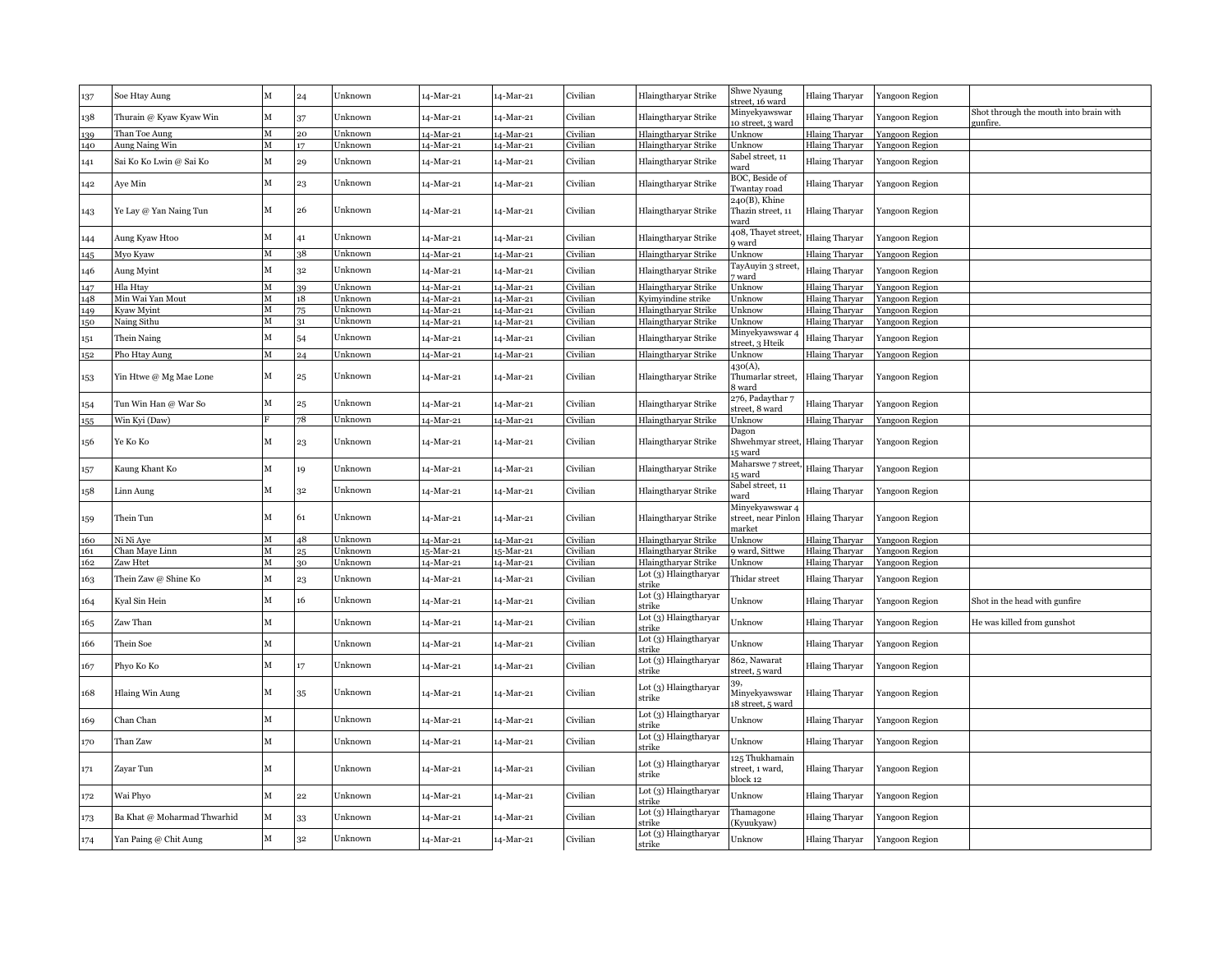| 137 | Soe Htay Aung               | M                                                     | 24           | Unknown | 14-Mar-21 | 14-Mar-21 | Civilian | Hlaingtharyar Strike            | Shwe Nyaung<br>treet, 16 ward                                   | <b>Hlaing Tharyar</b> | Yangoon Region |                                                   |
|-----|-----------------------------|-------------------------------------------------------|--------------|---------|-----------|-----------|----------|---------------------------------|-----------------------------------------------------------------|-----------------------|----------------|---------------------------------------------------|
| 138 | Thurain @ Kyaw Kyaw Win     | $\mathbf M$                                           | 37           | Unknown | 14-Mar-21 | 14-Mar-21 | Civilian | Hlaingtharyar Strike            | Minyekyawswar<br>o street, 3 ward                               | <b>Hlaing Tharyar</b> | Yangoon Region | Shot through the mouth into brain with<br>unfire. |
| 139 | Than Toe Aung               | M                                                     | 20           | Jnknown | 14-Mar-21 | 14-Mar-21 | Civilian | Hlaingtharyar Strike            | Jnknow                                                          | <b>Hlaing Tharyar</b> | Yangoon Region |                                                   |
| 140 | Aung Naing Win              | М                                                     | 17           | Unknown | 14-Mar-21 | 14-Mar-21 | Civilian | Hlaingtharyar Strike            | Jnknow                                                          | <b>Hlaing Tharyar</b> | Yangoon Region |                                                   |
| 141 | Sai Ko Ko Lwin @ Sai Ko     | М                                                     | 29           | Unknown | 14-Mar-21 | 14-Mar-21 | Civilian | Hlaingtharyar Strike            | Sabel street, 11<br>vard                                        | Hlaing Tharyar        | Yangoon Region |                                                   |
| 142 | Aye Min                     | M                                                     | 23           | Unknown | 14-Mar-21 | 14-Mar-21 | Civilian | Hlaingtharyar Strike            | BOC, Beside of<br>Twantay road                                  | Hlaing Tharyar        | Yangoon Region |                                                   |
| 143 | Ye Lay @ Yan Naing Tun      | $\mathbf M$                                           | 26           | Unknown | 14-Mar-21 | 14-Mar-21 | Civilian | Hlaingtharyar Strike            | 240(B), Khine<br>Thazin street, 11<br>vard                      | Hlaing Tharyar        | Yangoon Region |                                                   |
| 144 | Aung Kyaw Htoo              | $\mathbf M$                                           | 41           | Unknown | 14-Mar-21 | 14-Mar-21 | Civilian | Hlaingtharyar Strike            | 408, Thayet street<br>) ward                                    | Hlaing Tharyar        | Yangoon Region |                                                   |
| 145 | Myo Kyaw                    | M                                                     | 38           | Unknown | 14-Mar-21 | 14-Mar-21 | Civilian | Hlaingtharyar Strike            | Unknow                                                          | Hlaing Tharyar        | Yangoon Region |                                                   |
| 146 | Aung Myint                  | $\mathbf M$                                           | 32           | Unknown | 14-Mar-21 | 14-Mar-21 | Civilian | Hlaingtharyar Strike            | FayAuyin 3 street<br>ward                                       | <b>Hlaing Tharyar</b> | Yangoon Region |                                                   |
| 147 | Hla Htav                    | $\mathbf{M}$                                          | 39           | Unknown | 14-Mar-21 | 14-Mar-21 | Civilian | Hlaingtharyar Strike            | Unknow                                                          | <b>Hlaing Tharyar</b> | Yangoon Region |                                                   |
| 148 | Min Wai Yan Mout            | М                                                     | 18           | Unknown | 14-Mar-21 | 14-Mar-21 | Civilian | Kyimyindine strike              | Jnknow                                                          | Hlaing Tharyar        | Yangoon Region |                                                   |
| 149 | Kyaw Myint                  | М                                                     | 75           | Unknown | 14-Mar-21 | 14-Mar-21 | Civilian | Hlaingtharyar Strike            | Jnknow                                                          | <b>Hlaing Tharyar</b> | Yangoon Region |                                                   |
| 150 | Naing Sithu                 | M                                                     |              | Unknown | 14-Mar-21 | 14-Mar-21 | Civilian | Hlaingtharyar Strike            | Jnknow                                                          | <b>Hlaing Tharyar</b> | Yangoon Region |                                                   |
| 151 | Thein Naing                 | $\mathbf M$                                           | 54           | Unknown | 14-Mar-21 | 14-Mar-21 | Civilian | Hlaingtharvar Strike            | Minyekyawswar 4<br>treet, 3 Hteik                               | <b>Hlaing Tharyar</b> | Yangoon Region |                                                   |
| 152 | Pho Htay Aung               | $\mathbf M$                                           | 24           | Unknown | 14-Mar-21 | 14-Mar-21 | Civilian | Hlaingtharyar Strike            | Jnknow                                                          | <b>Hlaing Tharyar</b> | Yangoon Region |                                                   |
| 153 | Yin Htwe @ Mg Mae Lone      | М                                                     | 25           | Unknown | 14-Mar-21 | 14-Mar-21 | Civilian | Hlaingtharyar Strike            | 430(A),<br>Thumarlar street,<br>3 ward                          | <b>Hlaing Tharyar</b> | Yangoon Region |                                                   |
| 154 | Tun Win Han @ War So        | $\mathbf M$                                           | 25           | Unknown | 14-Mar-21 | 14-Mar-21 | Civilian | Hlaingtharyar Strike            | 276, Padaythar 7<br>street, 8 ward                              | <b>Hlaing Tharyar</b> | Yangoon Region |                                                   |
| 155 | Win Kyi (Daw)               |                                                       | 78           | Unknown | 14-Mar-21 | 14-Mar-21 | Civilian | Hlaingtharyar Strike            | Unknow                                                          | <b>Hlaing Tharyar</b> | Yangoon Region |                                                   |
| 156 | Ye Ko Ko                    | $\mathbf M$                                           | 23           | Unknown | 14-Mar-21 | 14-Mar-21 | Civilian | Hlaingtharyar Strike            | Dagon<br>Shwehmyar street, Hlaing Tharyar<br>5 ward             |                       | Yangoon Region |                                                   |
| 157 | Kaung Khant Ko              | $\mathbf M$                                           | 19           | Unknown | 14-Mar-21 | 14-Mar-21 | Civilian | Hlaingtharyar Strike            | Maharswe 7 street<br>5 ward                                     | <b>Hlaing Tharyar</b> | Yangoon Region |                                                   |
| 158 | Linn Aung                   | $\mathbf M$                                           | 32           | Unknown | 14-Mar-21 | 14-Mar-21 | Civilian | Hlaingtharyar Strike            | Sabel street, 11<br>vard                                        | <b>Hlaing Tharyar</b> | Yangoon Region |                                                   |
| 159 | Thein Tun                   | $\mathbf M$                                           | 61           | Unknown | 14-Mar-21 | 14-Mar-21 | Civilian | Hlaingtharyar Strike            | Minyekyawswar 4<br>street, near Pinlon Hlaing Tharyar<br>narket |                       | Yangoon Region |                                                   |
| 160 | Ni Ni Ave                   | $\mathbf{M}% _{T}=\mathbf{M}_{T}\times\mathbf{M}_{T}$ | 48           | Unknown | 14-Mar-21 | 14-Mar-21 | Civilian | Hlaingtharyar Strike            | Jnknow                                                          | <b>Hlaing Tharyar</b> | Yangoon Region |                                                   |
| 161 | Chan Maye Linn              | $\mathbf{M}$                                          | 25           | Unknown | 15-Mar-21 | 15-Mar-21 | Civilian | Hlaingtharyar Strike            | ward. Sittwe                                                    | <b>Hlaing Tharyar</b> | Yangoon Region |                                                   |
| 162 | Zaw Htet                    | M                                                     | 30           | Unknown | 14-Mar-21 | 14-Mar-21 | Civilian | Hlaingtharyar Strike            | Jnknow                                                          | <b>Hlaing Tharyar</b> | Yangoon Region |                                                   |
| 163 | Thein Zaw @ Shine Ko        | M                                                     | 23           | Unknown | 14-Mar-21 | 14-Mar-21 | Civilian | Lot (3) Hlaingtharyar<br>strike | Thidar street                                                   | <b>Hlaing Tharyar</b> | Yangoon Region |                                                   |
| 164 | Kyal Sin Hein               | М                                                     | 16           | Unknown | 14-Mar-21 | 14-Mar-21 | Civilian | Lot (3) Hlaingtharyar<br>strike | Unknow                                                          | <b>Hlaing Tharyar</b> | Yangoon Region | Shot in the head with gunfire                     |
| 165 | Zaw Than                    | м                                                     |              | Unknown | 14-Mar-21 | 14-Mar-21 | Civilian | Lot (3) Hlaingtharyar<br>strike | Unknow                                                          | <b>Hlaing Tharyar</b> | Yangoon Region | He was killed from gunshot                        |
| 166 | Thein Soe                   | M                                                     |              | Unknown | 14-Mar-21 | 14-Mar-21 | Civilian | Lot (3) Hlaingtharyar<br>strike | Unknow                                                          | Hlaing Tharyar        | Yangoon Region |                                                   |
| 167 | Phyo Ko Ko                  | $\mathbf M$                                           | 17           | Unknown | 14-Mar-21 | 14-Mar-21 | Civilian | Lot (3) Hlaingtharyar<br>strike | 862, Nawarat<br>street, 5 ward                                  | <b>Hlaing Tharyar</b> | Yangoon Region |                                                   |
| 168 | Hlaing Win Aung             | $\mathbf M$                                           | 35           | Unknown | 14-Mar-21 | 14-Mar-21 | Civilian | Lot (3) Hlaingtharyar<br>strike | 39,<br>Minyekyawswar<br>18 street, 5 ward                       | <b>Hlaing Tharyar</b> | Yangoon Region |                                                   |
| 169 | Chan Chan                   | $\mathbf M$                                           |              | Unknown | 14-Mar-21 | 14-Mar-21 | Civilian | Lot (3) Hlaingtharyar<br>strike | Unknow                                                          | Hlaing Tharyar        | Yangoon Region |                                                   |
| 170 | Than Zaw                    | M                                                     |              | Unknown | 14-Mar-21 | 14-Mar-21 | Civilian | Lot (3) Hlaingtharyar<br>strike | Unknow                                                          | <b>Hlaing Tharyar</b> | Yangoon Region |                                                   |
| 171 | Zayar Tun                   | $\mathbf M$                                           |              | Unknown | 14-Mar-21 | 14-Mar-21 | Civilian | Lot (3) Hlaingtharyar<br>strike | 125 Thukhamain<br>street, 1 ward,<br>olock 12                   | Hlaing Tharyar        | Yangoon Region |                                                   |
| 172 | Wai Phyo                    | М                                                     | $\bf{^{22}}$ | Unknown | 14-Mar-21 | 14-Mar-21 | Civilian | Lot (3) Hlaingtharyar<br>strike | Unknow                                                          | Hlaing Tharyar        | Yangoon Region |                                                   |
| 173 | Ba Khat @ Moharmad Thwarhid | $\mathbf M$                                           | 33           | Unknown | 14-Mar-21 | 14-Mar-21 | Civilian | Lot (3) Hlaingtharyar<br>strike | Thamagone<br>Kyuukyaw)                                          | Hlaing Tharyar        | Yangoon Region |                                                   |
| 174 | Yan Paing @ Chit Aung       | $\mathbf M$                                           | 32           | Unknown | 14-Mar-21 | 14-Mar-21 | Civilian | Lot (3) Hlaingtharyar<br>strike | Unknow                                                          | <b>Hlaing Tharyar</b> | Yangoon Region |                                                   |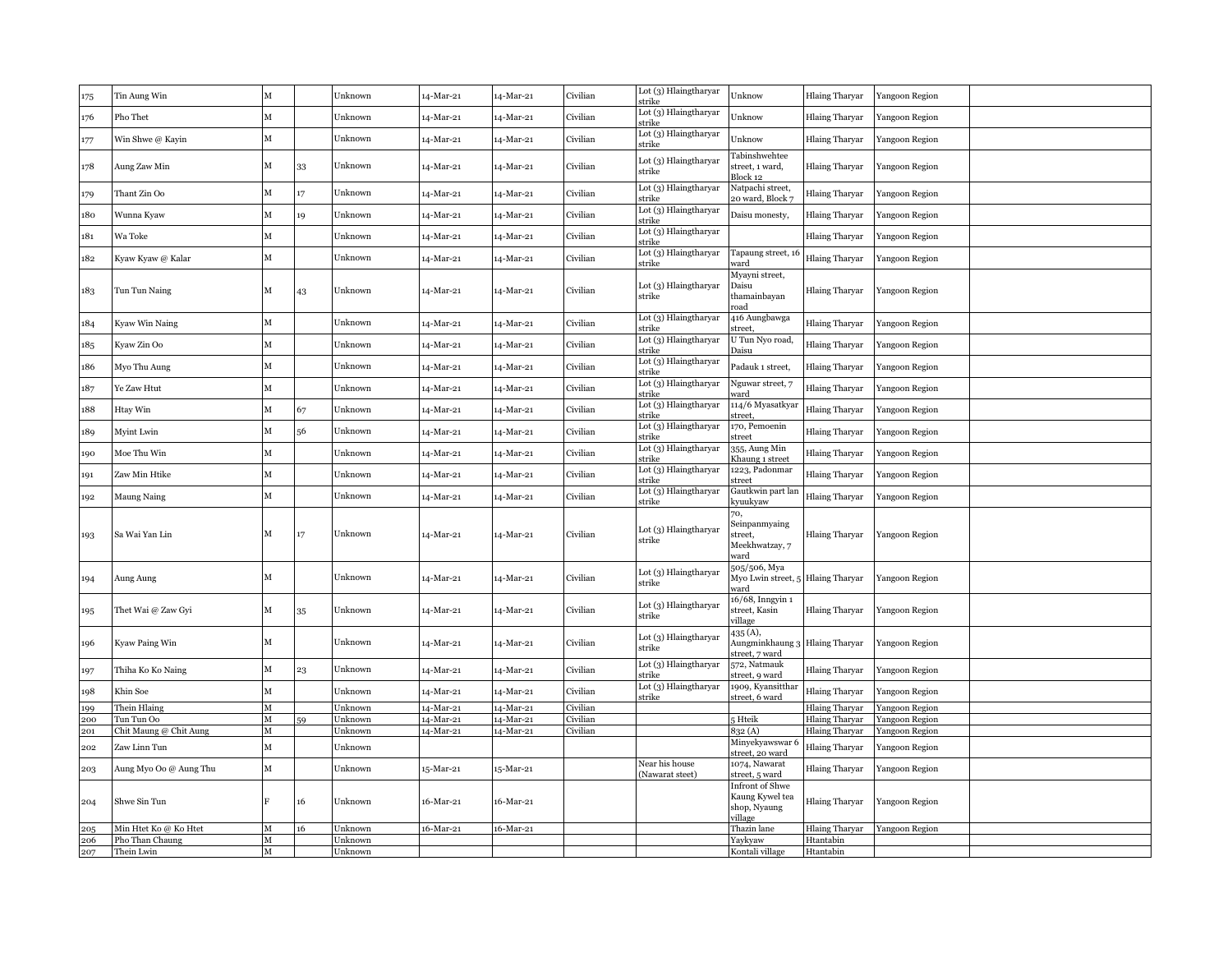| 175 | Tin Aung Win           | м  |    | Jnknown | 4-Mar-21  | 14-Mar-21 | Civilian | Lot (3) Hlaingtharyar<br>strike  | Unknow                                                        | <b>Hlaing Tharyar</b> | Yangoon Region |
|-----|------------------------|----|----|---------|-----------|-----------|----------|----------------------------------|---------------------------------------------------------------|-----------------------|----------------|
| 176 | Pho Thet               | М  |    | Unknown | 14-Mar-21 | 14-Mar-21 | Civilian | Lot (3) Hlaingtharyar<br>strike  | Unknow                                                        | <b>Hlaing Tharyar</b> | Yangoon Region |
| 177 | Win Shwe @ Kayin       | М  |    | Unknown | 14-Mar-21 | 14-Mar-21 | Civilian | Lot (3) Hlaingtharyar<br>strike  | Unknow                                                        | <b>Hlaing Tharyar</b> | Yangoon Region |
| 178 | Aung Zaw Min           | М  | 33 | Jnknown | 14-Mar-21 | 14-Mar-21 | Civilian | Lot (3) Hlaingtharyar<br>strike  | Tabinshwehtee<br>street, 1 ward,<br>Block 12                  | <b>Hlaing Tharyar</b> | Yangoon Region |
| 179 | Thant Zin Oo           | М  | 17 | Jnknown | 14-Mar-21 | 14-Mar-21 | Civilian | Lot (3) Hlaingtharyar<br>strike  | Natpachi street,<br>20 ward, Block 7                          | Hlaing Tharyar        | Yangoon Region |
| 180 | Wunna Kyaw             | М  | 19 | Jnknown | 14-Mar-21 | 14-Mar-21 | Civilian | Lot (3) Hlaingtharyar<br>strike  | Daisu monesty,                                                | Hlaing Tharyar        | Yangoon Region |
| 181 | Wa Toke                | м  |    | Jnknown | 4-Mar-21  | 14-Mar-21 | Civilian | Lot (3) Hlaingtharyar<br>strike  |                                                               | Hlaing Tharyar        | Yangoon Region |
| 182 | Kyaw Kyaw @ Kalar      | м  |    | Unknown | 4-Mar-21  | 14-Mar-21 | Civilian | Lot (3) Hlaingtharyar<br>strike  | Tapaung street, 16<br>ward                                    | <b>Hlaing Tharyar</b> | Yangoon Region |
| 183 | Tun Tun Naing          | м  | 43 | Jnknown | 14-Mar-21 | 4-Mar-21  | Civilian | Lot (3) Hlaingtharyar<br>strike  | Myayni street,<br>Daisu<br>thamainbayan<br>road               | <b>Hlaing Tharyar</b> | Yangoon Region |
| 184 | Kyaw Win Naing         | М  |    | Jnknown | 14-Mar-21 | 4-Mar-21  | Civilian | Lot (3) Hlaingtharyar<br>strike  | 416 Aungbawga<br>street,                                      | Hlaing Tharyar        | Yangoon Region |
| 185 | Kyaw Zin Oo            | М  |    | Jnknown | 14-Mar-21 | 14-Mar-21 | Civilian | Lot (3) Hlaingtharyar<br>strike  | U Tun Nyo road,<br>Daisu                                      | <b>Hlaing Tharyar</b> | Yangoon Region |
| 186 | Myo Thu Aung           | М  |    | Unknown | 4-Mar-21  | 14-Mar-21 | Civilian | Lot (3) Hlaingtharyar<br>strike  | Padauk 1 street,                                              | <b>Hlaing Tharyar</b> | Yangoon Region |
| 187 | Ye Zaw Htut            | М  |    | Unknown | 14-Mar-21 | 14-Mar-21 | Civilian | Lot (3) Hlaingtharyar<br>strike  | Nguwar street, 7<br>ward                                      | Hlaing Tharyar        | Yangoon Region |
| 188 | Htay Win               | М  | 67 | Unknown | 14-Mar-21 | 14-Mar-21 | Civilian | Lot (3) Hlaingtharyar<br>strike  | 114/6 Myasatkyar<br>street.                                   | <b>Hlaing Tharyar</b> | Yangoon Region |
| 189 | Myint Lwin             | М  | 56 | Unknown | 14-Mar-21 | 14-Mar-21 | Civilian | Lot (3) Hlaingtharyar<br>strike  | 170, Pemoenin<br>street                                       | <b>Hlaing Tharyar</b> | Yangoon Region |
| 190 | Moe Thu Win            | М  |    | Jnknown | 14-Mar-21 | 14-Mar-21 | Civilian | Lot (3) Hlaingtharyar<br>strike  | 355, Aung Min<br>Khaung 1 street                              | Hlaing Tharyar        | Yangoon Region |
| 191 | Zaw Min Htike          | М  |    | Unknown | 14-Mar-21 | 14-Mar-21 | Civilian | Lot (3) Hlaingtharyar<br>strike  | 1223, Padonmar<br>street                                      | <b>Hlaing Tharyar</b> | Yangoon Region |
| 192 | <b>Maung Naing</b>     | М  |    | Jnknown | 4-Mar-21  | 14-Mar-21 | Civilian | Lot (3) Hlaingtharyar<br>strike  | Gautkwin part lan<br>kyuukyaw                                 | <b>Hlaing Tharyar</b> | Yangoon Region |
| 193 | Sa Wai Yan Lin         | M  | 17 | Unknown | 14-Mar-21 | 14-Mar-21 | Civilian | Lot (3) Hlaingtharyar<br>strike  | 70,<br>Seinpanmyaing<br>street,<br>Meekhwatzay, 7<br>ward     | <b>Hlaing Tharyar</b> | Yangoon Region |
| 194 | Aung Aung              | М  |    | Unknown | 14-Mar-21 | 14-Mar-21 | Civilian | Lot (3) Hlaingtharyar<br>strike  | 505/506, Mya<br>Myo Lwin street, 5 Hlaing Tharyar<br>ward     |                       | Yangoon Region |
| 195 | Thet Wai @ Zaw Gyi     | м  | 35 | Unknown | 14-Mar-21 | 14-Mar-21 | Civilian | Lot (3) Hlaingtharyar<br>strike  | 16/68, Inngyin 1<br>street, Kasin<br>village                  | Hlaing Tharyar        | Yangoon Region |
| 196 | Kyaw Paing Win         | М  |    | Unknown | 4-Mar-21  | 14-Mar-21 | Civilian | Lot (3) Hlaingtharyar<br>strike  | 435 (A),<br>Aungminkhaung 3 Hlaing Tharyar<br>street, 7 ward  |                       | Yangoon Region |
| 197 | Thiha Ko Ko Naing      | М  | 23 | Unknown | 14-Mar-21 | 14-Mar-21 | Civilian | Lot (3) Hlaingtharyar<br>strike  | 572, Natmauk<br>street, 9 ward                                | Hlaing Tharyar        | Yangoon Region |
| 198 | Khin Soe               | М  |    | Unknown | 14-Mar-21 | 14-Mar-21 | Civilian | Lot (3) Hlaingtharyar<br>strike  | 1909, Kyansitthar<br>street, 6 ward                           | Hlaing Tharyar        | Yangoon Region |
| 199 | Thein Hlaing           | M  |    | Jnknown | 4-Mar-21  | 4-Mar-21  | Civilian |                                  |                                                               | <b>Hlaing Tharyar</b> | Yangoon Region |
| 200 | Tun Tun Oo             | м  | 59 | Jnknown | 4-Mar-21  | 4-Mar-21  | Civilian |                                  | 5 Hteik                                                       | <b>Hlaing Tharyar</b> | Yangoon Region |
| 201 | Chit Maung @ Chit Aung | м  |    | Jnknown | 14-Mar-21 | 14-Mar-21 | Civilian |                                  | 832 (A)                                                       | <b>Hlaing Tharyar</b> | Yangoon Region |
| 202 | Zaw Linn Tun           | М  |    | Jnknown |           |           |          |                                  | Minyekyawswar<br>street, 20 ward                              | <b>Hlaing Tharyar</b> | Yangoon Region |
| 203 | Aung Myo Oo @ Aung Thu | М  |    | Unknown | 15-Mar-21 | 15-Mar-21 |          | Near his house<br>Nawarat steet) | 1074, Nawarat<br>street, 5 ward                               | <b>Hlaing Tharyar</b> | Yangoon Region |
| 204 | Shwe Sin Tun           | В. | 16 | Jnknown | 16-Mar-21 | 16-Mar-21 |          |                                  | Infront of Shwe<br>Kaung Kywel tea<br>shop, Nyaung<br>village | <b>Hlaing Tharyar</b> | Yangoon Region |
| 205 | Min Htet Ko @ Ko Htet  | M  | 16 | Jnknown | 16-Mar-21 | 16-Mar-21 |          |                                  | Thazin lane                                                   | <b>Hlaing Tharyar</b> | Yangoon Region |
| 206 | Pho Than Chaung        | м  |    | Jnknown |           |           |          |                                  | Yaykyaw                                                       | Htantabin             |                |
| 207 | Thein Lwin             | M  |    | Unknown |           |           |          |                                  | Kontali village                                               | Htantabin             |                |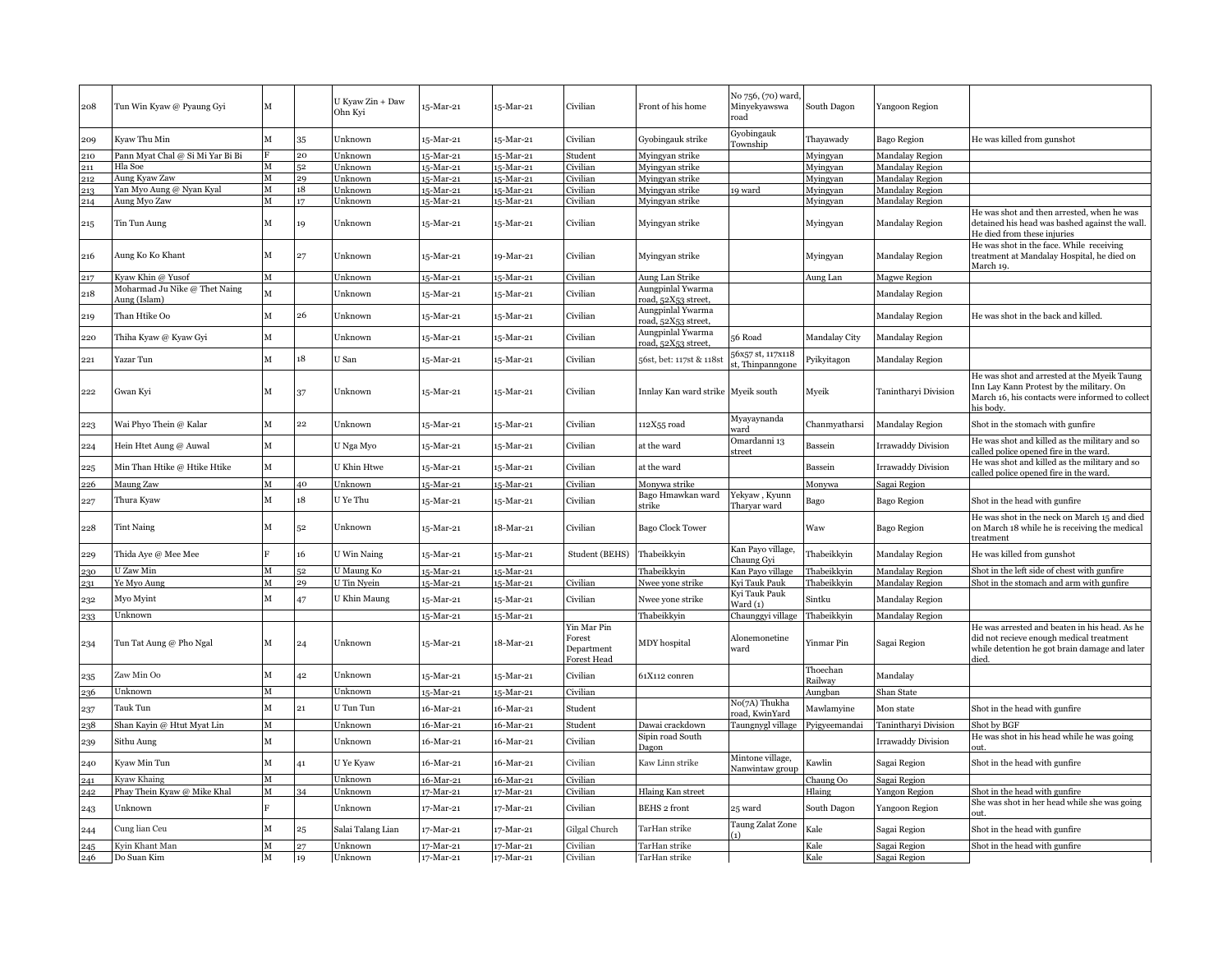| 208        | Tun Win Kyaw @ Pyaung Gyi                     | M                     |          | U Kyaw Zin + Daw<br>Ohn Kyi  | 15-Mar-21              | 15-Mar-21              | Civilian                                           | Front of his home                        | No 756, (70) ward,<br>Minyekyawswa<br>road | South Dagon         | Yangoon Region                |                                                                                                                                                         |
|------------|-----------------------------------------------|-----------------------|----------|------------------------------|------------------------|------------------------|----------------------------------------------------|------------------------------------------|--------------------------------------------|---------------------|-------------------------------|---------------------------------------------------------------------------------------------------------------------------------------------------------|
| 209        | Kyaw Thu Min                                  | M                     | 35       | Unknown                      | 15-Mar-21              | 15-Mar-21              | Civilian                                           | Gyobingauk strike                        | Gyobingauk<br>Township                     | Thayawady           | Bago Region                   | He was killed from gunshot                                                                                                                              |
| 210        | Pann Myat Chal @ Si Mi Yar Bi Bi              |                       | 20       | Unknown                      | 15-Mar-21              | 15-Mar-21              | Student                                            | Myingyan strike                          |                                            | Myingyan            | Mandalay Region               |                                                                                                                                                         |
| 211        | Hla Soe                                       | M                     | 52       | Jnknown                      | 15-Mar-21              | 15-Mar-21              | Civilian                                           | Myingyan strike                          |                                            | Myingyan            | <b>Mandalay Region</b>        |                                                                                                                                                         |
| 212        | Aung Kyaw Zaw                                 | М                     | 29       | Unknown                      | 15-Mar-21              | 15-Mar-21              | Civilian                                           | Myingyan strike                          |                                            | Myingyan            | Mandalay Region               |                                                                                                                                                         |
| 213        | Yan Myo Aung @ Nyan Kyal                      | м                     | 18       | Unknown                      | 15-Mar-21              | 15-Mar-21              | Civilian                                           | Myingyan strike                          | 19 ward                                    | Myingyan            | Mandalay Region               |                                                                                                                                                         |
| 214        | Aung Myo Zaw                                  | $\mathbf{M}$          | 17       | Jnknown                      | 15-Mar-21              | 15-Mar-21              | Civilian                                           | Myingyan strike                          |                                            | Myingyan            | Mandalay Region               |                                                                                                                                                         |
| 215        | Tin Tun Aung                                  | M                     | 19       | Unknown                      | 15-Mar-21              | 15-Mar-21              | Civilian                                           | Myingyan strike                          |                                            | Myingyan            | Mandalay Region               | He was shot and then arrested, when he was<br>detained his head was bashed against the wall.<br>He died from these injuries                             |
| 216        | Aung Ko Ko Khant                              | $\mathbf{M}$          | 27       | Unknown                      | 15-Mar-21              | 19-Mar-21              | Civilian                                           | Myingyan strike                          |                                            | Myingyan            | <b>Mandalay Region</b>        | He was shot in the face. While receiving<br>reatment at Mandalay Hospital, he died on<br>March 19.                                                      |
| 217        | (yaw Khin @ Yusof                             | $\mathbf M$           |          | Unknown                      | 15-Mar-21              | 15-Mar-21              | Civilian                                           | Aung Lan Strike                          |                                            | Aung Lan            | Magwe Region                  |                                                                                                                                                         |
| 218        | Moharmad Ju Nike @ Thet Naing<br>Aung (Islam) | M                     |          | Unknown                      | 15-Mar-21              | 5-Mar-21               | Civilian                                           | Aungpinlal Ywarma<br>road, 52X53 street. |                                            |                     | Mandalay Region               |                                                                                                                                                         |
| 219        | Than Htike Oo                                 | $\mathbf{M}$          | 26       | Unknown                      | 15-Mar-21              | 15-Mar-21              | Civilian                                           | Aungpinlal Ywarma<br>oad, 52X53 street,  |                                            |                     | <b>Mandalay Region</b>        | He was shot in the back and killed.                                                                                                                     |
| 220        | Thiha Kyaw @ Kyaw Gyi                         | M                     |          | Unknown                      | 15-Mar-21              | 15-Mar-21              | Civilian                                           | Aungpinlal Ywarma<br>road, 52X53 street, | 56 Road                                    | Mandalay City       | Mandalay Region               |                                                                                                                                                         |
| 221        | 7azar Tun                                     | $\mathbf{M}$          | 18       | U San                        | 15-Mar-21              | 15-Mar-21              | Civilian                                           | 56st, bet: 117st & 118st                 | 56x57 st, 117x118<br>, Thinpanngone        | Pyikyitagon         | Mandalay Region               |                                                                                                                                                         |
| 222        | Gwan Kyi                                      | M                     | 37       | Unknown                      | 15-Mar-21              | 15-Mar-21              | Civilian                                           | Innlay Kan ward strike Myeik south       |                                            | Mveik               | Tanintharyi Division          | He was shot and arrested at the Myeik Taung<br>Inn Lay Kann Protest by the military. On<br>March 16, his contacts were informed to collect<br>his body. |
| 223        | Wai Phyo Thein @ Kalar                        | M                     | 22       | Unknown                      | 15-Mar-21              | 15-Mar-21              | Civilian                                           | 112X55 road                              | Myayaynanda<br>vard                        | Chanmyatharsi       | Mandalay Region               | Shot in the stomach with gunfire                                                                                                                        |
| 224        | Hein Htet Aung @ Auwal                        | $\mathbf{M}$          |          | U Nga Myo                    | 15-Mar-21              | 15-Mar-21              | Civilian                                           | at the ward                              | Omardanni 13<br>street                     | Bassein             | <b>Irrawaddy Division</b>     | He was shot and killed as the military and so<br>alled police opened fire in the ward.                                                                  |
| 225        | Min Than Htike @ Htike Htike                  | M                     |          | U Khin Htwe                  | 15-Mar-21              | 15-Mar-21              | Civilian                                           | at the ward                              |                                            | Bassein             | <b>Irrawaddy Division</b>     | He was shot and killed as the military and so<br>called police opened fire in the ward.                                                                 |
| 226        | Maung Zaw                                     | M                     | 40       | Unknown                      | 15-Mar-21              | 5-Mar-21               | Civilian                                           | Monywa strike                            |                                            | Monywa              | Sagai Region                  |                                                                                                                                                         |
| 227        | Thura Kyaw                                    |                       | 18       | U Ye Thu                     | 15-Mar-21              | 15-Mar-21              | Civilian                                           | Bago Hmawkan ward<br>strike              | Yekyaw, Kyunn<br>Tharvar ward              | Bago                | Bago Region                   | Shot in the head with gunfire                                                                                                                           |
| 228        | <b>Tint Naing</b>                             |                       | 52       | Unknown                      | 15-Mar-21              | 18-Mar-21              | Civilian                                           | <b>Bago Clock Tower</b>                  |                                            | Waw                 | <b>Bago Region</b>            | He was shot in the neck on March 15 and died<br>on March 18 while he is receiving the medical<br>treatment                                              |
| 229        | Thida Aye @ Mee Mee                           |                       | 16       | U Win Naing                  | 15-Mar-21              | 15-Mar-21              | Student (BEHS)                                     | Thabeikkyin                              | Kan Payo village,<br>Chaung Gyi            | Thabeikkyin         | <b>Mandalay Region</b>        | He was killed from gunshot                                                                                                                              |
| 230        | U Zaw Min                                     | $\mathbf M$           | 52       | U Maung Ko                   | 15-Mar-21              | 15-Mar-21              |                                                    | Thabeikkvin                              | Kan Payo village                           | Thabeikkvin         | Mandalay Region               | Shot in the left side of chest with gunfire                                                                                                             |
| 231        | Ye Myo Aung                                   | M                     | 29       | U Tin Nyein                  | 15-Mar-21              | 15-Mar-21              | Civilian                                           | Nwee vone strike                         | Kyi Tauk Pauk                              | Thabeikkyin         | <b>Mandalay Region</b>        | Shot in the stomach and arm with gunfire                                                                                                                |
| 232        | Myo Myint                                     | M                     | 47       | U Khin Maung                 | 15-Mar-21              | 15-Mar-21              | Civilian                                           | Nwee yone strike                         | Kyi Tauk Pauk<br>Ward (1)                  | Sintku              | Mandalay Region               |                                                                                                                                                         |
| 233        | Unknown                                       |                       |          |                              | 15-Mar-21              | 15-Mar-21              |                                                    | Thabeikkyin                              | Chaunggyi village                          | Thabeikkyin         | Mandalay Region               |                                                                                                                                                         |
| 234        | Tun Tat Aung @ Pho Ngal                       | M                     | 24       | Unknown                      | 15-Mar-21              | 18-Mar-21              | Yin Mar Pin<br>Forest<br>Department<br>Forest Head | <b>MDY</b> hospital                      | Alonemonetine<br>ward                      | Yinmar Pin          | Sagai Region                  | He was arrested and beaten in his head. As he<br>did not recieve enough medical treatment<br>while detention he got brain damage and later<br>died.     |
| 235        | Zaw Min Oo                                    | $\mathbf{M}$          | 42       | Unknown                      | 15-Mar-21              | 15-Mar-21              | Civilian                                           | 61X112 conren                            |                                            | Thoechan<br>Railway | Mandalay                      |                                                                                                                                                         |
| 236        | Unknown                                       | $\mathbf M$           |          | Unknown                      | 15-Mar-21              | 15-Mar-21              | Civilian                                           |                                          |                                            | Aungban             | Shan State                    |                                                                                                                                                         |
| 237        | Tauk Tun                                      | $\mathbf{M}$          | 21       | U Tun Tun                    | 16-Mar-21              | 16-Mar-21              | Student                                            |                                          | No(7A) Thukha<br>oad, KwinYard             | Mawlamyine          | Mon state                     | Shot in the head with gunfire                                                                                                                           |
| 238        | Shan Kayin @ Htut Myat Lin                    | $\overline{\text{M}}$ |          | Unknown                      | 16-Mar-21              | 16-Mar-21              | Student                                            | Dawai crackdown                          | Taungnygl village                          | Pyigyeemandai       | Fanintharyi Division          | Shot by BGF                                                                                                                                             |
| 239        | Sithu Aung                                    | M                     |          | Unknown                      | 16-Mar-21              | 16-Mar-21              | Civilian                                           | Sipin road South                         |                                            |                     | rrawaddy Division             | He was shot in his head while he was going                                                                                                              |
| 240        | Kyaw Min Tun                                  | M                     | $^{41}$  | U Ye Kyaw                    | 16-Mar-21              | 16-Mar-21              | Civilian                                           | Dagon<br>Kaw Linn strike                 | Mintone village,                           | Kawlin              | Sagai Region                  | пıt<br>Shot in the head with gunfire                                                                                                                    |
|            | <b>Kyaw Khaing</b>                            | $\mathbf{M}$          |          | Unknown                      |                        |                        | Civilian                                           |                                          | Nanwintaw group                            |                     |                               |                                                                                                                                                         |
| 241<br>242 | Phay Thein Kyaw @ Mike Khal                   | $\mathbf{M}$          | 34       | Unknown                      | 16-Mar-21<br>17-Mar-21 | 16-Mar-21<br>17-Mar-21 | Civilian                                           | Hlaing Kan street                        |                                            | Chaung Oo<br>Hlaing | Sagai Region<br>Yangon Region | Shot in the head with gunfire                                                                                                                           |
|            |                                               |                       |          |                              |                        |                        |                                                    |                                          |                                            |                     |                               | She was shot in her head while she was going                                                                                                            |
| 243        | Unknown                                       |                       |          | Unknown                      | 17-Mar-21              | 17-Mar-21              | Civilian                                           | <b>BEHS 2 front</b>                      | 25 ward<br>Taung Zalat Zone                | South Dagon         | Yangoon Region                | nıt                                                                                                                                                     |
| 244        |                                               |                       |          |                              |                        |                        |                                                    | TarHan strike                            |                                            | Kale                |                               |                                                                                                                                                         |
| 245        | Cung lian Ceu<br>Kyin Khant Man               | M<br>$\mathbf M$      | 25<br>27 | Salai Talang Lian<br>Unknown | 17-Mar-21<br>17-Mar-21 | 17-Mar-21<br>17-Mar-21 | Gilgal Church<br>Civilian                          | TarHan strike                            | ٬۱                                         | Kale                | Sagai Region<br>Sagai Region  | Shot in the head with gunfire<br>Shot in the head with gunfire                                                                                          |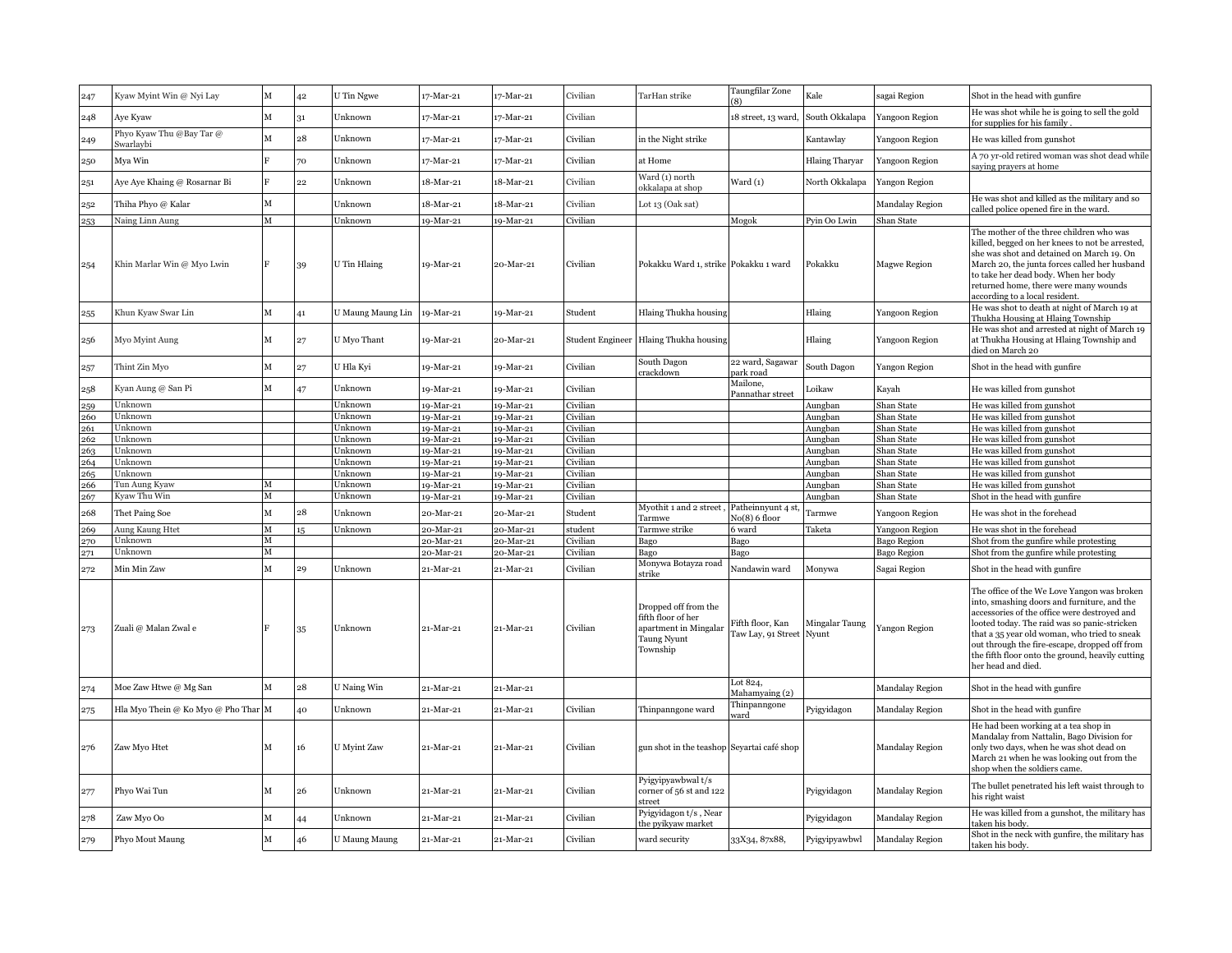| 247 | Kyaw Myint Win @ Nyi Lay              | M            | 42 | J Tin Ngwe        | 17-Mar-21 | 17-Mar-21   | Civilian | TarHan strike                                                                                         | <b>Taungfilar Zone</b>                 | Kale                    | sagai Region        | Shot in the head with gunfire                                                                                                                                                                                                                                                                                                                                         |
|-----|---------------------------------------|--------------|----|-------------------|-----------|-------------|----------|-------------------------------------------------------------------------------------------------------|----------------------------------------|-------------------------|---------------------|-----------------------------------------------------------------------------------------------------------------------------------------------------------------------------------------------------------------------------------------------------------------------------------------------------------------------------------------------------------------------|
| 248 | Aye Kyaw                              | M            | 31 | Unknown           | 17-Mar-21 | 17-Mar-21   | Civilian |                                                                                                       | 18 street, 13 ward,                    | South Okkalapa          | Yangoon Region      | He was shot while he is going to sell the gold<br>for supplies for his family                                                                                                                                                                                                                                                                                         |
| 249 | Phyo Kyaw Thu @Bay Tar @<br>Swarlaybi | M            | 28 | Unknown           | 17-Mar-21 | 17-Mar-21   | Civilian | in the Night strike                                                                                   |                                        | Kantawlay               | Yangoon Region      | He was killed from gunshot                                                                                                                                                                                                                                                                                                                                            |
| 250 | Mya Win                               |              | 70 | Jnknown           | 17-Mar-21 | 17-Mar-21   | Civilian | at Home                                                                                               |                                        | <b>Hlaing Tharyar</b>   | Yangoon Region      | A 70 yr-old retired woman was shot dead while<br>saying prayers at home                                                                                                                                                                                                                                                                                               |
| 251 | Aye Aye Khaing @ Rosarnar Bi          |              | 22 | Jnknown           | 18-Mar-21 | 18-Mar-21   | Civilian | Ward (1) north<br>okkalapa at shop                                                                    | Ward (1)                               | North Okkalapa          | Yangon Region       |                                                                                                                                                                                                                                                                                                                                                                       |
| 252 | Thiha Phyo @ Kalar                    | М            |    | Jnknown           | 18-Mar-21 | 18-Mar-21   | Civilian | Lot 13 (Oak sat)                                                                                      |                                        |                         | Mandalay Region     | He was shot and killed as the military and so<br>called police opened fire in the ward.                                                                                                                                                                                                                                                                               |
| 253 | Naing Linn Aung                       | м            |    | Jnknown           | 19-Mar-21 | 19-Mar-21   | Civilian |                                                                                                       | Mogok                                  | Pyin Oo Lwin            | Shan State          |                                                                                                                                                                                                                                                                                                                                                                       |
| 254 | Khin Marlar Win @ Myo Lwin            | F            | 39 | U Tin Hlaing      | 19-Mar-21 | 20-Mar-21   | Civilian | Pokakku Ward 1, strike Pokakku 1 ward                                                                 |                                        | Pokakku                 | <b>Magwe Region</b> | The mother of the three children who was<br>killed, begged on her knees to not be arrested,<br>she was shot and detained on March 19. On<br>March 20, the junta forces called her husband<br>to take her dead body. When her body<br>returned home, there were many wounds<br>according to a local resident.                                                          |
| 255 | Khun Kyaw Swar Lin                    | М            | 41 | U Maung Maung Lin | 19-Mar-21 | 19-Mar-21   | Student  | Hlaing Thukha housing                                                                                 |                                        | Hlaing                  | Yangoon Region      | He was shot to death at night of March 19 at<br>Thukha Housing at Hlaing Township                                                                                                                                                                                                                                                                                     |
| 256 | Myo Myint Aung                        | M            | 27 | U Myo Thant       | 19-Mar-21 | 20-Mar-21   |          | Student Engineer Hlaing Thukha housing                                                                |                                        | Hlaing                  | Yangoon Region      | He was shot and arrested at night of March 19<br>at Thukha Housing at Hlaing Township and<br>died on March 20                                                                                                                                                                                                                                                         |
| 257 | Thint Zin Myo                         | M            | 27 | J Hla Kyi         | 19-Mar-21 | 19-Mar-21   | Civilian | South Dagon<br>crackdown                                                                              | 22 ward, Sagawar<br>park road          | South Dagon             | Yangon Region       | Shot in the head with gunfire                                                                                                                                                                                                                                                                                                                                         |
| 258 | Kyan Aung @ San Pi                    | М            | 47 | Unknown           | 19-Mar-21 | 19-Mar-21   | Civilian |                                                                                                       | Mailone,<br>Pannathar street           | Loikaw                  | Kayah               | He was killed from gunshot                                                                                                                                                                                                                                                                                                                                            |
| 259 | Unknown                               |              |    | Jnknown           | 19-Mar-21 | 19-Mar-21   | Civilian |                                                                                                       |                                        | Aungban                 | Shan State          | He was killed from gunshot                                                                                                                                                                                                                                                                                                                                            |
| 260 | Unknown                               |              |    | Jnknown           | 19-Mar-21 | 19-Mar-21   | Civilian |                                                                                                       |                                        | Aungban                 | Shan State          | He was killed from gunshot                                                                                                                                                                                                                                                                                                                                            |
| 261 | Unknown                               |              |    | Jnknown           | 19-Mar-21 | 19-Mar-21   | Civilian |                                                                                                       |                                        | Aungban                 | Shan State          | He was killed from gunshot                                                                                                                                                                                                                                                                                                                                            |
| 262 | Unknown                               |              |    | Jnknown           | 19-Mar-21 | 19-Mar-21   | Civilian |                                                                                                       |                                        | Aungban                 | Shan State          | He was killed from gunshot                                                                                                                                                                                                                                                                                                                                            |
| 263 | Unknown                               |              |    | Jnknown           | 19-Mar-21 | $19-Mar-21$ | Civilian |                                                                                                       |                                        | Aungban                 | Shan State          | He was killed from gunshot                                                                                                                                                                                                                                                                                                                                            |
| 264 | Unknown                               |              |    | Jnknown           | 0-Mar-21  | 19-Mar-21   | Civilian |                                                                                                       |                                        | Aungban                 | Shan State          | He was killed from gunshot                                                                                                                                                                                                                                                                                                                                            |
| 265 | Jnknown                               |              |    | Jnknown           | 19-Mar-21 | 19-Mar-21   | Civilian |                                                                                                       |                                        | Aungban                 | Shan State          | He was killed from gunshot                                                                                                                                                                                                                                                                                                                                            |
| 266 | <b>Tun Aung Kyaw</b>                  | M            |    | Jnknown           | 19-Mar-21 | 19-Mar-21   | Civilian |                                                                                                       |                                        | Aungban                 | Shan State          | He was killed from gunshot                                                                                                                                                                                                                                                                                                                                            |
| 267 | Kyaw Thu Win                          | M            |    | Jnknown           | 19-Mar-21 | 19-Mar-21   | Civilian |                                                                                                       |                                        | Aungban                 | Shan State          | Shot in the head with gunfire                                                                                                                                                                                                                                                                                                                                         |
|     |                                       |              |    |                   |           |             |          | Myothit 1 and 2 street,                                                                               | Patheinnyunt 4 st                      |                         |                     |                                                                                                                                                                                                                                                                                                                                                                       |
| 268 | Thet Paing Soe                        | М            | 28 | Jnknown           | 20-Mar-21 | 20-Mar-21   | Student  | Tarmwe                                                                                                | $No(8)$ 6 floor                        | Tarmwe                  | Yangoon Region      | He was shot in the forehead                                                                                                                                                                                                                                                                                                                                           |
| 269 | Aung Kaung Htet                       | M            | 15 | Jnknown           | 20-Mar-21 | 20-Mar-21   | student  | Tarmwe strike                                                                                         | 6 ward                                 | Taketa                  | Yangoon Region      | He was shot in the forehead                                                                                                                                                                                                                                                                                                                                           |
| 270 | Unknown                               | M            |    |                   | 20-Mar-21 | 20-Mar-21   | Civilian | Bago                                                                                                  | Bago                                   |                         | Bago Region         | Shot from the gunfire while protesting                                                                                                                                                                                                                                                                                                                                |
| 271 | Unknown                               | М            |    |                   | 20-Mar-21 | 20-Mar-21   | Civilian | Bago                                                                                                  | Bago                                   |                         | Bago Region         | Shot from the gunfire while protesting                                                                                                                                                                                                                                                                                                                                |
| 272 | Min Min Zaw                           | М            | 29 | Jnknown           | 21-Mar-21 | 21-Mar-21   | Civilian | Monywa Botayza road<br>strike                                                                         | Nandawin ward                          | Monywa                  | Sagai Region        | Shot in the head with gunfire                                                                                                                                                                                                                                                                                                                                         |
| 273 | Zuali @ Malan Zwal e                  | F            | 35 | Unknown           | 21-Mar-21 | 21-Mar-21   | Civilian | Dropped off from the<br>fifth floor of her<br>apartment in Mingalar<br><b>Taung Nyunt</b><br>Township | Fifth floor, Kan<br>Taw Lay, 91 Street | Mingalar Taung<br>Nyunt | Yangon Region       | The office of the We Love Yangon was broken<br>into, smashing doors and furniture, and the<br>accessories of the office were destroyed and<br>looted today. The raid was so panic-stricken<br>that a 35 year old woman, who tried to sneak<br>out through the fire-escape, dropped off from<br>the fifth floor onto the ground, heavily cutting<br>her head and died. |
| 274 | Moe Zaw Htwe @ Mg San                 | м            | 28 | U Naing Win       | 21-Mar-21 | 21-Mar-21   |          |                                                                                                       | Lot 824,<br>Mahamyaing (2)             |                         | Mandalay Region     | Shot in the head with gunfire                                                                                                                                                                                                                                                                                                                                         |
| 275 | Hla Myo Thein @ Ko Myo @ Pho Thar M   |              | 40 | Jnknown           | 21-Mar-21 | 21-Mar-21   | Civilian | Thinpanngone ward                                                                                     | Thinpanngone<br>vard                   | Pyigyidagon             | Mandalay Region     | Shot in the head with gunfire                                                                                                                                                                                                                                                                                                                                         |
| 276 | Zaw Myo Htet                          | $\mathbf{M}$ | 16 | U Myint Zaw       | 21-Mar-21 | 21-Mar-21   | Civilian | gun shot in the teashop Seyartai café shop                                                            |                                        |                         | Mandalay Region     | He had been working at a tea shop in<br>Mandalay from Nattalin, Bago Division for<br>only two days, when he was shot dead on<br>March 21 when he was looking out from the<br>shop when the soldiers came.                                                                                                                                                             |
| 277 | Phyo Wai Tun                          | М            | 26 | Unknown           | 21-Mar-21 | 21-Mar-21   | Civilian | Pyigyipyawbwal t/s<br>corner of 56 st and 122<br>street                                               |                                        | Pyigyidagon             | Mandalay Region     | The bullet penetrated his left waist through to<br>his right waist                                                                                                                                                                                                                                                                                                    |
| 278 | Zaw Myo Oo                            | M            | 44 | Jnknown           | 21-Mar-21 | 21-Mar-21   | Civilian | Pyigyidagon t/s, Near<br>the pyikyaw market                                                           |                                        | Pyigyidagon             | Mandalay Region     | He was killed from a gunshot, the military has<br>taken his body                                                                                                                                                                                                                                                                                                      |
| 279 | Phyo Mout Maung                       | M            | 46 | U Maung Maung     | 21-Mar-21 | 21-Mar-21   | Civilian | ward security                                                                                         | 33X34, 87x88,                          | Pyigyipyawbwl           | Mandalay Region     | Shot in the neck with gunfire, the military has<br>taken his body.                                                                                                                                                                                                                                                                                                    |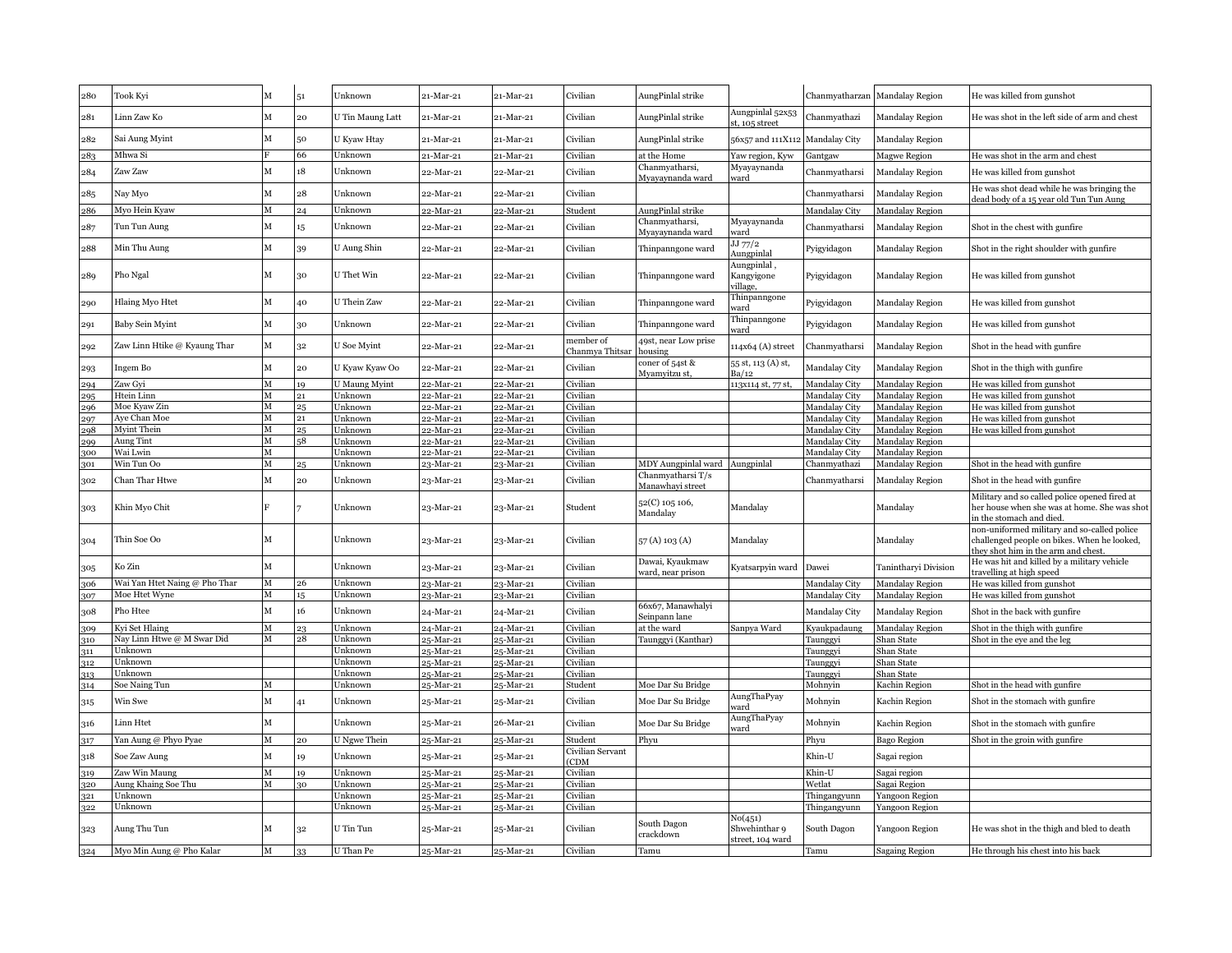| 280 | Took Kyi                      | M            | 51      | Unknown              | 21-Mar-21 | 21-Mar-21 | Civilian                             | AungPinlal strike                     |                                              | Chanmyatharzan  | Mandalay Region        | He was killed from gunshot                                                                                                        |
|-----|-------------------------------|--------------|---------|----------------------|-----------|-----------|--------------------------------------|---------------------------------------|----------------------------------------------|-----------------|------------------------|-----------------------------------------------------------------------------------------------------------------------------------|
| 281 | Linn Zaw Ko                   | M            | 20      | U Tin Maung Latt     | 21-Mar-21 | 21-Mar-21 | Civilian                             | AungPinlal strike                     | Aungpinlal 52x53<br>st, 105 street           | Chanmyathazi    | Mandalay Region        | He was shot in the left side of arm and chest                                                                                     |
| 282 | Sai Aung Myint                | $\mathbf{M}$ | 50      | U Kyaw Htay          | 21-Mar-21 | 21-Mar-21 | Civilian                             | AungPinlal strike                     | 56x57 and 111X112                            | Mandalay City   | Mandalay Region        |                                                                                                                                   |
| 283 | Mhwa Si                       |              | 66      | Unknown              | 21-Mar-21 | 21-Mar-21 | Civilian                             | at the Home                           | Yaw region, Kyw                              | Gantgaw         | Magwe Region           | He was shot in the arm and chest                                                                                                  |
| 284 | Zaw Zaw                       | M            | 18      | Unknown              | 22-Mar-21 | 22-Mar-21 | Civilian                             | Chanmyatharsi,<br>Myayaynanda ward    | Myayaynanda<br>ward                          | Chanmyatharsi   | Mandalay Region        | He was killed from gunshot                                                                                                        |
| 285 | Nay Myo                       | M            | 28      | Unknown              | 22-Mar-21 | 22-Mar-21 | Civilian                             |                                       |                                              | Chanmyatharsi   | Mandalay Region        | He was shot dead while he was bringing the<br>dead body of a 15 year old Tun Tun Aung                                             |
| 286 | Myo Hein Kyaw                 | M            | 24      | Unknown              | 22-Mar-21 | 22-Mar-21 | Student                              | AungPinlal strike                     |                                              | Mandalay City   | Mandalay Region        |                                                                                                                                   |
| 287 | Tun Tun Aung                  | M            | 15      | Unknown              | 22-Mar-21 | 22-Mar-21 | Civilian                             | Chanmyatharsi,<br>Myayaynanda ward    | Myayaynanda<br>ward                          | Chanmyatharsi   | Mandalay Region        | Shot in the chest with gunfire                                                                                                    |
| 288 | Min Thu Aung                  | M            | 39      | U Aung Shin          | 22-Mar-21 | 22-Mar-21 | Civilian                             | Thinpanngone ward                     | JJ 77/2<br>Aungpinlal                        | Pyigyidagon     | Mandalay Region        | Shot in the right shoulder with gunfire                                                                                           |
| 289 | Pho Ngal                      | М            | 30      | U Thet Win           | 22-Mar-21 | 22-Mar-21 | Civilian                             | Thinpanngone ward                     | Aungpinlal,<br>Kangyigone<br>village,        | Pyigyidagon     | Mandalay Region        | He was killed from gunshot                                                                                                        |
| 290 | <b>Hlaing Myo Htet</b>        | $\mathbf{M}$ | 40      | U Thein Zaw          | 22-Mar-21 | 22-Mar-21 | Civilian                             | Thinpanngone ward                     | Thinpanngone<br>vard                         | Pyigyidagon     | Mandalay Region        | He was killed from gunshot                                                                                                        |
| 291 | Baby Sein Myint               | $\mathbf{M}$ | 30      | Unknown              | 22-Mar-21 | 22-Mar-21 | Civilian                             | Thinpanngone ward                     | Thinpanngone<br>vard                         | Pyigyidagon     | Mandalay Region        | He was killed from gunshot                                                                                                        |
| 292 | Zaw Linn Htike @ Kyaung Thar  | $\mathbf{M}$ | 32      | U Soe Myint          | 22-Mar-21 | 22-Mar-21 | member of<br>Chanmya Thitsai         | 49st, near Low prise<br>ousing        | 114x64 (A) street                            | Chanmyatharsi   | Mandalay Region        | Shot in the head with gunfire                                                                                                     |
| 293 | Ingem Bo                      | M            | 20      | U Kyaw Kyaw Oo       | 22-Mar-21 | 22-Mar-21 | Civilian                             | coner of 54st &<br>Myamyitzu st,      | 55 st, 113 (A) st,<br>Ba/12                  | Mandalay City   | Mandalay Region        | Shot in the thigh with gunfire                                                                                                    |
| 294 | Zaw Gyi                       | M            | 19      | <b>U</b> Maung Myint | 22-Mar-21 | 22-Mar-21 | Civilian                             |                                       | 113x114 st, 77 st,                           | Mandalay City   | <b>Mandalay Region</b> | He was killed from gunshot                                                                                                        |
| 295 | Htein Linn                    | $\mathbf M$  | 21      | Unknown              | 22-Mar-21 | 22-Mar-21 | Civilian                             |                                       |                                              | Mandalay City   | Mandalay Region        | He was killed from gunshot                                                                                                        |
| 296 | Moe Kyaw Zin                  | M            | 25      | Unknown              | 22-Mar-21 | 22-Mar-21 | Civilian                             |                                       |                                              | Mandalay City   | Mandalay Region        | He was killed from gunshot                                                                                                        |
| 297 | Aye Chan Moe                  | M            | $^{21}$ | Unknown              | 22-Mar-21 | 22-Mar-21 | Civilian                             |                                       |                                              | Mandalay City   | Mandalay Region        | He was killed from gunshot                                                                                                        |
| 298 | Mvint Thein                   | M            | 25      | Unknown              | 22-Mar-21 | 22-Mar-21 | Civilian                             |                                       |                                              | Mandalay City   | Mandalay Region        | He was killed from gunshot                                                                                                        |
| 299 | Aung Tint                     | М            | 58      | Unknown              | 22-Mar-21 | 22-Mar-21 | Civilian                             |                                       |                                              | Mandalay City   | Mandalay Region        |                                                                                                                                   |
| 300 | Wai Lwin                      | M            |         | Unknown              | 22-Mar-21 | 22-Mar-21 | Civilian                             |                                       |                                              | Mandalay City   | Mandalay Region        |                                                                                                                                   |
| 301 | Win Tun Oo                    | $\mathbf M$  | 25      | Unknown              | 23-Mar-21 | 23-Mar-21 | Civilian                             | MDY Aungpinlal ward                   | Aungpinlal                                   | Chanmyathazi    | Mandalay Region        | Shot in the head with gunfire                                                                                                     |
| 302 | Chan Thar Htwe                | $\mathbf M$  | 20      | Unknown              | 23-Mar-21 | 23-Mar-21 | Civilian                             | Chanmyatharsi T/s<br>Manawhayi street |                                              | Chanmyatharsi   | Mandalay Region        | Shot in the head with gunfire                                                                                                     |
| 303 | Khin Myo Chit                 | E            |         | Unknown              | 23-Mar-21 | 23-Mar-21 | Student                              | 52(C) 105 106,<br>Mandalay            | Mandalay                                     |                 | Mandalay               | Military and so called police opened fired at<br>her house when she was at home. She was shot<br>in the stomach and died.         |
| 304 | Thin Soe Oo                   | M            |         | Unknown              | 23-Mar-21 | 23-Mar-21 | Civilian                             | 57 (A) 103 (A)                        | Mandalay                                     |                 | Mandalay               | non-uniformed military and so-called police<br>challenged people on bikes. When he looked,<br>they shot him in the arm and chest. |
| 305 | Ko Zin                        | M            |         | Unknown              | 23-Mar-21 | 23-Mar-21 | Civilian                             | Dawai, Kyaukmaw<br>ward, near prison  | Kyatsarpyin ward                             | Dawei           | Tanintharyi Division   | He was hit and killed by a military vehicle<br>travelling at high speed                                                           |
| 306 | Wai Yan Htet Naing @ Pho Thar | $\mathbf M$  | 26      | Unknown              | 23-Mar-21 | 23-Mar-21 | Civilian                             |                                       |                                              | Mandalay City   | Mandalay Region        | He was killed from gunshot                                                                                                        |
| 307 | Moe Htet Wyne                 | M            | 15      | Unknown              | 23-Mar-21 | 23-Mar-21 | Civilian                             |                                       |                                              | Mandalay City   | <b>Mandalay Region</b> | He was killed from gunshot                                                                                                        |
| 308 | Pho Htee                      | M            | 16      | Unknown              | 24-Mar-21 | 24-Mar-21 | Civilian                             | 66x67, Manawhalyi<br>Seinpann lane    |                                              | Mandalay City   | Mandalay Region        | Shot in the back with gunfire                                                                                                     |
| 309 | Kyi Set Hlaing                | M            | 23      | Unknown              | 24-Mar-21 | 24-Mar-21 | Civilian                             | at the ward                           | Sanpya Ward                                  | Kyaukpadaung    | Mandalay Region        | Shot in the thigh with gunfire                                                                                                    |
| 310 | Nay Linn Htwe @ M Swar Did    | M            | 28      | Unknown              | 25-Mar-21 | 25-Mar-21 | Civilian                             | Taunggyi (Kanthar)                    |                                              | Faunggyi        | Shan State             | Shot in the eye and the leg                                                                                                       |
| 311 | Unknown                       |              |         | Unknown              | 25-Mar-21 | 25-Mar-21 | Civilian                             |                                       |                                              | Faunggyi        | Shan State             |                                                                                                                                   |
| 312 | Unknown                       |              |         | Unknown              | 25-Mar-21 | 25-Mar-21 | Civilian                             |                                       |                                              | <b>Taunggyi</b> | Shan State             |                                                                                                                                   |
| 313 | Unknown                       |              |         | Unknown              | 25-Mar-21 | 25-Mar-21 | Civilian                             |                                       |                                              | Taunggyi        | Shan State             |                                                                                                                                   |
| 314 | Soe Naing Tun                 | M            |         | Unknown              | 25-Mar-21 | 25-Mar-21 | Student                              | Moe Dar Su Bridge                     |                                              | Mohnyin         | Kachin Region          | Shot in the head with gunfire                                                                                                     |
| 315 | Win Swe                       | M            | 41      | Unknown              | 25-Mar-21 | 25-Mar-21 | Civilian                             | Moe Dar Su Bridge                     | AungThaPyay<br>ward                          | Mohnyin         | Kachin Region          | Shot in the stomach with gunfire                                                                                                  |
| 316 | Linn Htet                     | M            |         | Unknown              | 25-Mar-21 | 26-Mar-21 | Civilian                             | Moe Dar Su Bridge                     | AungThaPyay<br>ward                          | Mohnyin         | Kachin Region          | Shot in the stomach with gunfire                                                                                                  |
| 317 | Yan Aung @ Phyo Pyae          | M            | 20      | U Ngwe Thein         | 25-Mar-21 | 25-Mar-21 | Student                              | Phyu                                  |                                              | Phyu            | Bago Region            | Shot in the groin with gunfire                                                                                                    |
| 318 | Soe Zaw Aung                  | M            | 19      | Unknown              | 25-Mar-21 | 25-Mar-21 | Civilian Servant<br>CDM <sup>(</sup> |                                       |                                              | Khin-U          | Sagai region           |                                                                                                                                   |
| 319 | Zaw Win Maung                 | M            | 19      | Unknown              | 25-Mar-21 | 25-Mar-21 | Civilian                             |                                       |                                              | Khin-U          | Sagai region           |                                                                                                                                   |
| 320 | Aung Khaing Soe Thu           | $\mathbf{M}$ | 30      | Unknown              | 25-Mar-21 | 25-Mar-21 | Civilian                             |                                       |                                              | Netlat          | Sagai Region           |                                                                                                                                   |
| 321 | Unknown                       |              |         | Unknown              | 25-Mar-21 | 25-Mar-21 | Civilian                             |                                       |                                              | Thingangyunn    | Yangoon Region         |                                                                                                                                   |
| 322 | Unknown                       |              |         | Unknown              | 25-Mar-21 | 25-Mar-21 | Civilian                             |                                       |                                              | Thingangyunn    | Yangoon Region         |                                                                                                                                   |
| 323 | Aung Thu Tun                  | M            | 32      | U Tin Tun            | 25-Mar-21 | 25-Mar-21 | Civilian                             | South Dagon<br>crackdown              | No(451)<br>Shwehinthar 9<br>street, 104 ward | South Dagon     | Yangoon Region         | He was shot in the thigh and bled to death                                                                                        |
| 324 | Myo Min Aung @ Pho Kalar      | $\mathbf M$  | 33      | U Than Pe            | 25-Mar-21 | 25-Mar-21 | Civilian                             | Tamu                                  |                                              | Tamu            | <b>Sagaing Region</b>  | He through his chest into his back                                                                                                |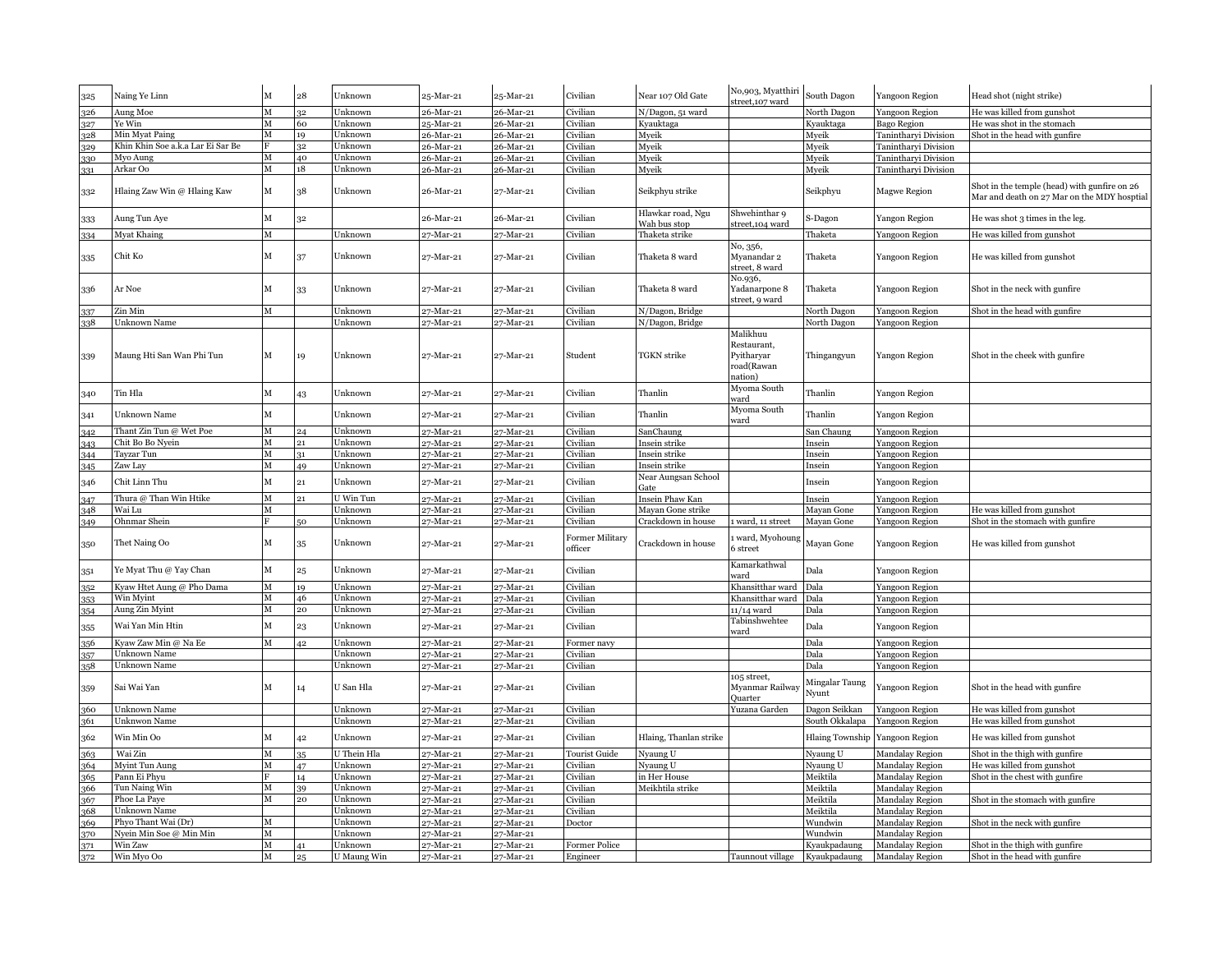| 325        | Naing Ye Linn                     | м                       | 28      | Unknown              | 25-Mar-21              | 25-Mar-21                | Civilian                          | Near 107 Old Gate                 | No,903, Myatthiri<br>street.107 ward                           | South Dagon                     | Yangoon Region                   | Head shot (night strike)                                                                    |
|------------|-----------------------------------|-------------------------|---------|----------------------|------------------------|--------------------------|-----------------------------------|-----------------------------------|----------------------------------------------------------------|---------------------------------|----------------------------------|---------------------------------------------------------------------------------------------|
| 326        | Aung Moe                          | М                       | 32      | Unknown              | 26-Mar-21              | 26-Mar-21                | Civilian                          | N/Dagon, 51 ward                  |                                                                | North Dagon                     | Yangoon Region                   | He was killed from gunshot                                                                  |
| 327        | Ye Win                            | $\overline{\mathbf{M}}$ | 60      | Unknown              | 5-Mar-21               | 26-Mar-21                | Civilian                          | Kyauktaga                         |                                                                | Kyauktaga                       | Bago Region                      | He was shot in the stomach                                                                  |
| 328        | Min Myat Paing                    | M                       | 19      | Unknown              | 26-Mar-21              | 26-Mar-21                | Civilian                          | Myeik                             |                                                                | Myeik                           | Tanintharyi Division             | Shot in the head with gunfire                                                               |
| 329        | Khin Khin Soe a.k.a Lar Ei Sar Be |                         | 32      | Unknown              | 26-Mar-21              | 26-Mar-21                | Civilian                          | Myeik                             |                                                                | Myeik                           | Tanintharyi Division             |                                                                                             |
| 330        | Mvo Aune                          | М                       | 40      | Unknown              | 26-Mar-21              | 26-Mar-21                | Civilian                          | Mveik                             |                                                                | Myeik                           | Tanintharyi Division             |                                                                                             |
| 331        | Arkar Oo                          | М                       | 18      | Unknown              | 26-Mar-21              | 26-Mar-21                | Civilian                          | Myeik                             |                                                                | Myeik                           | Tanintharyi Division             |                                                                                             |
| 332        | Hlaing Zaw Win @ Hlaing Kaw       | М                       | 38      | Unknown              | 26-Mar-21              | 27-Mar-21                | Civilian                          | Seikphyu strike                   |                                                                | Seikphyu                        | <b>Magwe Region</b>              | Shot in the temple (head) with gunfire on 26<br>Mar and death on 27 Mar on the MDY hosptial |
| 333        | Aung Tun Aye                      | M                       | 32      |                      | 26-Mar-21              | 26-Mar-21                | Civilian                          | Hlawkar road, Ngu<br>Wah bus stop | Shwehinthar 9<br>street,104 ward                               | S-Dagon                         | Yangon Region                    | He was shot 3 times in the leg.                                                             |
| 334        | Myat Khaing                       | М                       |         | Unknown              | 27-Mar-21              | 27-Mar-21                | Civilian                          | Thaketa strike                    |                                                                | Thaketa                         | Yangoon Region                   | He was killed from gunshot                                                                  |
| 335        | Chit Ko                           | М                       | 37      | Unknown              | 27-Mar-21              | 27-Mar-21                | Civilian                          | Thaketa 8 ward                    | No, 356,<br>Myanandar 2<br>street, 8 ward                      | Thaketa                         | Yangoon Region                   | He was killed from gunshot                                                                  |
| 336        | Ar Noe                            | М                       | 33      | Unknown              | 27-Mar-21              | 27-Mar-21                | Civilian                          | Thaketa 8 ward                    | No.936,<br>Yadanarpone 8<br>street, 9 ward                     | Thaketa                         | Yangoon Region                   | Shot in the neck with gunfire                                                               |
| 337        | Zin Min                           | М                       |         | Unknown              | 27-Mar-21              | 27-Mar-21                | Civilian                          | N/Dagon, Bridge                   |                                                                | North Dagon                     | Yangoon Region                   | Shot in the head with gunfire                                                               |
| 338        | Unknown Name                      |                         |         | Unknown              | 7-Mar-21               | ?-Mar-21                 | Civilian                          | N/Dagon, Bridge                   |                                                                | North Dagon                     | Yangoon Region                   |                                                                                             |
| 339        | Maung Hti San Wan Phi Tun         | М                       | 19      | Unknown              | 27-Mar-21              | 27-Mar-21                | Student                           | TGKN strike                       | Malikhuu<br>Restaurant,<br>Pyitharyar<br>road(Rawan<br>nation) | Thingangyun                     | Yangon Region                    | Shot in the cheek with gunfire                                                              |
| 340        | Tin Hla                           | M                       | 43      | Unknown              | 27-Mar-21              | 27-Mar-21                | Civilian                          | Thanlin                           | Myoma South<br>ward                                            | Thanlin                         | Yangon Region                    |                                                                                             |
| 341        | Unknown Name                      | M                       |         | Unknown              | 27-Mar-21              | 27-Mar-21                | Civilian                          | Thanlin                           | Myoma South<br>vard                                            | Thanlin                         | Yangon Region                    |                                                                                             |
| 342        | Thant Zin Tun @ Wet Poe           | M                       | $^{24}$ | Unknown              | 27-Mar-21              | ?-Mar-21                 | Civilian                          | SanChaung                         |                                                                | San Chaung                      | Yangoon Region                   |                                                                                             |
| 343        | Chit Bo Bo Nyein                  | M                       | 21      | Unknown              | 7-Mar-21               | 7-Mar-21                 | Civilian                          | Insein strike                     |                                                                | Insein                          | Yangoon Region                   |                                                                                             |
| 344        | Tayzar Tun                        | М                       | 31      | Unknown              | 27-Mar-21              | 27-Mar-21                | Civilian                          | Insein strike                     |                                                                | Insein                          | Yangoon Region                   |                                                                                             |
| 345        | Zaw Lay                           | М                       | 49      | Unknown              | 27-Mar-21              | 27-Mar-21                | Civilian                          | Insein strike                     |                                                                | Insein                          | Yangoon Region                   |                                                                                             |
| 346        | Chit Linn Thu                     | М                       | 21      | Unknown              | 27-Mar-21              | 27-Mar-21                | Civilian                          | Near Aungsan School<br>Gate       |                                                                | Insein                          | Yangoon Region                   |                                                                                             |
| 347        | Thura @ Than Win Htike            | М                       | 21      | U Win Tun            | 27-Mar-21              | 7-Mar-21                 | Civilian                          | Insein Phaw Kan                   |                                                                | Insein                          | Yangoon Region                   |                                                                                             |
| 348        | Wai Lu                            | М                       |         | Unknown              | 7-Mar-21               | $-Mar-21$                | Civilian                          | Mayan Gone strike                 |                                                                | Mayan Gone                      | Yangoon Region                   | He was killed from gunshot                                                                  |
| 349        | Ohnmar Shein                      |                         | 50      | Unknown              | 7-Mar-21               | 7-Mar-21                 | Civilian                          | Crackdown in house                | 1 ward, 11 street                                              | Mayan Gone                      | Yangoon Region                   | Shot in the stomach with gunfire                                                            |
| 350        | Thet Naing Oo                     | М                       | 35      | Unknown              | 27-Mar-21              | 27-Mar-21                | <b>Former Military</b><br>officer | Crackdown in house                | ward, Myohoung<br>5 street                                     | Mayan Gone                      | Yangoon Region                   | He was killed from gunshot                                                                  |
| 351        | Ye Myat Thu @ Yay Chan            | M                       | 25      | Unknown              | 27-Mar-21              | 27-Mar-21                | Civilian                          |                                   | Kamarkathwal<br>ward                                           | Dala                            | Yangoon Region                   |                                                                                             |
| 352        | Kyaw Htet Aung @ Pho Dama         | М                       | 19      | Unknown              | 27-Mar-21              | 7-Mar-21                 | Civilian                          |                                   | Khansitthar ward                                               | Dala                            | Yangoon Region                   |                                                                                             |
| 353        | Win Myint                         | M                       | 46      | Unknown              | 7-Mar-21               | 7-Mar-21                 | Civilian                          |                                   | Khansitthar ward                                               | Dala                            | Yangoon Region                   |                                                                                             |
| 354        | Aung Zin Myint                    | м                       | 20      | Unknown              | 7-Mar-21               | 7-Mar-21                 | Civilian                          |                                   | 11/14 ward                                                     | Dala                            | Yangoon Region                   |                                                                                             |
| 355        | Wai Yan Min Htin                  | М                       | 23      | Unknown              | 27-Mar-21              | 27-Mar-21                | Civilian                          |                                   | Tabinshwehtee<br>ward                                          | Dala                            | Yangoon Region                   |                                                                                             |
| 356        | Kyaw Zaw Min @ Na Ee              | м                       | 42      | Unknown              | 27-Mar-21              | 27-Mar-21                | Former navy                       |                                   |                                                                | Dala                            | Yangoon Region                   |                                                                                             |
| 357        | Unknown Name                      |                         |         | Unknown              | 7-Mar-21               | 7-Mar-21                 | Civilian                          |                                   |                                                                | Dala                            | Yangoon Region                   |                                                                                             |
| 358<br>359 | Unknown Name<br>Sai Wai Yan       | м                       | 14      | Unknown<br>U San Hla | 27-Mar-21<br>27-Mar-21 | $27-Mar-21$<br>27-Mar-21 | Civilian<br>Civilian              |                                   | 105 street,<br>Myanmar Railway<br>Quarter                      | Dala<br>Mingalar Taung<br>Nyunt | Yangoon Region<br>Yangoon Region | Shot in the head with gunfire                                                               |
| 360        | Unknown Name                      |                         |         | Unknown              | 27-Mar-21              | 27-Mar-21                | Civilian                          |                                   | Yuzana Garden                                                  | Dagon Seikkan                   | Yangoon Region                   | He was killed from gunshot                                                                  |
| 361        | Unknwon Name                      |                         |         | Unknown              | 27-Mar-21              | 27-Mar-21                | Civilian                          |                                   |                                                                | South Okkalapa                  | Yangoon Region                   | He was killed from gunshot                                                                  |
| 362        | Win Min Oo                        | М                       | 42      | Unknown              | 27-Mar-21              | 27-Mar-21                | Civilian                          | Hlaing, Thanlan strike            |                                                                | <b>Hlaing Township</b>          | Yangoon Region                   | He was killed from gunshot                                                                  |
| 363        | Wai Zin                           | M                       | 35      | U Thein Hla          | 27-Mar-21              | 27-Mar-21                | <b>Tourist Guide</b>              | Nyaung U                          |                                                                | Nyaung U                        | Mandalay Region                  | Shot in the thigh with gunfire                                                              |
| 364        | Myint Tun Aung                    | M                       | 47      | Unknown              | 7-Mar-21               | 7-Mar-21                 | Civilian                          | Nyaung U                          |                                                                | Nyaung U                        | Mandalay Region                  | He was killed from gunshot                                                                  |
| 365        | Pann Ei Phyu                      |                         | 14      | Unknown              | 7-Mar-21               | $7-Mar-21$               | Civilian                          | in Her House                      |                                                                | Meiktila                        | Mandalay Region                  | Shot in the chest with gunfire                                                              |
| 366        | Tun Naing Win                     | М                       | 39      | Unknown              | 27-Mar-21              | ?-Mar-21                 | Civilian                          | Meikhtila strike                  |                                                                | Meiktila                        | Mandalay Region                  |                                                                                             |
| 367        | Phoe La Paye                      | м                       | 20      | Unknown              | 27-Mar-21              | 27-Mar-21                | Civilian                          |                                   |                                                                | Meiktila                        | Mandalay Region                  | Shot in the stomach with gunfire                                                            |
| 368        | Unknown Name                      |                         |         | Unknown              | 7-Mar-21               | 7-Mar-21                 | Civilian                          |                                   |                                                                | Meiktila                        | Mandalay Region                  |                                                                                             |
| 369        | Phyo Thant Wai (Dr)               | M                       |         | Unknown              | 7-Mar-21               | 7-Mar-21                 | Doctor                            |                                   |                                                                | Wundwin                         | Mandalay Region                  | Shot in the neck with gunfire                                                               |
| 370        | Nyein Min Soe @ Min Min           | М                       |         | Unknown              | $-Mar-21$              | $7-Mar-21$               |                                   |                                   |                                                                | Wundwin                         | Mandalay Region                  |                                                                                             |
| 371        | Win Zaw                           | М                       | 41      | Unknown              | 27-Mar-21              | 27-Mar-21                | Former Police                     |                                   |                                                                | Kyaukpadaung                    | <b>Mandalay Region</b>           | Shot in the thigh with gunfire                                                              |
| 372        | Win Myo Oo                        | м                       | 25      | U Maung Win          | 27-Mar-21              | 27-Mar-21                | Engineer                          |                                   | Taunnout village Kyaukpadaung                                  |                                 | Mandalay Region                  | Shot in the head with gunfire                                                               |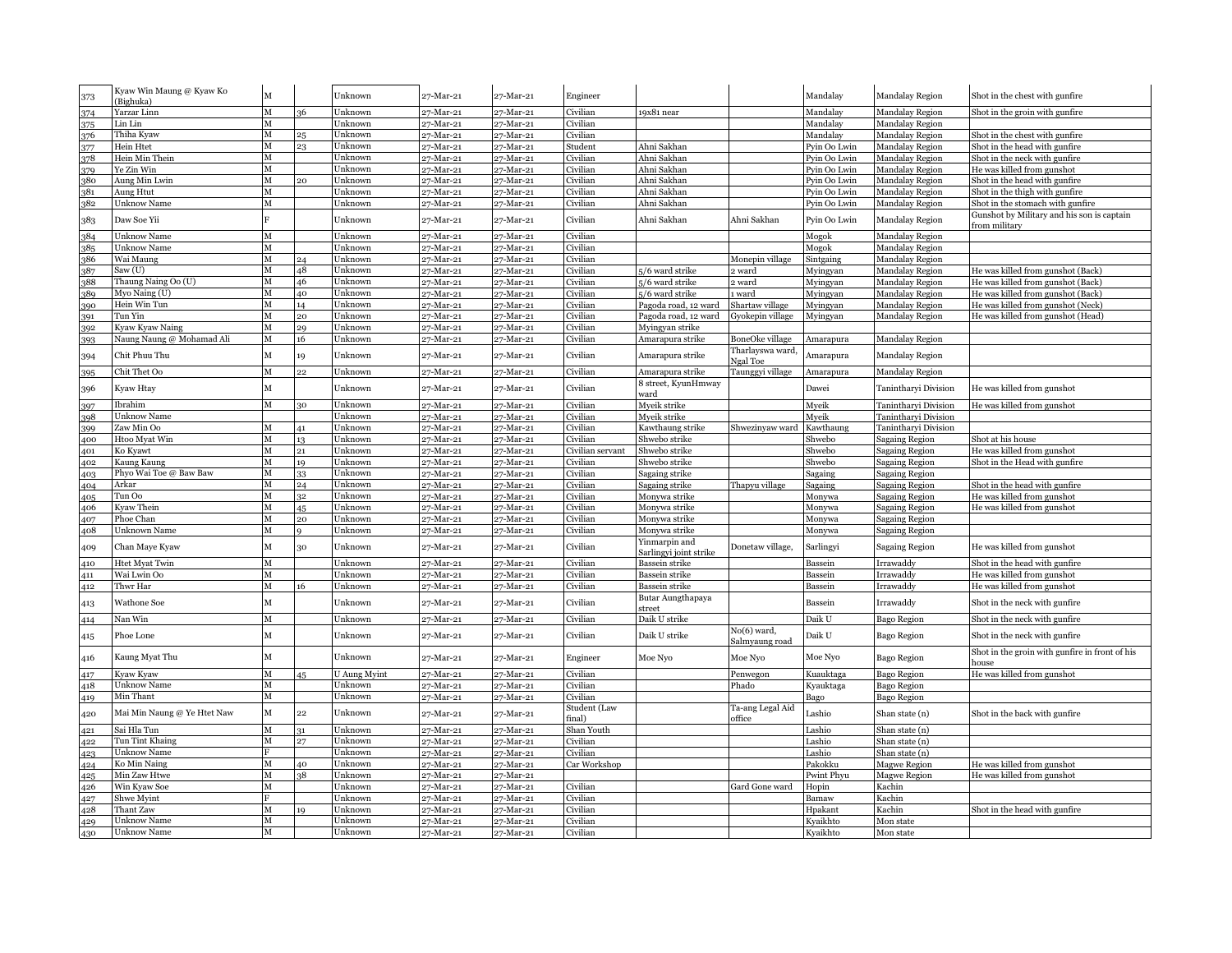| 373 | Kyaw Win Maung @ Kyaw Ko<br>Bighuka) | M |         | Unknown             | 27-Mar-21 | 27-Mar-21 | Engineer               |                                         |                               | Mandalay     | <b>Mandalay Region</b> | Shot in the chest with gunfire                              |
|-----|--------------------------------------|---|---------|---------------------|-----------|-----------|------------------------|-----------------------------------------|-------------------------------|--------------|------------------------|-------------------------------------------------------------|
| 374 | Yarzar Linn                          | М | 36      | Unknown             | 27-Mar-21 | 27-Mar-21 | Civilian               | 19x81 near                              |                               | Mandalay     | Mandalay Region        | Shot in the groin with gunfire                              |
| 375 | Lin Lin                              | м |         | Unknown             | 27-Mar-21 | 27-Mar-21 | Civilian               |                                         |                               | Mandalay     | <b>Mandalay Region</b> |                                                             |
| 376 | Thiha Kyaw                           | М | 25      | Unknown             | 27-Mar-21 | 27-Mar-21 | Civilian               |                                         |                               | Mandalay     | Mandalay Region        | Shot in the chest with gunfire                              |
| 377 | Hein Htet                            | М |         | Unknown             | 27-Mar-21 | 27-Mar-21 | Student                | Ahni Sakhan                             |                               | Vin Oo Lwin  | Mandalay Region        | Shot in the head with gunfire                               |
| 378 | Hein Min Thein                       | М |         | Unknown             | 27-Mar-21 | 27-Mar-21 | Civilian               | Ahni Sakhan                             |                               | Pyin Oo Lwin | <b>Mandalay Region</b> | Shot in the neck with gunfire                               |
| 379 | Ye Zin Win                           | М |         | Unknown             | 27-Mar-21 | 27-Mar-21 | Civilian               | Ahni Sakhan                             |                               | Pyin Oo Lwin | Mandalay Region        | He was killed from gunshot                                  |
| 380 | Aung Min Lwin                        | м | 20      | Unknown             | 27-Mar-21 | 27-Mar-21 | Civilian               | Ahni Sakhan                             |                               | Pyin Oo Lwin | <b>Mandalay Region</b> | Shot in the head with gunfire                               |
| 381 | Aung Htut                            | М |         | Unknown             | 27-Mar-21 | 27-Mar-21 | Civilian               | Ahni Sakhan                             |                               | Pyin Oo Lwin | Mandalay Region        | Shot in the thigh with gunfire                              |
| 382 | <b>Unknow Name</b>                   | М |         | Unknown             | 27-Mar-21 | 27-Mar-21 | Civilian               | Ahni Sakhan                             |                               | Pyin Oo Lwin | Mandalay Region        | Shot in the stomach with gunfire                            |
| 383 | Daw Soe Yii                          |   |         | Unknown             | 27-Mar-21 | 27-Mar-21 | Civilian               | Ahni Sakhan                             | Ahni Sakhan                   | Pyin Oo Lwin | Mandalay Region        | Gunshot by Military and his son is captain<br>from military |
| 384 | <b>Unknow Name</b>                   | М |         | Unknown             | 27-Mar-21 | 27-Mar-21 | Civilian               |                                         |                               | Mogok        | Mandalay Region        |                                                             |
| 385 | <b>Unknow Name</b>                   | М |         | Unknown             | 27-Mar-21 | 27-Mar-21 | Civilian               |                                         |                               | Mogok        | Mandalay Region        |                                                             |
| 386 | Wai Maung                            | М | $^{24}$ | Unknown             | 27-Mar-21 | 27-Mar-21 | Civilian               |                                         | Monepin village               | Sintgaing    | Mandalay Region        |                                                             |
| 387 | Saw (U)                              | М | 48      | Unknown             | 27-Mar-21 | 27-Mar-21 | Civilian               | 5/6 ward strike                         | 2 ward                        | Myingyan     | Mandalay Region        | He was killed from gunshot (Back)                           |
| 388 | Thaung Naing Oo (U)                  | м | 46      | Unknown             | 27-Mar-21 | 27-Mar-21 | Civilian               | 5/6 ward strike                         | 2 ward                        | Myingyan     | Mandalay Region        | He was killed from gunshot (Back)                           |
| 389 | Myo Naing (U)                        | М | 40      | Unknown             | 27-Mar-21 | 27-Mar-21 | Civilian               | 5/6 ward strike                         | ward                          | Myingyan     | Mandalay Region        | He was killed from gunshot (Back)                           |
| 390 | Hein Win Tun                         | М | 14      | Unknown             | 7-Mar-21  | 27-Mar-21 | Civilian               | Pagoda road, 12 ward                    | Shartaw village               | Myingyan     | Mandalay Region        | He was killed from gunshot (Neck)                           |
| 391 | Tun Yin                              | М | 20      | Unknown             | 27-Mar-21 | 27-Mar-21 | Civilian               | Pagoda road, 12 ward                    | Gyokepin village              | Myingyan     | Mandalay Region        | He was killed from gunshot (Head)                           |
| 392 | Kyaw Kyaw Naing                      | М | 29      | Unknown             | 27-Mar-21 | 27-Mar-21 | Civilian               | Myingyan strike                         |                               |              |                        |                                                             |
| 393 | Naung Naung @ Mohamad Ali            | М | 16      | Unknown             | 27-Mar-21 | 27-Mar-21 | Civilian               | Amarapura strike                        | <b>BoneOke</b> village        | Amarapura    | Mandalay Region        |                                                             |
| 394 | Chit Phuu Thu                        | М | 19      | Unknown             | 27-Mar-21 | 27-Mar-21 | Civilian               | Amarapura strike                        | Tharlayswa ward,              | Amarapura    | Mandalay Region        |                                                             |
|     |                                      |   |         |                     |           |           |                        |                                         | Ngal Toe                      |              |                        |                                                             |
| 395 | Chit Thet Oo                         | М | 22      | Unknown             | 27-Mar-21 | 27-Mar-21 | Civilian               | Amarapura strike                        | Taunggyi village              | Amarapura    | <b>Mandalay Region</b> |                                                             |
| 396 | Kyaw Htay                            | M |         | Unknown             | 27-Mar-21 | 27-Mar-21 | Civilian               | 8 street, KyunHmway<br>ward             |                               | Dawei        | Tanintharyi Division   | He was killed from gunshot                                  |
| 397 | Ibrahim                              | М | 30      | Unknown             | 27-Mar-21 | 27-Mar-21 | Civilian               | Myeik strike                            |                               | Mveik        | Tanintharyi Division   | He was killed from gunshot                                  |
| 398 | <b>Unknow Name</b>                   |   |         | Unknown             | 27-Mar-21 | 27-Mar-21 | Civilian               | Myeik strike                            |                               | Myeik        | Tanintharyi Division   |                                                             |
| 399 | Zaw Min Oo                           | М | 41      | Unknown             | 27-Mar-21 | 27-Mar-21 | Civilian               | Kawthaung strike                        | Shwezinyaw ward               | Kawthaung    | Tanintharvi Division   |                                                             |
| 400 | Htoo Myat Win                        | М | 13      | Unknown             | 27-Mar-21 | 27-Mar-21 | Civilian               | Shwebo strike                           |                               | Shwebo       | Sagaing Region         | Shot at his house                                           |
| 401 | Ko Kyawt                             | M | 21      | Unknown             | 27-Mar-21 | 27-Mar-21 | Civilian servant       | Shwebo strike                           |                               | Shwebo       | Sagaing Region         | He was killed from gunshot                                  |
| 402 | Kaung Kaung                          | М | 19      | Unknown             | 27-Mar-21 | 27-Mar-21 | Civilian               | Shwebo strike                           |                               | Shwebo       | Sagaing Region         | Shot in the Head with gunfire                               |
| 403 | Phyo Wai Toe @ Baw Baw               | М | 33      | Unknown             | 27-Mar-21 | 27-Mar-21 | Civilian               | Sagaing strike                          |                               | Sagaing      | Sagaing Region         |                                                             |
| 404 | Arkar                                | М | 24      | Unknown             | 27-Mar-21 | 27-Mar-21 | Civilian               | Sagaing strike                          | Thapyu village                | Sagaing      | Sagaing Region         | Shot in the head with gunfire                               |
| 405 | Tun Oo                               | М | 32      | Unknown             | 27-Mar-21 | 27-Mar-21 | Civilian               | Monywa strike                           |                               | Monywa       | Sagaing Region         | He was killed from gunshot                                  |
| 406 | Kyaw Thein                           | М | 45      | Unknown             | 27-Mar-21 | 27-Mar-21 | Civilian               | Monywa strike                           |                               | Monywa       | Sagaing Region         | He was killed from gunshot                                  |
| 407 | Phoe Chan                            | М | 20      | Unknown             | 27-Mar-21 | 27-Mar-21 | Civilian               | Monywa strike                           |                               | Monywa       | <b>Sagaing Region</b>  |                                                             |
| 408 | Unknown Name                         | M |         | Unknown             | 27-Mar-21 | 27-Mar-21 | Civilian               | Monywa strike                           |                               | Monywa       | <b>Sagaing Region</b>  |                                                             |
| 409 | Chan Maye Kyaw                       | М | 30      | Unknown             | 27-Mar-21 | 27-Mar-21 | Civilian               | Yinmarpin and<br>Sarlingyi joint strike | Donetaw village,              | Sarlingyi    | Sagaing Region         | He was killed from gunshot                                  |
| 410 | <b>Htet Myat Twin</b>                | М |         | Unknown             | 27-Mar-21 | 27-Mar-21 | Civilian               | Bassein strike                          |                               | Bassein      | Irrawaddy              | Shot in the head with gunfire                               |
| 411 | Wai Lwin Oo                          | М |         | Unknown             | 27-Mar-21 | 27-Mar-21 | Civilian               | Bassein strike                          |                               | Bassein      | Irrawaddy              | He was killed from gunshot                                  |
| 412 | Thwr Har                             | М | 16      | Unknown             | 27-Mar-21 | 27-Mar-21 | Civilian               | Bassein strike                          |                               | Bassein      | Irrawaddy              | He was killed from gunshot                                  |
| 413 | Wathone Soe                          | М |         | Unknown             | 27-Mar-21 | 27-Mar-21 | Civilian               | Butar Aungthapaya<br>street             |                               | Bassein      | Irrawaddy              | Shot in the neck with gunfire                               |
| 414 | Nan Win                              | М |         | Unknown             | 27-Mar-21 | 27-Mar-21 | Civilian               | Daik U strike                           |                               | Daik U       | <b>Bago Region</b>     | Shot in the neck with gunfire                               |
| 415 | Phoe Lone                            | М |         | Unknown             | 27-Mar-21 | 27-Mar-21 | Civilian               | Daik U strike                           | No(6) ward,<br>Salmyaung road | Daik U       | <b>Bago Region</b>     | Shot in the neck with gunfire                               |
| 416 | Kaung Myat Thu                       | М |         | Unknown             | 27-Mar-21 | 27-Mar-21 | Engineer               | Moe Nyo                                 | Moe Nyo                       | Moe Nyo      | Bago Region            | Shot in the groin with gunfire in front of his<br>house     |
| 417 | Kyaw Kyaw                            | М | 45      | <b>U</b> Aung Myint | 27-Mar-21 | 27-Mar-21 | Civilian               |                                         | Penwegon                      | Kuauktaga    | <b>Bago Region</b>     | He was killed from gunshot                                  |
| 418 | <b>Unknow Name</b>                   | М |         | Unknown             | 27-Mar-21 | 27-Mar-21 | Civilian               |                                         | Phado                         | Kyauktaga    | <b>Bago Region</b>     |                                                             |
| 419 | Min Thant                            | М |         | Unknown             | 27-Mar-21 | 27-Mar-21 | Civilian               |                                         |                               | Bago         | Bago Region            |                                                             |
| 420 | Mai Min Naung @ Ye Htet Naw          | М | 22      | Unknown             | 27-Mar-21 | 27-Mar-21 | Student (Law<br>final) |                                         | Ta-ang Legal Aid<br>office    | Lashio       | Shan state (n)         | Shot in the back with gunfire                               |
| 421 | Sai Hla Tun                          | м | 31      | Unknown             | 27-Mar-21 | 27-Mar-21 | Shan Youth             |                                         |                               | Lashio       | Shan state (n)         |                                                             |
| 422 | Tun Tint Khaing                      | М | 27      | Unknown             | 27-Mar-21 | 27-Mar-21 | Civilian               |                                         |                               | Lashio       | Shan state (n)         |                                                             |
| 423 | Unknow Name                          |   |         | Unknown             | 27-Mar-21 | 27-Mar-21 | Civilian               |                                         |                               | Lashio       | Shan state (n)         |                                                             |
| 424 | Ko Min Naing                         | М | 40      | Unknown             | 27-Mar-21 | 27-Mar-21 | Car Workshop           |                                         |                               | Pakokku      | Magwe Region           | He was killed from gunshot                                  |
| 425 | Min Zaw Htwe                         | М | 38      | Unknown             | 27-Mar-21 | 27-Mar-21 |                        |                                         |                               | Pwint Phyu   | <b>Magwe Region</b>    | He was killed from gunshot                                  |
| 426 | Win Kyaw Soe                         | M |         | Unknown             | 27-Mar-21 | 27-Mar-21 | Civilian               |                                         | Gard Gone ward                | Hopin        | Kachin                 |                                                             |
| 427 | Shwe Myint                           |   |         | Unknown             | 27-Mar-21 | 27-Mar-21 | Civilian               |                                         |                               | Bamaw        | Kachin                 |                                                             |
| 428 | <b>Thant Zaw</b>                     | М | 19      | Unknown             | 27-Mar-21 | 27-Mar-21 | Civilian               |                                         |                               | Hpakant      | Kachin                 | Shot in the head with gunfire                               |
| 429 | Unknow Name                          | м |         | Unknown             | 27-Mar-21 | 27-Mar-21 | Civilian               |                                         |                               | Kyaikhto     | Mon state              |                                                             |
| 430 | <b>Unknow Name</b>                   | M |         | Unknown             | 27-Mar-21 | 27-Mar-21 | Civilian               |                                         |                               | Kyaikhto     | Mon state              |                                                             |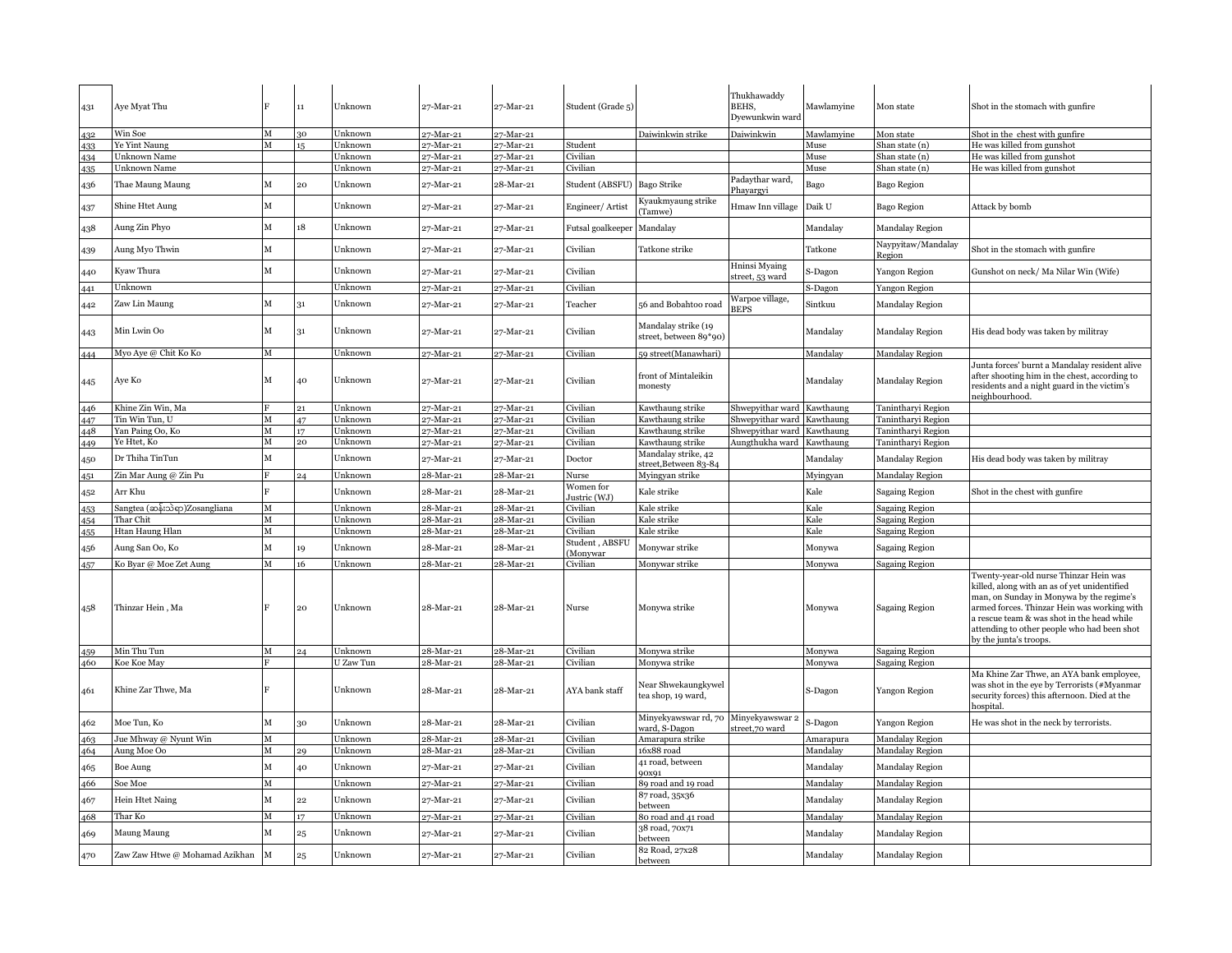| 431 | Aye Myat Thu                   |             | 11           | Unknown   | 27-Mar-21 | 27-Mar-21 | Student (Grade 5)          |                                               | Thukhawaddy<br>BEHS,<br>Dyewunkwin ward | Mawlamyine | Mon state                    | Shot in the stomach with gunfire                                                                                                                                                                                                                                                                         |
|-----|--------------------------------|-------------|--------------|-----------|-----------|-----------|----------------------------|-----------------------------------------------|-----------------------------------------|------------|------------------------------|----------------------------------------------------------------------------------------------------------------------------------------------------------------------------------------------------------------------------------------------------------------------------------------------------------|
| 432 | Win Soe                        | М           | 30           | Unknown   | 27-Mar-21 | 27-Mar-21 |                            | Daiwinkwin strike                             | Daiwinkwin                              | Mawlamyine | Mon state                    | Shot in the chest with gunfire                                                                                                                                                                                                                                                                           |
| 433 | Ye Yint Naung                  | М           | 15           | Unknown   | 27-Mar-21 | 27-Mar-21 | Student                    |                                               |                                         | Muse       | Shan state (n)               | He was killed from gunshot                                                                                                                                                                                                                                                                               |
| 434 | Unknown Name                   |             |              | Unknown   | 27-Mar-21 | 27-Mar-21 | Civilian                   |                                               |                                         | Muse       | Shan state (n)               | He was killed from gunshot                                                                                                                                                                                                                                                                               |
| 435 | Unknown Name                   |             |              | Unknown   | 27-Mar-21 | 27-Mar-21 | Civilian                   |                                               |                                         | Muse       | Shan state (n)               | He was killed from gunshot                                                                                                                                                                                                                                                                               |
| 436 | Thae Maung Maung               | М           | 20           | Unknown   | 27-Mar-21 | 28-Mar-21 | Student (ABSFU)            | <b>Bago Strike</b>                            | Padaythar ward,<br>hayargyi             | Bago       | Bago Region                  |                                                                                                                                                                                                                                                                                                          |
| 437 | Shine Htet Aung                | М           |              | Unknown   | 27-Mar-21 | 27-Mar-21 | Engineer/Artist            | Kyaukmyaung strike<br>Tamwe)                  | Hmaw Inn village                        | Daik U     | <b>Bago Region</b>           | Attack by bomb                                                                                                                                                                                                                                                                                           |
| 438 | Aung Zin Phyo                  | м           | 18           | Unknown   | 27-Mar-21 | 27-Mar-21 | Futsal goalkeeper          | Mandalay                                      |                                         | Mandalay   | Mandalay Region              |                                                                                                                                                                                                                                                                                                          |
| 439 | Aung Myo Thwin                 | м           |              | Unknown   | 27-Mar-21 | 27-Mar-21 | Civilian                   | Tatkone strike                                |                                         | Tatkone    | Naypyitaw/Mandalay<br>Region | Shot in the stomach with gunfire                                                                                                                                                                                                                                                                         |
| 440 | Kyaw Thura                     | М           |              | Unknown   | 27-Mar-21 | 27-Mar-21 | Civilian                   |                                               | Hninsi Myaing<br>treet, 53 ward         | S-Dagon    | Yangon Region                | Gunshot on neck/ Ma Nilar Win (Wife)                                                                                                                                                                                                                                                                     |
| 441 | Unknown                        |             |              | Unknown   | 27-Mar-21 | 27-Mar-21 | Civilian                   |                                               |                                         | 3-Dagon    | Yangon Region                |                                                                                                                                                                                                                                                                                                          |
| 442 | Zaw Lin Maung                  | М           | 31           | Unknown   | 27-Mar-21 | 27-Mar-21 | Teacher                    | 56 and Bobahtoo road                          | Warpoe village,<br><b>BEPS</b>          | Sintkuu    | Mandalay Region              |                                                                                                                                                                                                                                                                                                          |
| 443 | Min Lwin Oo                    | М           | 31           | Unknown   | 27-Mar-21 | 27-Mar-21 | Civilian                   | Mandalay strike (19<br>street, between 89*90) |                                         | Mandalay   | Mandalay Region              | His dead body was taken by militray                                                                                                                                                                                                                                                                      |
| 444 | Myo Aye @ Chit Ko Ko           | M           |              | Unknown   | 27-Mar-21 | 27-Mar-21 | Civilian                   | 59 street(Manawhari)                          |                                         | Mandalay   | Mandalay Region              |                                                                                                                                                                                                                                                                                                          |
| 445 | Aye Ko                         | M           | 40           | Unknown   | 27-Mar-21 | 27-Mar-21 | Civilian                   | front of Mintaleikin<br>monesty               |                                         | Mandalay   | Mandalay Region              | Junta forces' burnt a Mandalay resident alive<br>after shooting him in the chest, according to<br>residents and a night guard in the victim's<br>neighbourhood.                                                                                                                                          |
| 446 | Khine Zin Win, Ma              |             | 21           | Unknown   | 27-Mar-21 | 27-Mar-21 | Civilian                   | Kawthaung strike                              | Shwepyithar ward                        | Kawthaung  | Tanintharyi Region           |                                                                                                                                                                                                                                                                                                          |
| 447 | Tin Win Tun, U                 | м           | 47           | Unknown   | 27-Mar-21 | 27-Mar-21 | Civilian                   | Kawthaung strike                              | Shwepyithar ward Kawthaung              |            | Tanintharyi Region           |                                                                                                                                                                                                                                                                                                          |
| 448 | Yan Paing Oo, Ko               | М           | 17           | Unknown   | 27-Mar-21 | 27-Mar-21 | Civilian                   | Kawthaung strike                              | Shwepyithar ward Kawthaung              |            | Tanintharyi Region           |                                                                                                                                                                                                                                                                                                          |
| 449 | Ye Htet, Ko                    | M           | 20           | Unknown   | 27-Mar-21 | 27-Mar-21 | Civilian                   | Kawthaung strike                              | Aungthukha ward Kawthaung               |            | Tanintharyi Region           |                                                                                                                                                                                                                                                                                                          |
| 450 | Dr Thiha TinTun                | M           |              | Unknown   | 27-Mar-21 | 27-Mar-21 | Doctor                     | Mandalay strike, 42<br>street, Between 83-84  |                                         | Mandalay   | Mandalay Region              | His dead body was taken by militray                                                                                                                                                                                                                                                                      |
| 451 | Zin Mar Aung @ Zin Pu          |             | 24           | Unknown   | 28-Mar-21 | 28-Mar-21 | Nurse                      | Myingyan strike                               |                                         | Myingyan   | <b>Mandalay Region</b>       |                                                                                                                                                                                                                                                                                                          |
| 452 | Arr Khu                        |             |              | Unknown   | 28-Mar-21 | 28-Mar-21 | Women for<br>Justric (WJ)  | Kale strike                                   |                                         | Kale       | <b>Sagaing Region</b>        | Shot in the chest with gunfire                                                                                                                                                                                                                                                                           |
| 453 | Sangtea (ဆန်းသဲရာ)Zosangliana  | М           |              | Unknown   | 28-Mar-21 | 28-Mar-21 | Civilian                   | Kale strike                                   |                                         | Kale       | Sagaing Region               |                                                                                                                                                                                                                                                                                                          |
| 454 | Thar Chit                      | М           |              | Unknown   | 28-Mar-21 | 28-Mar-21 | Civilian                   | Kale strike                                   |                                         | Kale       | Sagaing Region               |                                                                                                                                                                                                                                                                                                          |
| 455 | Htan Haung Hlan                | м           |              | Unknown   | 28-Mar-21 | 28-Mar-21 | Civilian                   | Kale strike                                   |                                         | Kale       | Sagaing Region               |                                                                                                                                                                                                                                                                                                          |
| 456 | Aung San Oo, Ko                | М           | 19           | Unknown   | 28-Mar-21 | 28-Mar-21 | Student, ABSFU<br>(Monywar | Monywar strike                                |                                         | Monywa     | <b>Sagaing Region</b>        |                                                                                                                                                                                                                                                                                                          |
| 457 | Ko Byar @ Moe Zet Aung         | М           | 16           | Unknown   | 28-Mar-21 | 28-Mar-21 | Civilian                   | Monywar strike                                |                                         | Monywa     | Sagaing Region               |                                                                                                                                                                                                                                                                                                          |
| 458 | Thinzar Hein, Ma               | F           | 20           | Unknown   | 28-Mar-21 | 28-Mar-21 | Nurse                      | Monywa strike                                 |                                         | Monywa     | <b>Sagaing Region</b>        | Twenty-year-old nurse Thinzar Hein was<br>killed, along with an as of yet unidentified<br>man, on Sunday in Monywa by the regime's<br>armed forces. Thinzar Hein was working with<br>a rescue team & was shot in the head while<br>attending to other people who had been shot<br>by the junta's troops. |
|     | Min Thu Tun                    | М           | 24           | Unknown   | 28-Mar-21 | 28-Mar-21 | Civilian                   | Monywa strike                                 |                                         | Monywa     | Sagaing Region               |                                                                                                                                                                                                                                                                                                          |
| 460 | Koe Koe May                    |             |              | U Zaw Tun | 28-Mar-21 | 28-Mar-21 | Civilian                   | Monywa strike                                 |                                         | Monywa     | Sagaing Region               |                                                                                                                                                                                                                                                                                                          |
| 461 | Khine Zar Thwe, Ma             |             |              | Unknown   | 28-Mar-21 | 28-Mar-21 | AYA bank staff             | Near Shwekaungkywel<br>tea shop, 19 ward,     |                                         | S-Dagon    | Yangon Region                | Ma Khine Zar Thwe, an AYA bank employee,<br>was shot in the eve by Terrorists (#Myanmar<br>security forces) this afternoon. Died at the<br>hospital.                                                                                                                                                     |
| 462 | Moe Tun, Ko                    | м           | 30           | Unknown   | 28-Mar-21 | 28-Mar-21 | Civilian                   | Minyekyawswar rd, 70<br>ward, S-Dagon         | Minyekyawswar 2<br>street,70 ward       | 3-Dagon    | Yangon Region                | He was shot in the neck by terrorists.                                                                                                                                                                                                                                                                   |
| 463 | Jue Mhway @ Nyunt Win          | м           |              | Unknown   | 28-Mar-21 | 28-Mar-21 | Civilian                   | Amarapura strike                              |                                         | Amarapura  | <b>Mandalay Region</b>       |                                                                                                                                                                                                                                                                                                          |
| 464 | Aung Moe Oo                    | м           | 20           | Unknown   | 28-Mar-21 | 28-Mar-21 | Civilian                   | 16x88 road                                    |                                         | Mandalay   | Mandalay Region              |                                                                                                                                                                                                                                                                                                          |
| 465 | <b>Boe Aung</b>                | М           | 40           | Unknown   | 27-Mar-21 | 27-Mar-21 | Civilian                   | 41 road, between<br><b>OXO1</b>               |                                         | Mandalay   | <b>Mandalay Region</b>       |                                                                                                                                                                                                                                                                                                          |
| 466 | Soe Moe                        | М           |              | Unknown   | 27-Mar-21 | 27-Mar-21 | Civilian                   | 89 road and 19 road                           |                                         | Mandalay   | Mandalay Region              |                                                                                                                                                                                                                                                                                                          |
| 467 | Hein Htet Naing                | М           | $22^{\circ}$ | Unknown   | 27-Mar-21 | 27-Mar-21 | Civilian                   | 87 road, 35x36<br>between                     |                                         | Mandalay   | Mandalay Region              |                                                                                                                                                                                                                                                                                                          |
| 468 | Thar Ko                        | М           | 17           | Unknown   | 27-Mar-21 | 27-Mar-21 | Civilian                   | 80 road and 41 road                           |                                         | Mandalay   | <b>Mandalay Region</b>       |                                                                                                                                                                                                                                                                                                          |
| 469 | <b>Maung Maung</b>             | М           | 25           | Unknown   | 27-Mar-21 | 27-Mar-21 | Civilian                   | 38 road, 70x71<br>between                     |                                         | Mandalay   | Mandalay Region              |                                                                                                                                                                                                                                                                                                          |
| 470 | Zaw Zaw Htwe @ Mohamad Azikhan | $\mathbf M$ | 25           | Unknown   | 27-Mar-21 | 27-Mar-21 | Civilian                   | 82 Road, 27x28<br>between                     |                                         | Mandalay   | <b>Mandalay Region</b>       |                                                                                                                                                                                                                                                                                                          |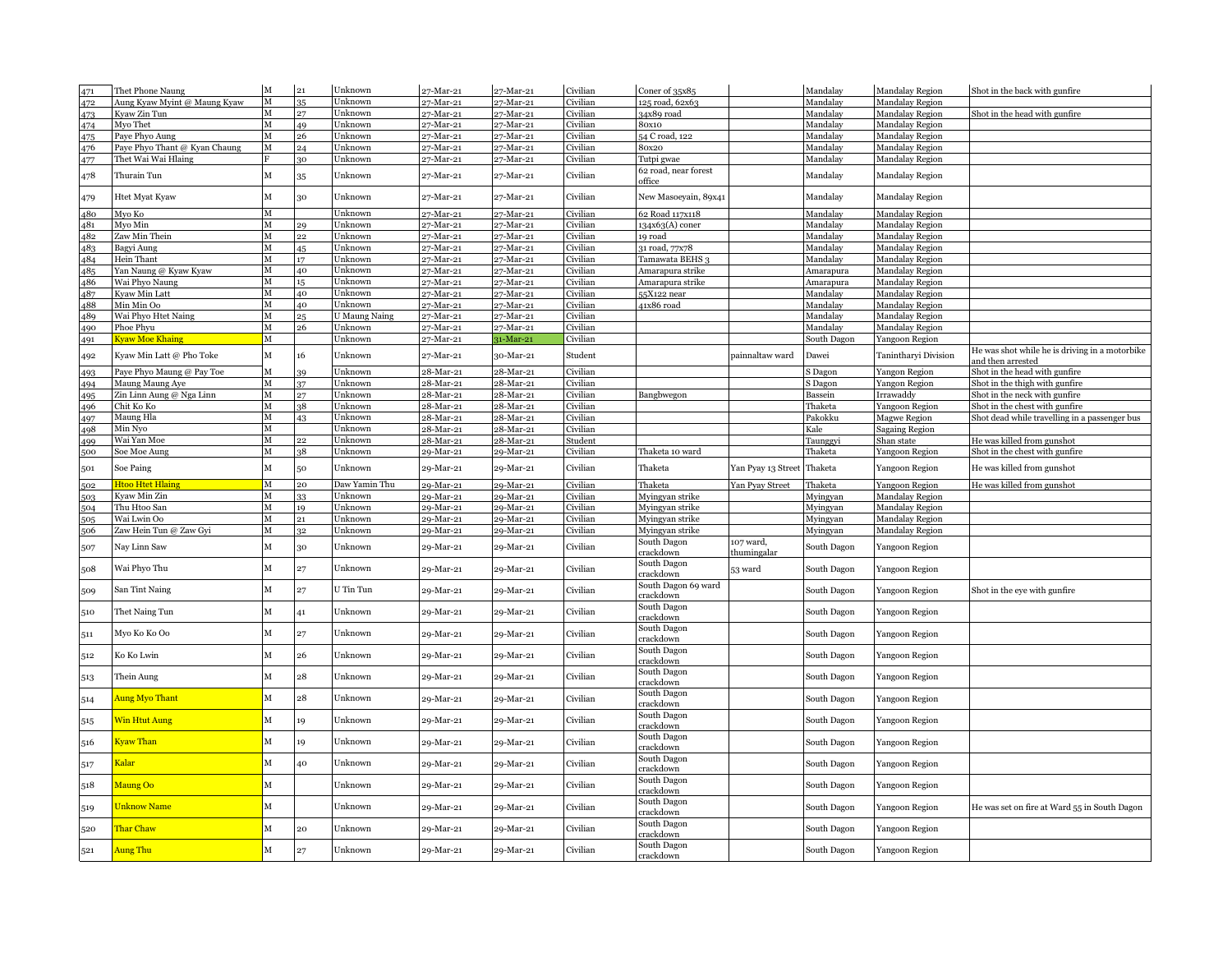| 471        | Thet Phone Naung                      | $\mathbf M$  | 21       | Unknown            | 27-Mar-21              | 27-Mar-21              | Civilian             | Coner of 35x85                   |                    | Mandalay              | Mandalay Region                    | Shot in the back with gunfire                                       |
|------------|---------------------------------------|--------------|----------|--------------------|------------------------|------------------------|----------------------|----------------------------------|--------------------|-----------------------|------------------------------------|---------------------------------------------------------------------|
| 472        | Aung Kyaw Myint @ Maung Kyaw          | $\mathbf M$  |          | Unknown            | 27-Mar-21              | 27-Mar-21              | Civilian             | 125 road, 62x63                  |                    | Mandalay              | <b>Mandalay Region</b>             |                                                                     |
| 473        | Kyaw Zin Tun                          | М            |          | Unknown            | 27-Mar-21              | 27-Mar-21              | Civilian             | 34x89 road                       |                    | Mandalay              | <b>Mandalay Region</b>             | Shot in the head with gunfire                                       |
| 474        | Myo Thet                              | М            | 49       | Unknown            | 7-Mar-21               | 27-Mar-21              | Civilian             | 30x10                            |                    | Mandalay              | Mandalay Region                    |                                                                     |
| 475        | Paye Phyo Aung                        | м            | 26       | Unknown            | 27-Mar-21              | 27-Mar-21              | Civilian             | 54 C road, 122                   |                    | Mandalay              | Mandalay Region                    |                                                                     |
| 476        | Paye Phyo Thant @ Kyan Chaung         | М            | 24       | Unknown            | 27-Mar-21              | 27-Mar-21              | Civilian             | 80x20                            |                    | Mandalay              | Mandalay Region                    |                                                                     |
| 477        | Thet Wai Wai Hlaing                   |              | 30       | Unknown            | 27-Mar-21              | 27-Mar-21              | Civilian             | Futpi gwae                       |                    | Mandalay              | Mandalay Region                    |                                                                     |
| 478        | Thurain Tun                           | М            | 35       | Unknown            | 27-Mar-21              | 27-Mar-21              | Civilian             | 62 road, near forest<br>office   |                    | Mandalay              | Mandalay Region                    |                                                                     |
| 479        | <b>Htet Myat Kyaw</b>                 | М            | 30       | Unknown            | 27-Mar-21              | 27-Mar-21              | Civilian             | New Masoeyain, 89x41             |                    | Mandalay              | Mandalay Region                    |                                                                     |
| 480        | Myo Ko                                | M            |          | Unknown            | 27-Mar-21              | 27-Mar-21              | Civilian             | 62 Road 117x118                  |                    | Mandalay              | Mandalay Region                    |                                                                     |
| 481        | Myo Min                               | М            | 29       | Unknown            | 27-Mar-21              | 27-Mar-21              | Civilian             | 134x63(A) coner                  |                    | Mandalay              | Mandalay Region                    |                                                                     |
| 482        | Zaw Min Thein                         | М            | 22       | Unknown            | 27-Mar-21              | 27-Mar-21              | Civilian             | 19 road                          |                    | Mandalay              | Mandalay Region                    |                                                                     |
| 483        | Bagyi Aung                            | М            |          | Unknown            | 27-Mar-21              | 27-Mar-21              | Civilian             | 31 road, 77x78                   |                    | Mandalay              | Mandalay Region                    |                                                                     |
| 484        | Hein Thant                            | М            | 17       | Unknown            | 27-Mar-21              | 27-Mar-21              | Civilian             | <b>Tamawata BEHS</b>             |                    | Mandalay              | Mandalay Region                    |                                                                     |
| 485        | Yan Naung @ Kyaw Kyaw                 | М            | 40       | Unknown            | :7-Mar-21              | ?-Mar-21               | Civilian             | Amarapura strike                 |                    | Amarapura             | <b>Mandalay Region</b>             |                                                                     |
| 486<br>487 | Wai Phyo Naung<br>Kvaw Min Latt       | М<br>M       | 15<br>40 | Unknown<br>Unknown | 27-Mar-21<br>27-Mar-21 | 27-Mar-21<br>27-Mar-21 | Civilian<br>Civilian | Amarapura strike<br>$5X122$ near |                    | Amarapura<br>Mandalay | Mandalay Region<br>Mandalay Region |                                                                     |
| 488        | Min Min Oo                            | M            | 40       | Unknown            | 27-Mar-21              | 27-Mar-21              | Civilian             | 1x86 road                        |                    | Mandalay              | <b>Mandalay Region</b>             |                                                                     |
| 489        | Wai Phyo Htet Naing                   | М            | 25       | U Maung Naing      | 27-Mar-21              | 27-Mar-21              | Civilian             |                                  |                    | Mandalay              | Mandalay Region                    |                                                                     |
| 490        | Phoe Phyu                             | М            | 26       | Unknown            | 27-Mar-21              | 27-Mar-21              | Civilian             |                                  |                    | Mandalay              | Mandalay Region                    |                                                                     |
| 491        | Kyaw Moe Khaing                       | м            |          | Unknown            | 27-Mar-21              | 31-Mar-21              | Civilian             |                                  |                    | South Dagon           | Yangoon Region                     |                                                                     |
| 492        | Kyaw Min Latt @ Pho Toke              | $\mathbf M$  | 16       | Unknown            | 27-Mar-21              | 30-Mar-21              | Student              |                                  | painnaltaw ward    | Dawei                 | Tanintharyi Division               | He was shot while he is driving in a motorbike<br>and then arrested |
| 493        | Paye Phyo Maung @ Pay Toe             | M            |          | Unknown            | 28-Mar-21              | 28-Mar-21              | Civilian             |                                  |                    | S Dagon               | Yangon Region                      | Shot in the head with gunfire                                       |
| 494        | Maung Maung Aye                       | M            |          | Unknown            | 28-Mar-21              | 28-Mar-21              | Civilian             |                                  |                    | S Dagon               | Yangon Region                      | Shot in the thigh with gunfire                                      |
| 495        | Zin Linn Aung @ Nga Linn              | $\mathbf{M}$ | 27       | Unknown            | 28-Mar-21              | 28-Mar-21              | Civilian             | Bangbwegon                       |                    | Bassein               | Irrawaddy                          | Shot in the neck with gunfire                                       |
| 496        | Chit Ko Ko                            | М            | 38       | Unknown            | 28-Mar-21              | 28-Mar-21              | Civilian             |                                  |                    | Thaketa               | Yangoon Region                     | Shot in the chest with gunfire                                      |
| 497        | Maung Hla                             | М            | 43       | Unknown            | 28-Mar-21              | 28-Mar-21              | Civilian             |                                  |                    | Pakokku               | <b>Magwe Region</b>                | Shot dead while travelling in a passenger bus                       |
| 498        | Min Nyo                               | м            |          | Unknown            | 28-Mar-21              | 28-Mar-21              | Civilian             |                                  |                    | Kale                  | <b>Sagaing Region</b>              |                                                                     |
| 499        | Wai Yan Moe                           | M            | 22       | Unknown            | 28-Mar-21              | 28-Mar-21              | Student              |                                  |                    | Faunggyi              | Shan state                         | He was killed from gunshot                                          |
| 500        | Soe Moe Aung                          | M            | 38       | Unknown            | 29-Mar-21              | 29-Mar-21              | Civilian             | Thaketa 10 ward                  |                    | Thaketa               | Yangoon Region                     | Shot in the chest with gunfire                                      |
| 501        | Soe Paing                             | М            | 50       | Unknown            | 29-Mar-21              | 29-Mar-21              | Civilian             | Thaketa                          | Yan Pyay 13 Street | Thaketa               | Yangoon Region                     | He was killed from gunshot                                          |
| 502        | Htoo Htet Hlains                      | M            | 20       | Daw Yamin Thu      | 29-Mar-21              | 29-Mar-21              | Civilian             | Thaketa                          | Yan Pyay Street    | Thaketa               | Yangoon Region                     | He was killed from gunshot                                          |
| 503        | Kyaw Min Zin                          | М            | 33       | Unknown            | 29-Mar-21              | 29-Mar-21              | Civilian             | Myingyan strike                  |                    | Myingyan              | <b>Mandalay Region</b>             |                                                                     |
| 504        | Thu Htoo San                          | M<br>M       | 19       | Unknown            | 29-Mar-21              | 29-Mar-21              | Civilian             | Myingyan strike                  |                    | Myingyan              | <b>Mandalay Region</b>             |                                                                     |
| 505        | Wai Lwin Oo<br>Zaw Hein Tun @ Zaw Gyi | M            | 21<br>32 | Unknown<br>Unknown | 29-Mar-21              | 29-Mar-21              | Civilian             | Myingyan strike                  |                    | Myingyan              | Mandalay Region                    |                                                                     |
| 506        |                                       |              |          |                    | 29-Mar-21              | 29-Mar-21              | Civilian             | Myingyan strike<br>South Dagon   | 107 ward,          | Myingyan              | Mandalay Region                    |                                                                     |
| 507        | Nay Linn Saw                          | M            | 30       | Unknown            | 29-Mar-21              | 29-Mar-21              | Civilian             | rackdown<br>South Dagon          | thumingalar        | South Dagon           | Yangoon Region                     |                                                                     |
| 508        | Wai Phyo Thu                          | М            | 27       | Unknown            | 29-Mar-21              | 29-Mar-21              | Civilian             | rackdown<br>South Dagon 69 ward  | 53 ward            | South Dagon           | Yangoon Region                     |                                                                     |
| 509        | San Tint Naing                        | М            | 27       | U Tin Tun          | 29-Mar-21              | 29-Mar-21              | Civilian             | rackdown                         |                    | South Dagon           | Yangoon Region                     | Shot in the eye with gunfire                                        |
| 510        | Thet Naing Tun                        | м            | 41       | Unknown            | 29-Mar-21              | 29-Mar-21              | Civilian             | South Dagon<br>rackdown          |                    | South Dagon           | Yangoon Region                     |                                                                     |
| 511        | Myo Ko Ko Oo                          | $\mathbf M$  | 27       | Unknown            | 29-Mar-21              | 29-Mar-21              | Civilian             | South Dagon<br>rackdown          |                    | South Dagon           | Yangoon Region                     |                                                                     |
| 512        | Ko Ko Lwin                            | M            | 26       | Unknown            | 29-Mar-21              | 29-Mar-21              | Civilian             | South Dagon<br>rackdown          |                    | South Dagon           | Yangoon Region                     |                                                                     |
| 513        | Thein Aung                            | М            | 28       | Unknown            | 29-Mar-21              | 29-Mar-21              | Civilian             | South Dagon<br>rackdown          |                    | South Dagon           | Yangoon Region                     |                                                                     |
| 514        | <mark>Aung Myo Thant</mark>           | М            | 28       | Unknown            | 29-Mar-21              | 29-Mar-21              | Civilian             | South Dagon<br>erackdown         |                    | South Dagon           | Yangoon Region                     |                                                                     |
| 515        | Win Htut Aung                         | М            | 19       | Unknown            | 29-Mar-21              | 29-Mar-21              | Civilian             | South Dagon<br>crackdown         |                    | South Dagon           | Yangoon Region                     |                                                                     |
| 516        | <b>Cyaw Than</b>                      | М            | 19       | Unknown            | 29-Mar-21              | 29-Mar-21              | Civilian             | South Dagon<br>rackdown          |                    | South Dagon           | Yangoon Region                     |                                                                     |
| 517        | Kalar                                 | м            | 40       | Unknown            | 29-Mar-21              | 29-Mar-21              | Civilian             | South Dagon<br>rackdown          |                    | South Dagon           | Yangoon Region                     |                                                                     |
| 518        | Maung Oo                              | $\mathbf M$  |          | Unknown            | 29-Mar-21              | 29-Mar-21              | Civilian             | South Dagon<br>rackdown          |                    | South Dagon           | Yangoon Region                     |                                                                     |
| 519        | Unknow Name                           | М            |          | Unknown            | 29-Mar-21              | 29-Mar-21              | Civilian             | South Dagon<br>rackdown          |                    | South Dagon           | Yangoon Region                     | He was set on fire at Ward 55 in South Dagon                        |
| 520        | Thar Chaw                             | М            | 20       | Unknown            | 29-Mar-21              | 29-Mar-21              | Civilian             | South Dagon<br>rackdown          |                    | South Dagon           | Yangoon Region                     |                                                                     |
| 521        | Aung Thu                              | M            | 27       | Unknown            | 29-Mar-21              | 29-Mar-21              | Civilian             | South Dagon<br>crackdown         |                    | South Dagon           | Yangoon Region                     |                                                                     |